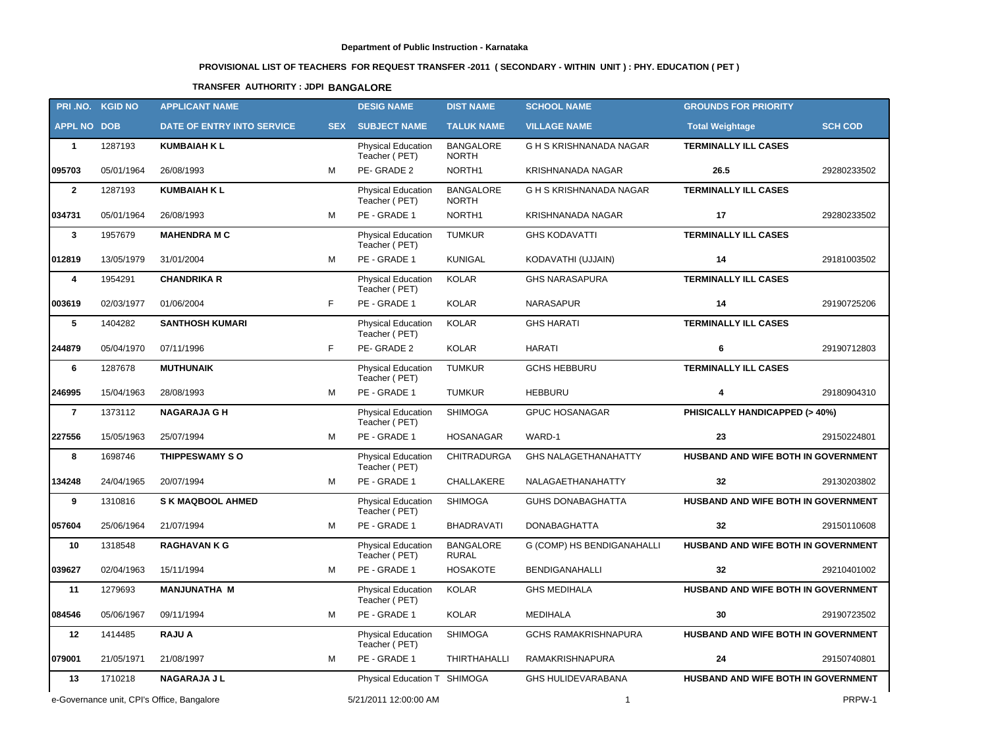# **PROVISIONAL LIST OF TEACHERS FOR REQUEST TRANSFER -2011 ( SECONDARY - WITHIN UNIT ) : PHY. EDUCATION ( PET )**

# **TRANSFER AUTHORITY : JDPI BANGALORE**

|                                            | PRI.NO. KGID NO | <b>APPLICANT NAME</b>      |                       | <b>DESIG NAME</b>                          | <b>DIST NAME</b>                 | <b>SCHOOL NAME</b>          | <b>GROUNDS FOR PRIORITY</b>                |                |
|--------------------------------------------|-----------------|----------------------------|-----------------------|--------------------------------------------|----------------------------------|-----------------------------|--------------------------------------------|----------------|
| <b>APPL NO DOB</b>                         |                 | DATE OF ENTRY INTO SERVICE | <b>SEX</b>            | <b>SUBJECT NAME</b>                        | <b>TALUK NAME</b>                | <b>VILLAGE NAME</b>         | <b>Total Weightage</b>                     | <b>SCH COD</b> |
| $\mathbf{1}$                               | 1287193         | <b>KUMBAIAH K L</b>        |                       | <b>Physical Education</b><br>Teacher (PET) | <b>BANGALORE</b><br><b>NORTH</b> | G H S KRISHNANADA NAGAR     | <b>TERMINALLY ILL CASES</b>                |                |
| 095703                                     | 05/01/1964      | 26/08/1993                 | M                     | PE-GRADE 2                                 | NORTH1                           | <b>KRISHNANADA NAGAR</b>    | 26.5                                       | 29280233502    |
| $\overline{2}$                             | 1287193         | <b>KUMBAIAH K L</b>        |                       | <b>Physical Education</b><br>Teacher (PET) | <b>BANGALORE</b><br><b>NORTH</b> | G H S KRISHNANADA NAGAR     | <b>TERMINALLY ILL CASES</b>                |                |
| 034731                                     | 05/01/1964      | 26/08/1993                 | M                     | PE - GRADE 1                               | NORTH1                           | KRISHNANADA NAGAR           | 17                                         | 29280233502    |
| $\mathbf{3}$                               | 1957679         | <b>MAHENDRA M C</b>        |                       | <b>Physical Education</b><br>Teacher (PET) | <b>TUMKUR</b>                    | <b>GHS KODAVATTI</b>        | <b>TERMINALLY ILL CASES</b>                |                |
| 012819                                     | 13/05/1979      | 31/01/2004                 | М                     | PE - GRADE 1                               | <b>KUNIGAL</b>                   | KODAVATHI (UJJAIN)          | 14                                         | 29181003502    |
| 4                                          | 1954291         | <b>CHANDRIKA R</b>         |                       | <b>Physical Education</b><br>Teacher (PET) | <b>KOLAR</b>                     | <b>GHS NARASAPURA</b>       | <b>TERMINALLY ILL CASES</b>                |                |
| 003619                                     | 02/03/1977      | 01/06/2004                 | F                     | PE - GRADE 1                               | <b>KOLAR</b>                     | <b>NARASAPUR</b>            | 14                                         | 29190725206    |
| 5                                          | 1404282         | <b>SANTHOSH KUMARI</b>     |                       | <b>Physical Education</b><br>Teacher (PET) | <b>KOLAR</b>                     | <b>GHS HARATI</b>           | <b>TERMINALLY ILL CASES</b>                |                |
| 244879                                     | 05/04/1970      | 07/11/1996                 | F                     | PE-GRADE 2                                 | <b>KOLAR</b>                     | <b>HARATI</b>               | 6                                          | 29190712803    |
| 6                                          | 1287678         | <b>MUTHUNAIK</b>           |                       | <b>Physical Education</b><br>Teacher (PET) | <b>TUMKUR</b>                    | <b>GCHS HEBBURU</b>         | <b>TERMINALLY ILL CASES</b>                |                |
| 246995                                     | 15/04/1963      | 28/08/1993                 | м                     | PE - GRADE 1                               | <b>TUMKUR</b>                    | <b>HEBBURU</b>              | $\overline{4}$                             | 29180904310    |
| $\overline{7}$                             | 1373112         | <b>NAGARAJA G H</b>        |                       | Physical Education<br>Teacher (PET)        | <b>SHIMOGA</b>                   | <b>GPUC HOSANAGAR</b>       | PHISICALLY HANDICAPPED (> 40%)             |                |
| 227556                                     | 15/05/1963      | 25/07/1994                 | М                     | PE - GRADE 1                               | HOSANAGAR                        | WARD-1                      | 23                                         | 29150224801    |
| 8                                          | 1698746         | THIPPESWAMY SO             |                       | <b>Physical Education</b><br>Teacher (PET) | <b>CHITRADURGA</b>               | <b>GHS NALAGETHANAHATTY</b> | HUSBAND AND WIFE BOTH IN GOVERNMENT        |                |
| 134248                                     | 24/04/1965      | 20/07/1994                 | M                     | PE - GRADE 1                               | CHALLAKERE                       | NALAGAETHANAHATTY           | 32                                         | 29130203802    |
| 9                                          | 1310816         | <b>S K MAQBOOL AHMED</b>   |                       | <b>Physical Education</b><br>Teacher (PET) | <b>SHIMOGA</b>                   | <b>GUHS DONABAGHATTA</b>    | HUSBAND AND WIFE BOTH IN GOVERNMENT        |                |
| 057604                                     | 25/06/1964      | 21/07/1994                 | М                     | PE - GRADE 1                               | <b>BHADRAVATI</b>                | <b>DONABAGHATTA</b>         | 32                                         | 29150110608    |
| 10                                         | 1318548         | <b>RAGHAVAN K G</b>        |                       | Physical Education<br>Teacher (PET)        | <b>BANGALORE</b><br><b>RURAL</b> | G (COMP) HS BENDIGANAHALLI  | HUSBAND AND WIFE BOTH IN GOVERNMENT        |                |
| 039627                                     | 02/04/1963      | 15/11/1994                 | M                     | PE - GRADE 1                               | <b>HOSAKOTE</b>                  | <b>BENDIGANAHALLI</b>       | 32                                         | 29210401002    |
| 11                                         | 1279693         | <b>MANJUNATHA M</b>        |                       | <b>Physical Education</b><br>Teacher (PET) | <b>KOLAR</b>                     | <b>GHS MEDIHALA</b>         | HUSBAND AND WIFE BOTH IN GOVERNMENT        |                |
| 084546                                     | 05/06/1967      | 09/11/1994                 | М                     | PE - GRADE 1                               | KOLAR                            | <b>MEDIHALA</b>             | 30                                         | 29190723502    |
| 12                                         | 1414485         | <b>RAJU A</b>              |                       | <b>Physical Education</b><br>Teacher (PET) | <b>SHIMOGA</b>                   | GCHS RAMAKRISHNAPURA        | <b>HUSBAND AND WIFE BOTH IN GOVERNMENT</b> |                |
| 079001                                     | 21/05/1971      | 21/08/1997                 | М                     | PE - GRADE 1                               | THIRTHAHALLI                     | <b>RAMAKRISHNAPURA</b>      | 24                                         | 29150740801    |
| 13                                         | 1710218         | <b>NAGARAJA J L</b>        |                       | Physical Education T SHIMOGA               |                                  | <b>GHS HULIDEVARABANA</b>   | HUSBAND AND WIFE BOTH IN GOVERNMENT        |                |
| e-Governance unit, CPI's Office, Bangalore |                 |                            | 5/21/2011 12:00:00 AM |                                            | $\overline{1}$                   |                             | PRPW-1                                     |                |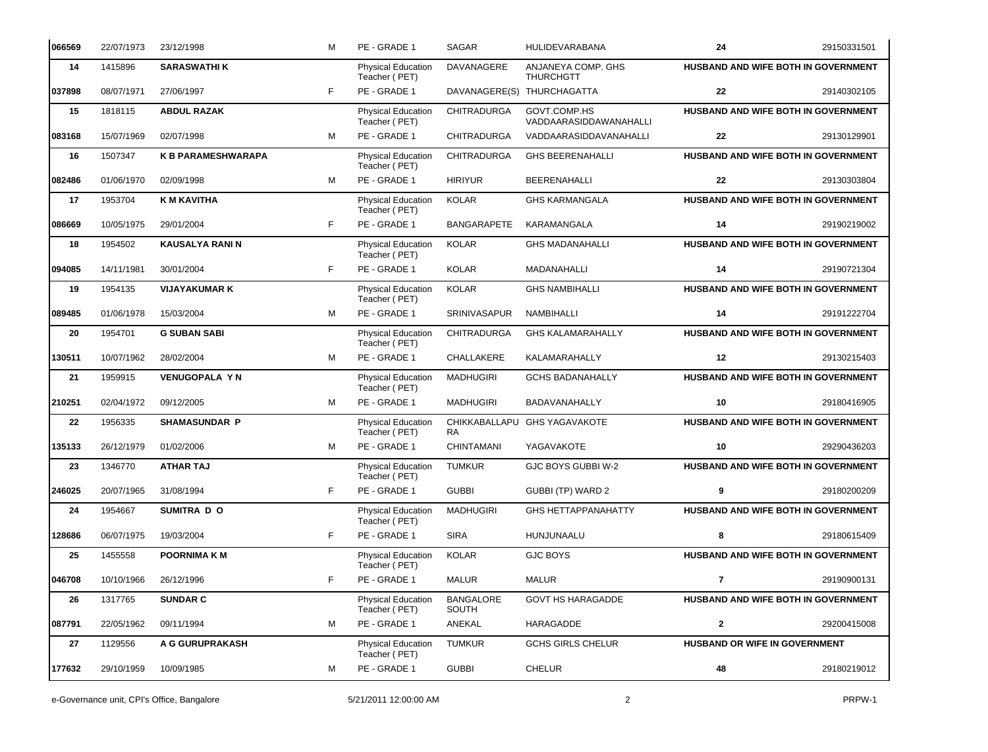| 066569 | 22/07/1973 | 23/12/1998                | M  | PE - GRADE 1                               | <b>SAGAR</b>               | <b>HULIDEVARABANA</b>                  | 24                            | 29150331501                                |
|--------|------------|---------------------------|----|--------------------------------------------|----------------------------|----------------------------------------|-------------------------------|--------------------------------------------|
| 14     | 1415896    | <b>SARASWATHI K</b>       |    | <b>Physical Education</b><br>Teacher (PET) | DAVANAGERE                 | ANJANEYA COMP. GHS<br><b>THURCHGTT</b> |                               | <b>HUSBAND AND WIFE BOTH IN GOVERNMENT</b> |
| 037898 | 08/07/1971 | 27/06/1997                | F  | PE - GRADE 1                               |                            | DAVANAGERE(S) THURCHAGATTA             | 22                            | 29140302105                                |
| 15     | 1818115    | <b>ABDUL RAZAK</b>        |    | <b>Physical Education</b><br>Teacher (PET) | <b>CHITRADURGA</b>         | GOVT.COMP.HS<br>VADDAARASIDDAWANAHALLI |                               | HUSBAND AND WIFE BOTH IN GOVERNMENT        |
| 083168 | 15/07/1969 | 02/07/1998                | M  | PE - GRADE 1                               | <b>CHITRADURGA</b>         | VADDAARASIDDAVANAHALLI                 | 22                            | 29130129901                                |
| 16     | 1507347    | <b>K B PARAMESHWARAPA</b> |    | Physical Education<br>Teacher (PET)        | <b>CHITRADURGA</b>         | <b>GHS BEERENAHALLI</b>                |                               | HUSBAND AND WIFE BOTH IN GOVERNMENT        |
| 082486 | 01/06/1970 | 02/09/1998                | M  | PE - GRADE 1                               | <b>HIRIYUR</b>             | <b>BEERENAHALLI</b>                    | 22                            | 29130303804                                |
| 17     | 1953704    | <b>K M KAVITHA</b>        |    | Physical Education<br>Teacher (PET)        | <b>KOLAR</b>               | <b>GHS KARMANGALA</b>                  |                               | HUSBAND AND WIFE BOTH IN GOVERNMENT        |
| 086669 | 10/05/1975 | 29/01/2004                | F  | PE - GRADE 1                               | <b>BANGARAPETE</b>         | KARAMANGALA                            | 14                            | 29190219002                                |
| 18     | 1954502    | <b>KAUSALYA RANI N</b>    |    | Physical Education<br>Teacher (PET)        | <b>KOLAR</b>               | <b>GHS MADANAHALLI</b>                 |                               | HUSBAND AND WIFE BOTH IN GOVERNMENT        |
| 094085 | 14/11/1981 | 30/01/2004                | F  | PE - GRADE 1                               | <b>KOLAR</b>               | MADANAHALLI                            | 14                            | 29190721304                                |
| 19     | 1954135    | <b>VIJAYAKUMAR K</b>      |    | Physical Education<br>Teacher (PET)        | <b>KOLAR</b>               | <b>GHS NAMBIHALLI</b>                  |                               | HUSBAND AND WIFE BOTH IN GOVERNMENT        |
| 089485 | 01/06/1978 | 15/03/2004                | M  | PE - GRADE 1                               | <b>SRINIVASAPUR</b>        | NAMBIHALLI                             | 14                            | 29191222704                                |
| 20     | 1954701    | <b>G SUBAN SABI</b>       |    | Physical Education<br>Teacher (PET)        | <b>CHITRADURGA</b>         | <b>GHS KALAMARAHALLY</b>               |                               | HUSBAND AND WIFE BOTH IN GOVERNMENT        |
| 130511 | 10/07/1962 | 28/02/2004                | M  | PE - GRADE 1                               | CHALLAKERE                 | KALAMARAHALLY                          | 12                            | 29130215403                                |
| 21     | 1959915    | <b>VENUGOPALA Y N</b>     |    | Physical Education<br>Teacher (PET)        | <b>MADHUGIRI</b>           | <b>GCHS BADANAHALLY</b>                |                               | HUSBAND AND WIFE BOTH IN GOVERNMENT        |
| 210251 | 02/04/1972 | 09/12/2005                | M  | PE - GRADE 1                               | <b>MADHUGIRI</b>           | BADAVANAHALLY                          | 10                            | 29180416905                                |
| 22     | 1956335    | <b>SHAMASUNDAR P</b>      |    | <b>Physical Education</b><br>Teacher (PET) | CHIKKABALLAPU<br><b>RA</b> | <b>GHS YAGAVAKOTE</b>                  |                               | HUSBAND AND WIFE BOTH IN GOVERNMENT        |
| 135133 | 26/12/1979 | 01/02/2006                | M  | PE - GRADE 1                               | CHINTAMANI                 | YAGAVAKOTE                             | 10                            | 29290436203                                |
| 23     | 1346770    | <b>ATHAR TAJ</b>          |    | <b>Physical Education</b><br>Teacher (PET) | <b>TUMKUR</b>              | GJC BOYS GUBBI W-2                     |                               | HUSBAND AND WIFE BOTH IN GOVERNMENT        |
| 246025 | 20/07/1965 | 31/08/1994                | F. | PE - GRADE 1                               | <b>GUBBI</b>               | GUBBI (TP) WARD 2                      | 9                             | 29180200209                                |
| 24     | 1954667    | SUMITRA D O               |    | Physical Education<br>Teacher (PET)        | <b>MADHUGIRI</b>           | <b>GHS HETTAPPANAHATTY</b>             |                               | HUSBAND AND WIFE BOTH IN GOVERNMENT        |
| 128686 | 06/07/1975 | 19/03/2004                | F  | PE - GRADE 1                               | <b>SIRA</b>                | HUNJUNAALU                             | 8                             | 29180615409                                |
| 25     | 1455558    | <b>POORNIMA K M</b>       |    | Physical Education<br>Teacher (PET)        | <b>KOLAR</b>               | <b>GJC BOYS</b>                        |                               | <b>HUSBAND AND WIFE BOTH IN GOVERNMENT</b> |
| 046708 | 10/10/1966 | 26/12/1996                | F  | PE - GRADE 1                               | MALUR                      | <b>MALUR</b>                           | $\overline{7}$                | 29190900131                                |
| 26     | 1317765    | <b>SUNDAR C</b>           |    | Physical Education<br>Teacher (PET)        | <b>BANGALORE</b><br>SOUTH  | <b>GOVT HS HARAGADDE</b>               |                               | HUSBAND AND WIFE BOTH IN GOVERNMENT        |
| 087791 | 22/05/1962 | 09/11/1994                | M  | PE - GRADE 1                               | ANEKAL                     | HARAGADDE                              | $\mathbf{2}$                  | 29200415008                                |
| 27     | 1129556    | A G GURUPRAKASH           |    | Physical Education<br>Teacher (PET)        | <b>TUMKUR</b>              | <b>GCHS GIRLS CHELUR</b>               | HUSBAND OR WIFE IN GOVERNMENT |                                            |
| 177632 | 29/10/1959 | 10/09/1985                | M  | PE - GRADE 1                               | <b>GUBBI</b>               | CHELUR                                 | 48                            | 29180219012                                |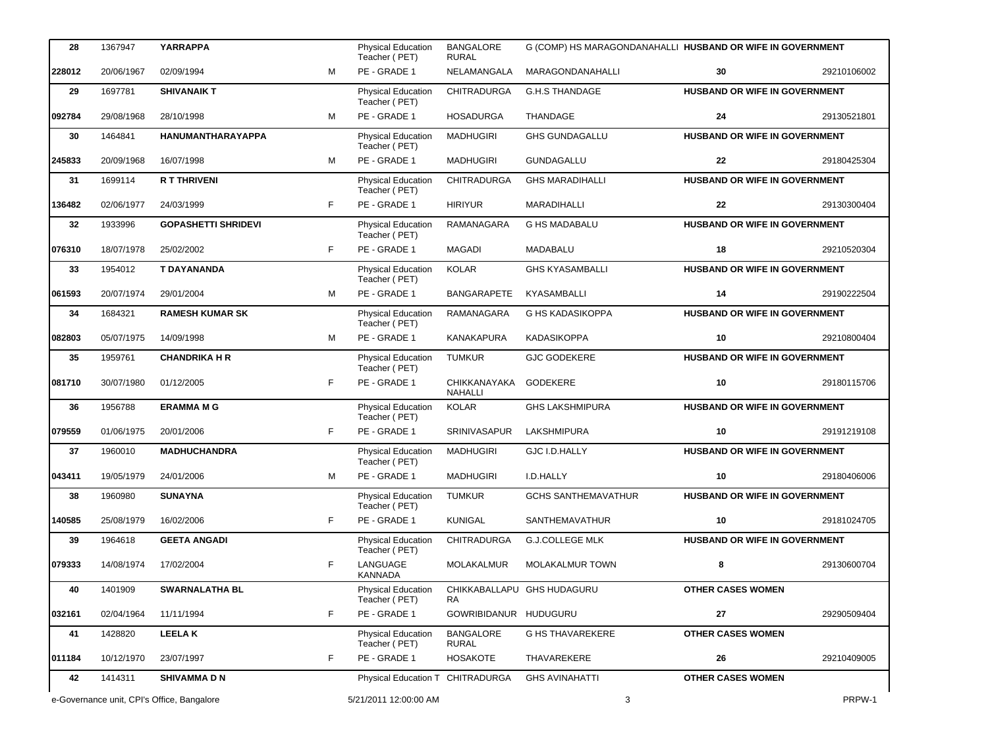| 28     | 1367947                                    | <b>YARRAPPA</b>            |    | <b>Physical Education</b><br>Teacher (PET) | <b>BANGALORE</b><br><b>RURAL</b> |                            | G (COMP) HS MARAGONDANAHALLI HUSBAND OR WIFE IN GOVERNMENT |             |
|--------|--------------------------------------------|----------------------------|----|--------------------------------------------|----------------------------------|----------------------------|------------------------------------------------------------|-------------|
| 228012 | 20/06/1967                                 | 02/09/1994                 | M  | PE - GRADE 1                               | NELAMANGALA                      | MARAGONDANAHALLI           | 30                                                         | 29210106002 |
| 29     | 1697781                                    | <b>SHIVANAIK T</b>         |    | Physical Education<br>Teacher (PET)        | <b>CHITRADURGA</b>               | <b>G.H.S THANDAGE</b>      | HUSBAND OR WIFE IN GOVERNMENT                              |             |
| 092784 | 29/08/1968                                 | 28/10/1998                 | M  | PE - GRADE 1                               | <b>HOSADURGA</b>                 | THANDAGE                   | 24                                                         | 29130521801 |
| 30     | 1464841                                    | HANUMANTHARAYAPPA          |    | Physical Education<br>Teacher (PET)        | <b>MADHUGIRI</b>                 | <b>GHS GUNDAGALLU</b>      | HUSBAND OR WIFE IN GOVERNMENT                              |             |
| 245833 | 20/09/1968                                 | 16/07/1998                 | M  | PE - GRADE 1                               | <b>MADHUGIRI</b>                 | GUNDAGALLU                 | 22                                                         | 29180425304 |
| 31     | 1699114                                    | <b>R T THRIVENI</b>        |    | Physical Education<br>Teacher (PET)        | <b>CHITRADURGA</b>               | <b>GHS MARADIHALLI</b>     | <b>HUSBAND OR WIFE IN GOVERNMENT</b>                       |             |
| 136482 | 02/06/1977                                 | 24/03/1999                 | F. | PE - GRADE 1                               | <b>HIRIYUR</b>                   | MARADIHALLI                | 22                                                         | 29130300404 |
| 32     | 1933996                                    | <b>GOPASHETTI SHRIDEVI</b> |    | Physical Education<br>Teacher (PET)        | RAMANAGARA                       | <b>G HS MADABALU</b>       | HUSBAND OR WIFE IN GOVERNMENT                              |             |
| 076310 | 18/07/1978                                 | 25/02/2002                 | F. | PE - GRADE 1                               | <b>MAGADI</b>                    | MADABALU                   | 18                                                         | 29210520304 |
| 33     | 1954012                                    | <b>T DAYANANDA</b>         |    | Physical Education<br>Teacher (PET)        | <b>KOLAR</b>                     | <b>GHS KYASAMBALLI</b>     | HUSBAND OR WIFE IN GOVERNMENT                              |             |
| 061593 | 20/07/1974                                 | 29/01/2004                 | M  | PE - GRADE 1                               | <b>BANGARAPETE</b>               | KYASAMBALLI                | 14                                                         | 29190222504 |
| 34     | 1684321                                    | <b>RAMESH KUMAR SK</b>     |    | Physical Education<br>Teacher (PET)        | RAMANAGARA                       | G HS KADASIKOPPA           | <b>HUSBAND OR WIFE IN GOVERNMENT</b>                       |             |
| 082803 | 05/07/1975                                 | 14/09/1998                 | M  | PE - GRADE 1                               | <b>KANAKAPURA</b>                | <b>KADASIKOPPA</b>         | 10                                                         | 29210800404 |
| 35     | 1959761                                    | <b>CHANDRIKA H R</b>       |    | Physical Education<br>Teacher (PET)        | <b>TUMKUR</b>                    | <b>GJC GODEKERE</b>        | <b>HUSBAND OR WIFE IN GOVERNMENT</b>                       |             |
| 081710 | 30/07/1980                                 | 01/12/2005                 | F  | PE - GRADE 1                               | CHIKKANAYAKA<br><b>NAHALLI</b>   | <b>GODEKERE</b>            | 10                                                         | 29180115706 |
| 36     | 1956788                                    | <b>ERAMMA M G</b>          |    | Physical Education<br>Teacher (PET)        | <b>KOLAR</b>                     | <b>GHS LAKSHMIPURA</b>     | HUSBAND OR WIFE IN GOVERNMENT                              |             |
| 079559 | 01/06/1975                                 | 20/01/2006                 | F. | PE - GRADE 1                               | SRINIVASAPUR                     | LAKSHMIPURA                | 10                                                         | 29191219108 |
| 37     | 1960010                                    | <b>MADHUCHANDRA</b>        |    | Physical Education<br>Teacher (PET)        | <b>MADHUGIRI</b>                 | GJC I.D.HALLY              | HUSBAND OR WIFE IN GOVERNMENT                              |             |
| 043411 | 19/05/1979                                 | 24/01/2006                 | м  | PE - GRADE 1                               | <b>MADHUGIRI</b>                 | I.D.HALLY                  | 10                                                         | 29180406006 |
| 38     | 1960980                                    | <b>SUNAYNA</b>             |    | Physical Education<br>Teacher (PET)        | <b>TUMKUR</b>                    | <b>GCHS SANTHEMAVATHUR</b> | HUSBAND OR WIFE IN GOVERNMENT                              |             |
| 140585 | 25/08/1979                                 | 16/02/2006                 | F  | PE - GRADE 1                               | <b>KUNIGAL</b>                   | SANTHEMAVATHUR             | 10                                                         | 29181024705 |
| 39     | 1964618                                    | <b>GEETA ANGADI</b>        |    | <b>Physical Education</b><br>Teacher (PET) | <b>CHITRADURGA</b>               | <b>G.J.COLLEGE MLK</b>     | <b>HUSBAND OR WIFE IN GOVERNMENT</b>                       |             |
| 079333 | 14/08/1974                                 | 17/02/2004                 | F  | LANGUAGE<br><b>KANNADA</b>                 | MOLAKALMUR                       | <b>MOLAKALMUR TOWN</b>     | 8                                                          | 29130600704 |
| 40     | 1401909                                    | <b>SWARNALATHA BL</b>      |    | <b>Physical Education</b><br>Teacher (PET) | RA.                              | CHIKKABALLAPU GHS HUDAGURU | <b>OTHER CASES WOMEN</b>                                   |             |
| 032161 | 02/04/1964                                 | 11/11/1994                 | F. | PE - GRADE 1                               | GOWRIBIDANUR HUDUGURU            |                            | 27                                                         | 29290509404 |
| 41     | 1428820                                    | <b>LEELAK</b>              |    | <b>Physical Education</b><br>Teacher (PET) | <b>BANGALORE</b><br><b>RURAL</b> | <b>G HS THAVAREKERE</b>    | <b>OTHER CASES WOMEN</b>                                   |             |
| 011184 | 10/12/1970                                 | 23/07/1997                 | F  | PE - GRADE 1                               | <b>HOSAKOTE</b>                  | THAVAREKERE                | 26                                                         | 29210409005 |
| 42     | 1414311                                    | <b>SHIVAMMADN</b>          |    | Physical Education T CHITRADURGA           |                                  | <b>GHS AVINAHATTI</b>      | <b>OTHER CASES WOMEN</b>                                   |             |
|        | e-Governance unit, CPI's Office, Bangalore |                            |    | 5/21/2011 12:00:00 AM                      |                                  | 3                          |                                                            | PRPW-1      |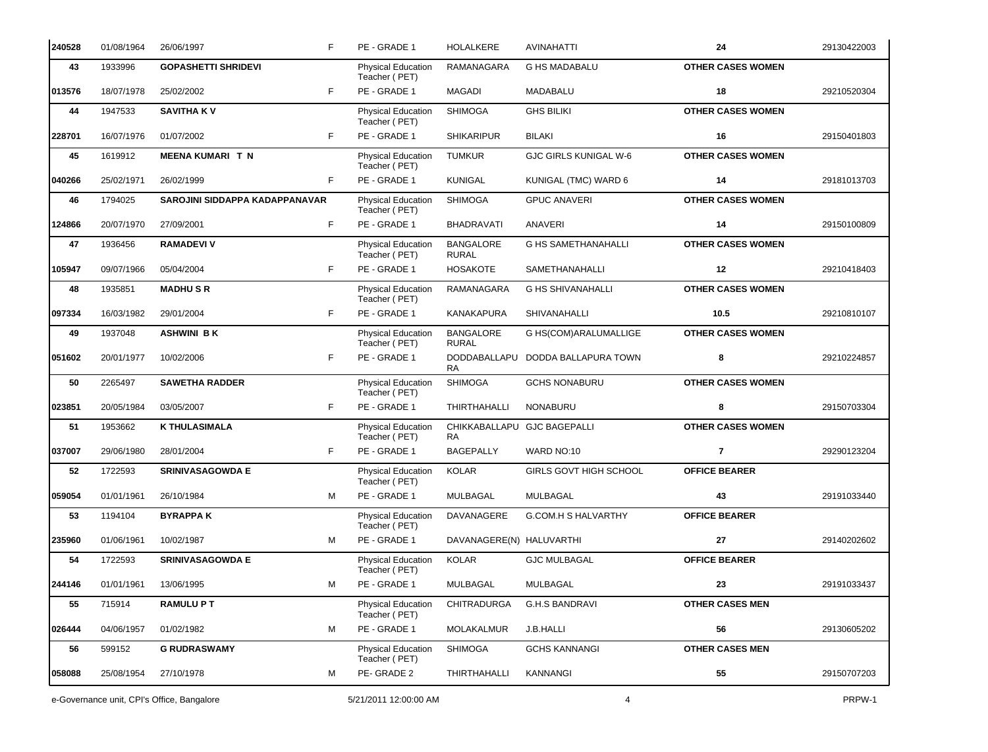| 240528 | 01/08/1964                                 | 26/06/1997                     | F  | PE - GRADE 1                        | <b>HOLALKERE</b>                 | <b>AVINAHATTI</b>             | 24                       | 29130422003 |
|--------|--------------------------------------------|--------------------------------|----|-------------------------------------|----------------------------------|-------------------------------|--------------------------|-------------|
| 43     | 1933996                                    | <b>GOPASHETTI SHRIDEVI</b>     |    | Physical Education<br>Teacher (PET) | RAMANAGARA                       | <b>G HS MADABALU</b>          | <b>OTHER CASES WOMEN</b> |             |
| 013576 | 18/07/1978                                 | 25/02/2002                     | F  | PE - GRADE 1                        | MAGADI                           | MADABALU                      | 18                       | 29210520304 |
| 44     | 1947533                                    | <b>SAVITHA KV</b>              |    | Physical Education<br>Teacher (PET) | <b>SHIMOGA</b>                   | <b>GHS BILIKI</b>             | <b>OTHER CASES WOMEN</b> |             |
| 228701 | 16/07/1976                                 | 01/07/2002                     | F. | PE - GRADE 1                        | <b>SHIKARIPUR</b>                | <b>BILAKI</b>                 | 16                       | 29150401803 |
| 45     | 1619912                                    | <b>MEENA KUMARI T N</b>        |    | Physical Education<br>Teacher (PET) | <b>TUMKUR</b>                    | <b>GJC GIRLS KUNIGAL W-6</b>  | <b>OTHER CASES WOMEN</b> |             |
| 040266 | 25/02/1971                                 | 26/02/1999                     | F. | PE - GRADE 1                        | <b>KUNIGAL</b>                   | KUNIGAL (TMC) WARD 6          | 14                       | 29181013703 |
| 46     | 1794025                                    | SAROJINI SIDDAPPA KADAPPANAVAR |    | Physical Education<br>Teacher (PET) | <b>SHIMOGA</b>                   | <b>GPUC ANAVERI</b>           | <b>OTHER CASES WOMEN</b> |             |
| 124866 | 20/07/1970                                 | 27/09/2001                     | F. | PE - GRADE 1                        | <b>BHADRAVATI</b>                | ANAVERI                       | 14                       | 29150100809 |
| 47     | 1936456                                    | <b>RAMADEVI V</b>              |    | Physical Education<br>Teacher (PET) | <b>BANGALORE</b><br><b>RURAL</b> | <b>G HS SAMETHANAHALLI</b>    | <b>OTHER CASES WOMEN</b> |             |
| 105947 | 09/07/1966                                 | 05/04/2004                     | F. | PE - GRADE 1                        | <b>HOSAKOTE</b>                  | SAMETHANAHALLI                | 12                       | 29210418403 |
| 48     | 1935851                                    | <b>MADHUSR</b>                 |    | Physical Education<br>Teacher (PET) | RAMANAGARA                       | <b>G HS SHIVANAHALLI</b>      | <b>OTHER CASES WOMEN</b> |             |
| 097334 | 16/03/1982                                 | 29/01/2004                     | F  | PE - GRADE 1                        | KANAKAPURA                       | SHIVANAHALLI                  | 10.5                     | 29210810107 |
| 49     | 1937048                                    | <b>ASHWINI BK</b>              |    | Physical Education<br>Teacher (PET) | <b>BANGALORE</b><br><b>RURAL</b> | G HS(COM)ARALUMALLIGE         | <b>OTHER CASES WOMEN</b> |             |
| 051602 | 20/01/1977                                 | 10/02/2006                     | F  | PE - GRADE 1                        | DODDABALLAPU<br>RA               | DODDA BALLAPURA TOWN          | 8                        | 29210224857 |
| 50     | 2265497                                    | <b>SAWETHA RADDER</b>          |    | Physical Education<br>Teacher (PET) | <b>SHIMOGA</b>                   | <b>GCHS NONABURU</b>          | <b>OTHER CASES WOMEN</b> |             |
| 023851 | 20/05/1984                                 | 03/05/2007                     | F. | PE - GRADE 1                        | <b>THIRTHAHALLI</b>              | <b>NONABURU</b>               | 8                        | 29150703304 |
| 51     | 1953662                                    | <b>K THULASIMALA</b>           |    | Physical Education<br>Teacher (PET) | <b>RA</b>                        | CHIKKABALLAPU GJC BAGEPALLI   | <b>OTHER CASES WOMEN</b> |             |
| 037007 | 29/06/1980                                 | 28/01/2004                     | F. | PE - GRADE 1                        | <b>BAGEPALLY</b>                 | WARD NO:10                    | $\overline{7}$           | 29290123204 |
| 52     | 1722593                                    | <b>SRINIVASAGOWDA E</b>        |    | Physical Education<br>Teacher (PET) | <b>KOLAR</b>                     | <b>GIRLS GOVT HIGH SCHOOL</b> | <b>OFFICE BEARER</b>     |             |
| 059054 | 01/01/1961                                 | 26/10/1984                     | м  | PE - GRADE 1                        | MULBAGAL                         | MULBAGAL                      | 43                       | 29191033440 |
| 53     | 1194104                                    | <b>BYRAPPAK</b>                |    | Physical Education<br>Teacher (PET) | DAVANAGERE                       | G.COM.H S HALVARTHY           | <b>OFFICE BEARER</b>     |             |
| 235960 | 01/06/1961                                 | 10/02/1987                     | M  | PE - GRADE 1                        | DAVANAGERE(N) HALUVARTHI         |                               | 27                       | 29140202602 |
| 54     | 1722593                                    | <b>SRINIVASAGOWDA E</b>        |    | Physical Education<br>Teacher (PET) | <b>KOLAR</b>                     | <b>GJC MULBAGAL</b>           | <b>OFFICE BEARER</b>     |             |
| 244146 | 01/01/1961                                 | 13/06/1995                     | м  | PE - GRADE 1                        | MULBAGAL                         | MULBAGAL                      | 23                       | 29191033437 |
| 55     | 715914                                     | <b>RAMULUPT</b>                |    | Physical Education<br>Teacher (PET) | <b>CHITRADURGA</b>               | <b>G.H.S BANDRAVI</b>         | <b>OTHER CASES MEN</b>   |             |
| 026444 | 04/06/1957                                 | 01/02/1982                     | м  | PE - GRADE 1                        | MOLAKALMUR                       | J.B.HALLI                     | 56                       | 29130605202 |
| 56     | 599152                                     | <b>G RUDRASWAMY</b>            |    | Physical Education<br>Teacher (PET) | <b>SHIMOGA</b>                   | <b>GCHS KANNANGI</b>          | <b>OTHER CASES MEN</b>   |             |
| 058088 | 25/08/1954                                 | 27/10/1978                     | м  | PE-GRADE 2                          | THIRTHAHALLI                     | KANNANGI                      | 55                       | 29150707203 |
|        | e-Governance unit, CPI's Office, Bangalore |                                |    | 5/21/2011 12:00:00 AM               |                                  | 4                             |                          | PRPW-1      |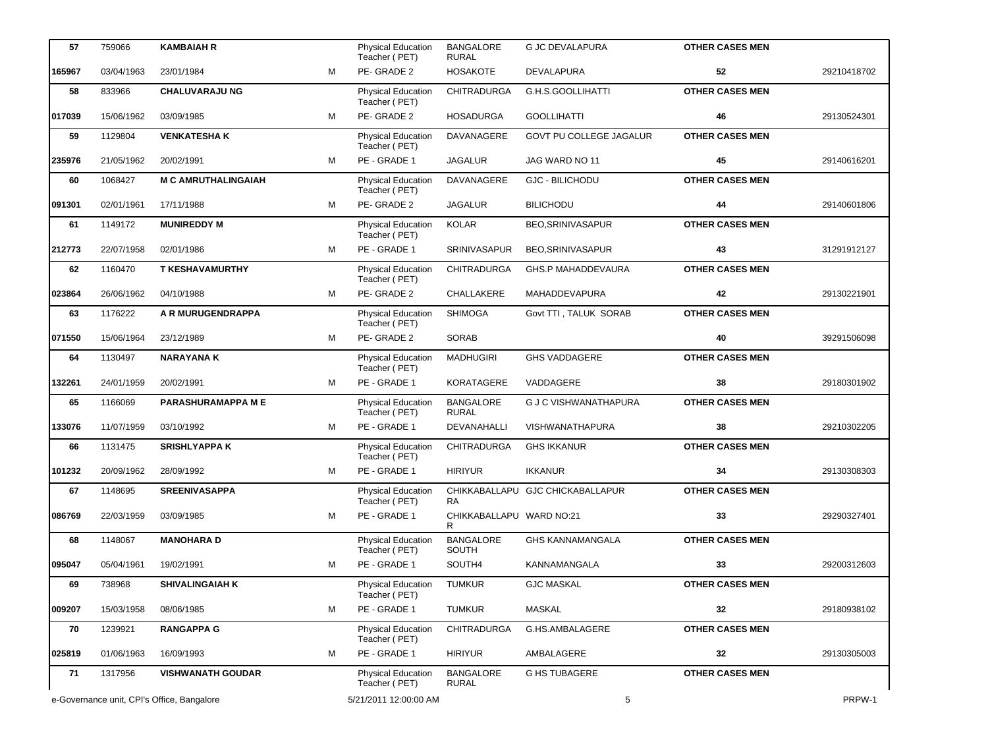| 57     | 759066                                     | <b>KAMBAIAH R</b>          |   | <b>Physical Education</b><br>Teacher (PET) | <b>BANGALORE</b><br><b>RURAL</b> | <b>G JC DEVALAPURA</b>           | <b>OTHER CASES MEN</b> |             |
|--------|--------------------------------------------|----------------------------|---|--------------------------------------------|----------------------------------|----------------------------------|------------------------|-------------|
| 165967 | 03/04/1963                                 | 23/01/1984                 | M | PE-GRADE 2                                 | <b>HOSAKOTE</b>                  | DEVALAPURA                       | 52                     | 29210418702 |
| 58     | 833966                                     | <b>CHALUVARAJU NG</b>      |   | <b>Physical Education</b><br>Teacher (PET) | <b>CHITRADURGA</b>               | G.H.S.GOOLLIHATTI                | <b>OTHER CASES MEN</b> |             |
| 017039 | 15/06/1962                                 | 03/09/1985                 | M | PE-GRADE 2                                 | <b>HOSADURGA</b>                 | <b>GOOLLIHATTI</b>               | 46                     | 29130524301 |
| 59     | 1129804                                    | <b>VENKATESHAK</b>         |   | Physical Education<br>Teacher (PET)        | DAVANAGERE                       | GOVT PU COLLEGE JAGALUR          | <b>OTHER CASES MEN</b> |             |
| 235976 | 21/05/1962                                 | 20/02/1991                 | M | PE - GRADE 1                               | <b>JAGALUR</b>                   | JAG WARD NO 11                   | 45                     | 29140616201 |
| 60     | 1068427                                    | <b>M C AMRUTHALINGAIAH</b> |   | Physical Education<br>Teacher (PET)        | <b>DAVANAGERE</b>                | <b>GJC - BILICHODU</b>           | <b>OTHER CASES MEN</b> |             |
| 091301 | 02/01/1961                                 | 17/11/1988                 | м | PE-GRADE 2                                 | <b>JAGALUR</b>                   | <b>BILICHODU</b>                 | 44                     | 29140601806 |
| 61     | 1149172                                    | <b>MUNIREDDY M</b>         |   | Physical Education<br>Teacher (PET)        | <b>KOLAR</b>                     | BEO, SRINIVASAPUR                | <b>OTHER CASES MEN</b> |             |
| 212773 | 22/07/1958                                 | 02/01/1986                 | M | PE - GRADE 1                               | SRINIVASAPUR                     | BEO, SRINIVASAPUR                | 43                     | 31291912127 |
| 62     | 1160470                                    | <b>T KESHAVAMURTHY</b>     |   | Physical Education<br>Teacher (PET)        | CHITRADURGA                      | <b>GHS.P MAHADDEVAURA</b>        | <b>OTHER CASES MEN</b> |             |
| 023864 | 26/06/1962                                 | 04/10/1988                 | м | PE-GRADE 2                                 | CHALLAKERE                       | MAHADDEVAPURA                    | 42                     | 29130221901 |
| 63     | 1176222                                    | A R MURUGENDRAPPA          |   | Physical Education<br>Teacher (PET)        | <b>SHIMOGA</b>                   | Govt TTI . TALUK SORAB           | <b>OTHER CASES MEN</b> |             |
| 071550 | 15/06/1964                                 | 23/12/1989                 | м | PE-GRADE 2                                 | <b>SORAB</b>                     |                                  | 40                     | 39291506098 |
| 64     | 1130497                                    | <b>NARAYANAK</b>           |   | Physical Education<br>Teacher (PET)        | <b>MADHUGIRI</b>                 | <b>GHS VADDAGERE</b>             | <b>OTHER CASES MEN</b> |             |
| 132261 | 24/01/1959                                 | 20/02/1991                 | м | PE - GRADE 1                               | <b>KORATAGERE</b>                | VADDAGERE                        | 38                     | 29180301902 |
| 65     | 1166069                                    | PARASHURAMAPPA ME          |   | <b>Physical Education</b><br>Teacher (PET) | <b>BANGALORE</b><br><b>RURAL</b> | <b>G J C VISHWANATHAPURA</b>     | <b>OTHER CASES MEN</b> |             |
| 133076 | 11/07/1959                                 | 03/10/1992                 | M | PE - GRADE 1                               | DEVANAHALLI                      | VISHWANATHAPURA                  | 38                     | 29210302205 |
| 66     | 1131475                                    | <b>SRISHLYAPPA K</b>       |   | Physical Education<br>Teacher (PET)        | <b>CHITRADURGA</b>               | <b>GHS IKKANUR</b>               | <b>OTHER CASES MEN</b> |             |
| 101232 | 20/09/1962                                 | 28/09/1992                 | M | PE - GRADE 1                               | <b>HIRIYUR</b>                   | <b>IKKANUR</b>                   | 34                     | 29130308303 |
| 67     | 1148695                                    | <b>SREENIVASAPPA</b>       |   | Physical Education<br>Teacher (PET)        | RA.                              | CHIKKABALLAPU GJC CHICKABALLAPUR | <b>OTHER CASES MEN</b> |             |
| 086769 | 22/03/1959                                 | 03/09/1985                 | м | PE - GRADE 1                               | CHIKKABALLAPU WARD NO:21<br>R.   |                                  | 33                     | 29290327401 |
| 68     | 1148067                                    | <b>MANOHARA D</b>          |   | <b>Physical Education</b><br>Teacher (PET) | <b>BANGALORE</b><br><b>SOUTH</b> | <b>GHS KANNAMANGALA</b>          | <b>OTHER CASES MEN</b> |             |
| 095047 | 05/04/1961                                 | 19/02/1991                 | М | PE - GRADE 1                               | SOUTH4                           | KANNAMANGALA                     | 33                     | 29200312603 |
| 69     | 738968                                     | <b>SHIVALINGAIAH K</b>     |   | Physical Education<br>Teacher (PET)        | <b>TUMKUR</b>                    | <b>GJC MASKAL</b>                | <b>OTHER CASES MEN</b> |             |
| 009207 | 15/03/1958                                 | 08/06/1985                 | М | PE - GRADE 1                               | TUMKUR                           | MASKAL                           | 32                     | 29180938102 |
| 70     | 1239921                                    | <b>RANGAPPA G</b>          |   | Physical Education<br>Teacher (PET)        | <b>CHITRADURGA</b>               | G.HS.AMBALAGERE                  | <b>OTHER CASES MEN</b> |             |
| 025819 | 01/06/1963                                 | 16/09/1993                 | м | PE - GRADE 1                               | <b>HIRIYUR</b>                   | AMBALAGERE                       | 32                     | 29130305003 |
| 71     | 1317956                                    | <b>VISHWANATH GOUDAR</b>   |   | <b>Physical Education</b><br>Teacher (PET) | <b>BANGALORE</b><br><b>RURAL</b> | <b>G HS TUBAGERE</b>             | <b>OTHER CASES MEN</b> |             |
|        | e-Governance unit, CPI's Office, Bangalore |                            |   | 5/21/2011 12:00:00 AM                      |                                  | 5                                |                        | PRPW-1      |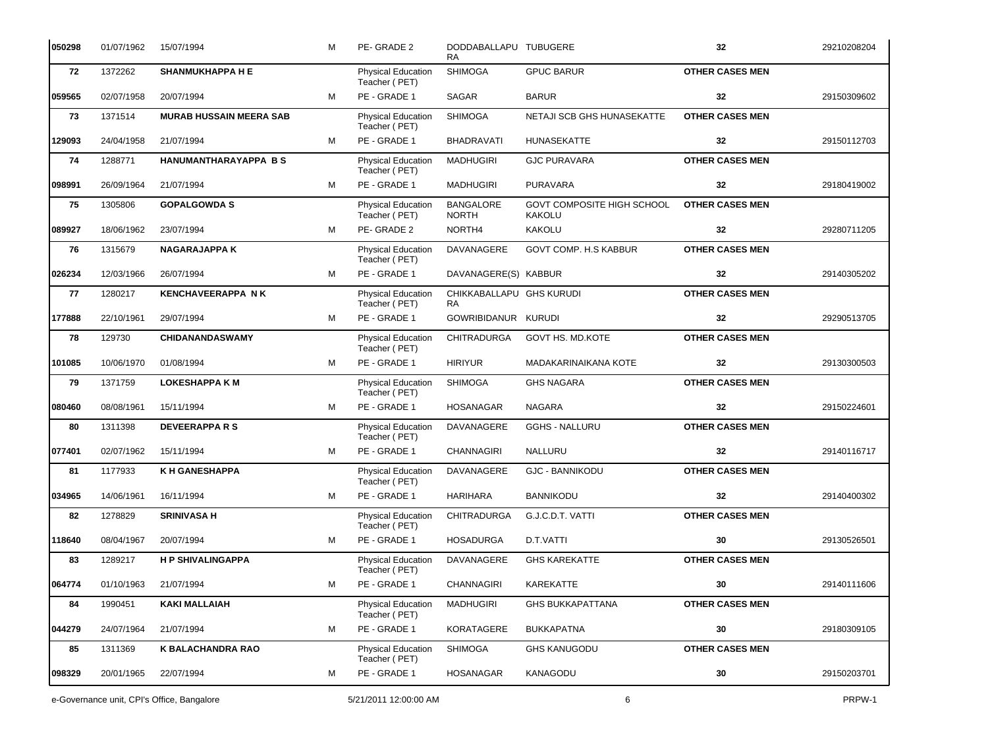| 050298 | 01/07/1962                                 | 15/07/1994                     | м | PE-GRADE 2                                 | DODDABALLAPU TUBUGERE<br>RA.          |                                             | 32                     | 29210208204 |
|--------|--------------------------------------------|--------------------------------|---|--------------------------------------------|---------------------------------------|---------------------------------------------|------------------------|-------------|
| 72     | 1372262                                    | <b>SHANMUKHAPPA HE</b>         |   | Physical Education<br>Teacher (PET)        | <b>SHIMOGA</b>                        | <b>GPUC BARUR</b>                           | <b>OTHER CASES MEN</b> |             |
| 059565 | 02/07/1958                                 | 20/07/1994                     | м | PE - GRADE 1                               | <b>SAGAR</b>                          | <b>BARUR</b>                                | 32                     | 29150309602 |
| 73     | 1371514                                    | <b>MURAB HUSSAIN MEERA SAB</b> |   | Physical Education<br>Teacher (PET)        | <b>SHIMOGA</b>                        | NETAJI SCB GHS HUNASEKATTE                  | <b>OTHER CASES MEN</b> |             |
| 129093 | 24/04/1958                                 | 21/07/1994                     | м | PE - GRADE 1                               | <b>BHADRAVATI</b>                     | HUNASEKATTE                                 | 32                     | 29150112703 |
| 74     | 1288771                                    | <b>HANUMANTHARAYAPPA BS</b>    |   | Physical Education<br>Teacher (PET)        | <b>MADHUGIRI</b>                      | <b>GJC PURAVARA</b>                         | <b>OTHER CASES MEN</b> |             |
| 098991 | 26/09/1964                                 | 21/07/1994                     | м | PE - GRADE 1                               | <b>MADHUGIRI</b>                      | <b>PURAVARA</b>                             | 32                     | 29180419002 |
| 75     | 1305806                                    | <b>GOPALGOWDA S</b>            |   | <b>Physical Education</b><br>Teacher (PET) | <b>BANGALORE</b><br><b>NORTH</b>      | GOVT COMPOSITE HIGH SCHOOL<br><b>KAKOLU</b> | <b>OTHER CASES MEN</b> |             |
| 089927 | 18/06/1962                                 | 23/07/1994                     | м | PE-GRADE 2                                 | NORTH4                                | <b>KAKOLU</b>                               | 32                     | 29280711205 |
| 76     | 1315679                                    | <b>NAGARAJAPPA K</b>           |   | Physical Education<br>Teacher (PET)        | DAVANAGERE                            | GOVT COMP. H.S KABBUR                       | <b>OTHER CASES MEN</b> |             |
| 026234 | 12/03/1966                                 | 26/07/1994                     | м | PE - GRADE 1                               | DAVANAGERE(S) KABBUR                  |                                             | 32                     | 29140305202 |
| 77     | 1280217                                    | <b>KENCHAVEERAPPA NK</b>       |   | <b>Physical Education</b><br>Teacher (PET) | CHIKKABALLAPU GHS KURUDI<br><b>RA</b> |                                             | <b>OTHER CASES MEN</b> |             |
| 177888 | 22/10/1961                                 | 29/07/1994                     | м | PE - GRADE 1                               | GOWRIBIDANUR KURUDI                   |                                             | 32                     | 29290513705 |
| 78     | 129730                                     | <b>CHIDANANDASWAMY</b>         |   | Physical Education<br>Teacher (PET)        | <b>CHITRADURGA</b>                    | GOVT HS. MD.KOTE                            | <b>OTHER CASES MEN</b> |             |
| 101085 | 10/06/1970                                 | 01/08/1994                     | м | PE - GRADE 1                               | <b>HIRIYUR</b>                        | MADAKARINAIKANA KOTE                        | 32                     | 29130300503 |
| 79     | 1371759                                    | <b>LOKESHAPPA K M</b>          |   | <b>Physical Education</b><br>Teacher (PET) | <b>SHIMOGA</b>                        | <b>GHS NAGARA</b>                           | <b>OTHER CASES MEN</b> |             |
| 080460 | 08/08/1961                                 | 15/11/1994                     | м | PE - GRADE 1                               | <b>HOSANAGAR</b>                      | <b>NAGARA</b>                               | 32                     | 29150224601 |
| 80     | 1311398                                    | <b>DEVEERAPPARS</b>            |   | Physical Education<br>Teacher (PET)        | DAVANAGERE                            | <b>GGHS - NALLURU</b>                       | <b>OTHER CASES MEN</b> |             |
| 077401 | 02/07/1962                                 | 15/11/1994                     | м | PE - GRADE 1                               | <b>CHANNAGIRI</b>                     | NALLURU                                     | 32                     | 29140116717 |
| 81     | 1177933                                    | <b>K H GANESHAPPA</b>          |   | Physical Education<br>Teacher (PET)        | <b>DAVANAGERE</b>                     | <b>GJC - BANNIKODU</b>                      | <b>OTHER CASES MEN</b> |             |
| 034965 | 14/06/1961                                 | 16/11/1994                     | м | PE - GRADE 1                               | <b>HARIHARA</b>                       | <b>BANNIKODU</b>                            | 32                     | 29140400302 |
| 82     | 1278829                                    | <b>SRINIVASA H</b>             |   | Physical Education<br>Teacher (PET)        | <b>CHITRADURGA</b>                    | G.J.C.D.T. VATTI                            | <b>OTHER CASES MEN</b> |             |
| 118640 | 08/04/1967                                 | 20/07/1994                     | М | PE - GRADE 1                               | <b>HOSADURGA</b>                      | D.T.VATTI                                   | 30                     | 29130526501 |
| 83     | 1289217                                    | <b>H P SHIVALINGAPPA</b>       |   | <b>Physical Education</b><br>Teacher (PET) | DAVANAGERE                            | <b>GHS KAREKATTE</b>                        | <b>OTHER CASES MEN</b> |             |
| 064774 | 01/10/1963                                 | 21/07/1994                     | м | PE - GRADE 1                               | <b>CHANNAGIRI</b>                     | KAREKATTE                                   | 30                     | 29140111606 |
| 84     | 1990451                                    | <b>KAKI MALLAIAH</b>           |   | <b>Physical Education</b><br>Teacher (PET) | <b>MADHUGIRI</b>                      | <b>GHS BUKKAPATTANA</b>                     | <b>OTHER CASES MEN</b> |             |
| 044279 | 24/07/1964                                 | 21/07/1994                     | м | PE - GRADE 1                               | KORATAGERE                            | <b>BUKKAPATNA</b>                           | $30\,$                 | 29180309105 |
| 85     | 1311369                                    | <b>K BALACHANDRA RAO</b>       |   | <b>Physical Education</b><br>Teacher (PET) | <b>SHIMOGA</b>                        | <b>GHS KANUGODU</b>                         | <b>OTHER CASES MEN</b> |             |
| 098329 | 20/01/1965                                 | 22/07/1994                     | м | PE - GRADE 1                               | <b>HOSANAGAR</b>                      | KANAGODU                                    | $30\,$                 | 29150203701 |
|        | e-Governance unit, CPI's Office, Bangalore |                                |   | 5/21/2011 12:00:00 AM                      |                                       | 6                                           |                        | PRPW-1      |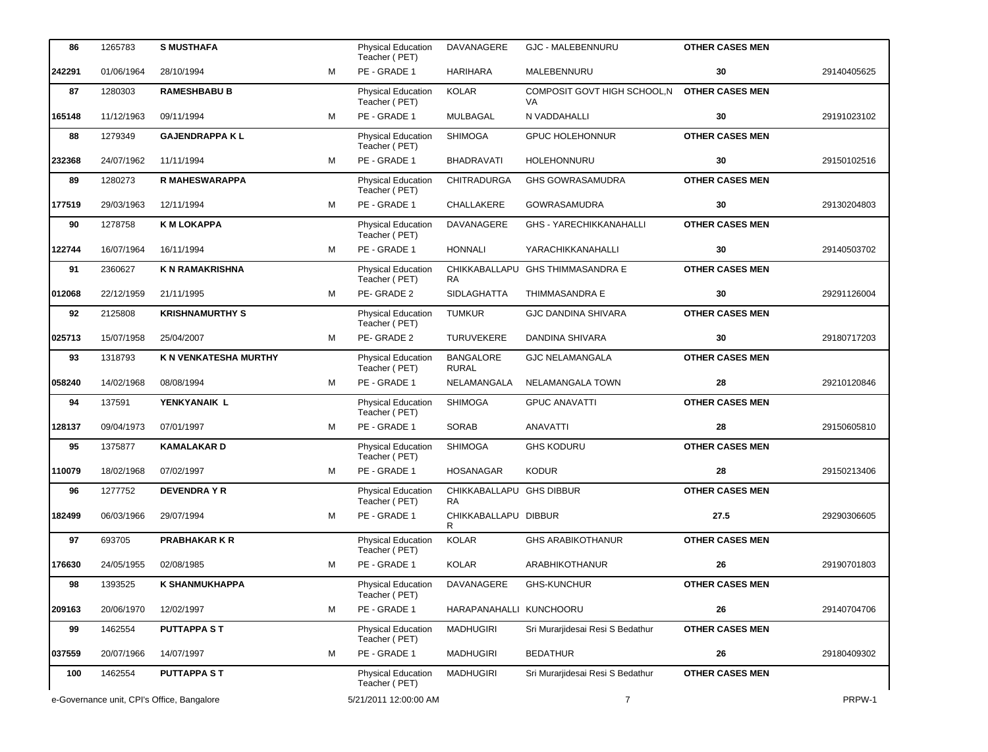| 86     | 1265783                                    | <b>S MUSTHAFA</b>      |   | <b>Physical Education</b><br>Teacher (PET) | DAVANAGERE                            | <b>GJC - MALEBENNURU</b>           | <b>OTHER CASES MEN</b> |             |
|--------|--------------------------------------------|------------------------|---|--------------------------------------------|---------------------------------------|------------------------------------|------------------------|-------------|
| 242291 | 01/06/1964                                 | 28/10/1994             | м | PE - GRADE 1                               | <b>HARIHARA</b>                       | MALEBENNURU                        | 30                     | 29140405625 |
| 87     | 1280303                                    | <b>RAMESHBABU B</b>    |   | Physical Education<br>Teacher (PET)        | <b>KOLAR</b>                          | COMPOSIT GOVT HIGH SCHOOL, N<br>VA | <b>OTHER CASES MEN</b> |             |
| 165148 | 11/12/1963                                 | 09/11/1994             | м | PE - GRADE 1                               | <b>MULBAGAL</b>                       | N VADDAHALLI                       | 30                     | 29191023102 |
| 88     | 1279349                                    | <b>GAJENDRAPPA KL</b>  |   | Physical Education<br>Teacher (PET)        | <b>SHIMOGA</b>                        | <b>GPUC HOLEHONNUR</b>             | <b>OTHER CASES MEN</b> |             |
| 232368 | 24/07/1962                                 | 11/11/1994             | м | PE - GRADE 1                               | <b>BHADRAVATI</b>                     | HOLEHONNURU                        | 30                     | 29150102516 |
| 89     | 1280273                                    | R MAHESWARAPPA         |   | Physical Education<br>Teacher (PET)        | <b>CHITRADURGA</b>                    | <b>GHS GOWRASAMUDRA</b>            | <b>OTHER CASES MEN</b> |             |
| 177519 | 29/03/1963                                 | 12/11/1994             | м | PE - GRADE 1                               | CHALLAKERE                            | <b>GOWRASAMUDRA</b>                | 30                     | 29130204803 |
| 90     | 1278758                                    | <b>K M LOKAPPA</b>     |   | Physical Education<br>Teacher (PET)        | DAVANAGERE                            | <b>GHS - YARECHIKKANAHALLI</b>     | <b>OTHER CASES MEN</b> |             |
| 122744 | 16/07/1964                                 | 16/11/1994             | м | PE - GRADE 1                               | <b>HONNALI</b>                        | YARACHIKKANAHALLI                  | 30                     | 29140503702 |
| 91     | 2360627                                    | <b>K N RAMAKRISHNA</b> |   | Physical Education<br>Teacher (PET)        | <b>RA</b>                             | CHIKKABALLAPU GHS THIMMASANDRA E   | <b>OTHER CASES MEN</b> |             |
| 012068 | 22/12/1959                                 | 21/11/1995             | м | PE-GRADE 2                                 | <b>SIDLAGHATTA</b>                    | <b>THIMMASANDRA E</b>              | 30                     | 29291126004 |
| 92     | 2125808                                    | <b>KRISHNAMURTHY S</b> |   | Physical Education<br>Teacher (PET)        | <b>TUMKUR</b>                         | <b>GJC DANDINA SHIVARA</b>         | <b>OTHER CASES MEN</b> |             |
| 025713 | 15/07/1958                                 | 25/04/2007             | м | PE-GRADE 2                                 | <b>TURUVEKERE</b>                     | DANDINA SHIVARA                    | 30                     | 29180717203 |
| 93     | 1318793                                    | K N VENKATESHA MURTHY  |   | Physical Education<br>Teacher (PET)        | <b>BANGALORE</b><br><b>RURAL</b>      | <b>GJC NELAMANGALA</b>             | <b>OTHER CASES MEN</b> |             |
| 058240 | 14/02/1968                                 | 08/08/1994             | м | PE - GRADE 1                               | NELAMANGALA                           | NELAMANGALA TOWN                   | 28                     | 29210120846 |
| 94     | 137591                                     | YENKYANAIK L           |   | <b>Physical Education</b><br>Teacher (PET) | <b>SHIMOGA</b>                        | <b>GPUC ANAVATTI</b>               | <b>OTHER CASES MEN</b> |             |
| 128137 | 09/04/1973                                 | 07/01/1997             | м | PE - GRADE 1                               | SORAB                                 | <b>ANAVATTI</b>                    | 28                     | 29150605810 |
| 95     | 1375877                                    | <b>KAMALAKARD</b>      |   | Physical Education<br>Teacher (PET)        | <b>SHIMOGA</b>                        | <b>GHS KODURU</b>                  | <b>OTHER CASES MEN</b> |             |
| 110079 | 18/02/1968                                 | 07/02/1997             | M | PE - GRADE 1                               | <b>HOSANAGAR</b>                      | <b>KODUR</b>                       | 28                     | 29150213406 |
| 96     | 1277752                                    | <b>DEVENDRAYR</b>      |   | <b>Physical Education</b><br>Teacher (PET) | CHIKKABALLAPU GHS DIBBUR<br><b>RA</b> |                                    | <b>OTHER CASES MEN</b> |             |
| 182499 | 06/03/1966                                 | 29/07/1994             | м | PE - GRADE 1                               | CHIKKABALLAPU DIBBUR<br>R             |                                    | 27.5                   | 29290306605 |
| 97     | 693705                                     | <b>PRABHAKAR K R</b>   |   | <b>Physical Education</b><br>Teacher (PET) | <b>KOLAR</b>                          | <b>GHS ARABIKOTHANUR</b>           | <b>OTHER CASES MEN</b> |             |
| 176630 | 24/05/1955                                 | 02/08/1985             | м | PE - GRADE 1                               | KOLAR                                 | ARABHIKOTHANUR                     | 26                     | 29190701803 |
| 98     | 1393525                                    | <b>K SHANMUKHAPPA</b>  |   | Physical Education<br>Teacher (PET)        | DAVANAGERE                            | <b>GHS-KUNCHUR</b>                 | <b>OTHER CASES MEN</b> |             |
| 209163 | 20/06/1970                                 | 12/02/1997             | м | PE - GRADE 1                               | HARAPANAHALLI KUNCHOORU               |                                    | 26                     | 29140704706 |
| 99     | 1462554                                    | <b>PUTTAPPA ST</b>     |   | <b>Physical Education</b><br>Teacher (PET) | <b>MADHUGIRI</b>                      | Sri Murarjidesai Resi S Bedathur   | <b>OTHER CASES MEN</b> |             |
| 037559 | 20/07/1966                                 | 14/07/1997             | м | PE - GRADE 1                               | <b>MADHUGIRI</b>                      | <b>BEDATHUR</b>                    | 26                     | 29180409302 |
| 100    | 1462554                                    | <b>PUTTAPPA ST</b>     |   | <b>Physical Education</b><br>Teacher (PET) | <b>MADHUGIRI</b>                      | Sri Murarjidesai Resi S Bedathur   | <b>OTHER CASES MEN</b> |             |
|        | e-Governance unit, CPI's Office, Bangalore |                        |   | 5/21/2011 12:00:00 AM                      |                                       | $\overline{7}$                     |                        | PRPW-1      |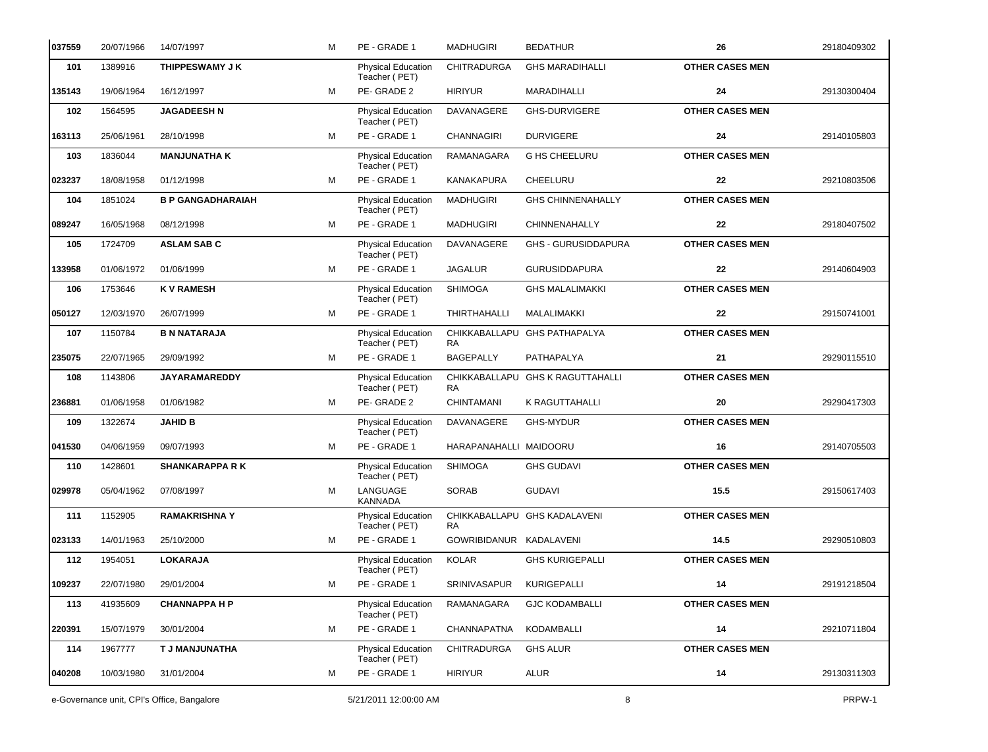| 037559 | 20/07/1966                                 | 14/07/1997               | M | PE - GRADE 1                               | <b>MADHUGIRI</b>        | <b>BEDATHUR</b>                  | 26                     | 29180409302 |
|--------|--------------------------------------------|--------------------------|---|--------------------------------------------|-------------------------|----------------------------------|------------------------|-------------|
| 101    | 1389916                                    | THIPPESWAMY J K          |   | <b>Physical Education</b><br>Teacher (PET) | <b>CHITRADURGA</b>      | <b>GHS MARADIHALLI</b>           | <b>OTHER CASES MEN</b> |             |
| 135143 | 19/06/1964                                 | 16/12/1997               | м | PE-GRADE 2                                 | <b>HIRIYUR</b>          | MARADIHALLI                      | 24                     | 29130300404 |
| 102    | 1564595                                    | <b>JAGADEESH N</b>       |   | Physical Education<br>Teacher (PET)        | DAVANAGERE              | <b>GHS-DURVIGERE</b>             | <b>OTHER CASES MEN</b> |             |
| 163113 | 25/06/1961                                 | 28/10/1998               | м | PE - GRADE 1                               | <b>CHANNAGIRI</b>       | <b>DURVIGERE</b>                 | 24                     | 29140105803 |
| 103    | 1836044                                    | <b>MANJUNATHA K</b>      |   | Physical Education<br>Teacher (PET)        | RAMANAGARA              | <b>G HS CHEELURU</b>             | <b>OTHER CASES MEN</b> |             |
| 023237 | 18/08/1958                                 | 01/12/1998               | м | PE - GRADE 1                               | KANAKAPURA              | CHEELURU                         | 22                     | 29210803506 |
| 104    | 1851024                                    | <b>B P GANGADHARAIAH</b> |   | Physical Education<br>Teacher (PET)        | <b>MADHUGIRI</b>        | <b>GHS CHINNENAHALLY</b>         | <b>OTHER CASES MEN</b> |             |
| 089247 | 16/05/1968                                 | 08/12/1998               | M | PE - GRADE 1                               | <b>MADHUGIRI</b>        | CHINNENAHALLY                    | 22                     | 29180407502 |
| 105    | 1724709                                    | <b>ASLAM SAB C</b>       |   | <b>Physical Education</b><br>Teacher (PET) | DAVANAGERE              | <b>GHS - GURUSIDDAPURA</b>       | <b>OTHER CASES MEN</b> |             |
| 133958 | 01/06/1972                                 | 01/06/1999               | м | PE - GRADE 1                               | <b>JAGALUR</b>          | <b>GURUSIDDAPURA</b>             | 22                     | 29140604903 |
| 106    | 1753646                                    | <b>KV RAMESH</b>         |   | Physical Education<br>Teacher (PET)        | <b>SHIMOGA</b>          | <b>GHS MALALIMAKKI</b>           | <b>OTHER CASES MEN</b> |             |
| 050127 | 12/03/1970                                 | 26/07/1999               | м | PE - GRADE 1                               | <b>THIRTHAHALLI</b>     | MALALIMAKKI                      | 22                     | 29150741001 |
| 107    | 1150784                                    | <b>B N NATARAJA</b>      |   | Physical Education<br>Teacher (PET)        | CHIKKABALLAPU<br>RA     | <b>GHS PATHAPALYA</b>            | <b>OTHER CASES MEN</b> |             |
| 235075 | 22/07/1965                                 | 29/09/1992               | м | PE - GRADE 1                               | <b>BAGEPALLY</b>        | PATHAPALYA                       | 21                     | 29290115510 |
| 108    | 1143806                                    | <b>JAYARAMAREDDY</b>     |   | <b>Physical Education</b><br>Teacher (PET) | RA.                     | CHIKKABALLAPU GHS K RAGUTTAHALLI | <b>OTHER CASES MEN</b> |             |
| 236881 | 01/06/1958                                 | 01/06/1982               | м | PE-GRADE 2                                 | <b>CHINTAMANI</b>       | K RAGUTTAHALLI                   | 20                     | 29290417303 |
| 109    | 1322674                                    | <b>JAHID B</b>           |   | Physical Education<br>Teacher (PET)        | DAVANAGERE              | <b>GHS-MYDUR</b>                 | <b>OTHER CASES MEN</b> |             |
| 041530 | 04/06/1959                                 | 09/07/1993               | м | PE - GRADE 1                               | HARAPANAHALLI MAIDOORU  |                                  | 16                     | 29140705503 |
| 110    | 1428601                                    | <b>SHANKARAPPA R K</b>   |   | Physical Education<br>Teacher (PET)        | <b>SHIMOGA</b>          | <b>GHS GUDAVI</b>                | <b>OTHER CASES MEN</b> |             |
| 029978 | 05/04/1962                                 | 07/08/1997               | м | LANGUAGE<br>KANNADA                        | <b>SORAB</b>            | <b>GUDAVI</b>                    | 15.5                   | 29150617403 |
| 111    | 1152905                                    | <b>RAMAKRISHNA Y</b>     |   | <b>Physical Education</b><br>Teacher (PET) | RA                      | CHIKKABALLAPU GHS KADALAVENI     | <b>OTHER CASES MEN</b> |             |
| 023133 | 14/01/1963                                 | 25/10/2000               | М | PE - GRADE 1                               | GOWRIBIDANUR KADALAVENI |                                  | 14.5                   | 29290510803 |
| 112    | 1954051                                    | <b>LOKARAJA</b>          |   | Physical Education<br>Teacher (PET)        | <b>KOLAR</b>            | <b>GHS KURIGEPALLI</b>           | <b>OTHER CASES MEN</b> |             |
| 109237 | 22/07/1980                                 | 29/01/2004               | М | PE - GRADE 1                               | SRINIVASAPUR            | KURIGEPALLI                      | 14                     | 29191218504 |
| 113    | 41935609                                   | <b>CHANNAPPA H P</b>     |   | Physical Education<br>Teacher (PET)        | RAMANAGARA              | <b>GJC KODAMBALLI</b>            | <b>OTHER CASES MEN</b> |             |
| 220391 | 15/07/1979                                 | 30/01/2004               | м | PE - GRADE 1                               | CHANNAPATNA             | KODAMBALLI                       | 14                     | 29210711804 |
| 114    | 1967777                                    | T J MANJUNATHA           |   | Physical Education<br>Teacher (PET)        | CHITRADURGA             | <b>GHS ALUR</b>                  | <b>OTHER CASES MEN</b> |             |
| 040208 | 10/03/1980                                 | 31/01/2004               | М | PE - GRADE 1                               | <b>HIRIYUR</b>          | ALUR                             | 14                     | 29130311303 |
|        | e-Governance unit, CPI's Office, Bangalore |                          |   | 5/21/2011 12:00:00 AM                      |                         | 8                                |                        | PRPW-1      |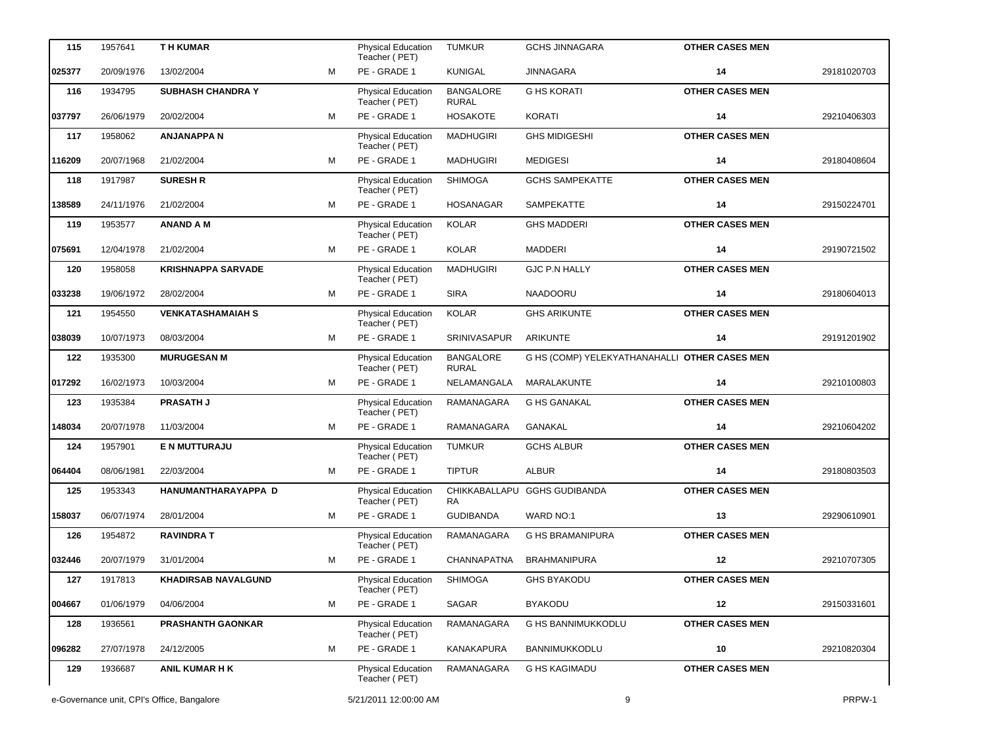| 115    | 1957641    | <b>TH KUMAR</b>                            |   |                                            | <b>TUMKUR</b>                    | <b>GCHS JINNAGARA</b>                         | <b>OTHER CASES MEN</b> |             |
|--------|------------|--------------------------------------------|---|--------------------------------------------|----------------------------------|-----------------------------------------------|------------------------|-------------|
|        |            |                                            |   | <b>Physical Education</b><br>Teacher (PET) |                                  |                                               |                        |             |
| 025377 | 20/09/1976 | 13/02/2004                                 | M | PE - GRADE 1                               | <b>KUNIGAL</b>                   | <b>JINNAGARA</b>                              | 14                     | 29181020703 |
| 116    | 1934795    | <b>SUBHASH CHANDRA Y</b>                   |   | <b>Physical Education</b><br>Teacher (PET) | <b>BANGALORE</b><br><b>RURAL</b> | <b>G HS KORATI</b>                            | <b>OTHER CASES MEN</b> |             |
| 037797 | 26/06/1979 | 20/02/2004                                 | M | PE - GRADE 1                               | <b>HOSAKOTE</b>                  | <b>KORATI</b>                                 | 14                     | 29210406303 |
| 117    | 1958062    | <b>ANJANAPPAN</b>                          |   | Physical Education<br>Teacher (PET)        | <b>MADHUGIRI</b>                 | <b>GHS MIDIGESHI</b>                          | <b>OTHER CASES MEN</b> |             |
| 116209 | 20/07/1968 | 21/02/2004                                 | M | PE - GRADE 1                               | <b>MADHUGIRI</b>                 | <b>MEDIGESI</b>                               | 14                     | 29180408604 |
| 118    | 1917987    | <b>SURESH R</b>                            |   | Physical Education<br>Teacher (PET)        | <b>SHIMOGA</b>                   | <b>GCHS SAMPEKATTE</b>                        | <b>OTHER CASES MEN</b> |             |
| 138589 | 24/11/1976 | 21/02/2004                                 | м | PE - GRADE 1                               | <b>HOSANAGAR</b>                 | SAMPEKATTE                                    | 14                     | 29150224701 |
| 119    | 1953577    | <b>ANAND A M</b>                           |   | Physical Education<br>Teacher (PET)        | <b>KOLAR</b>                     | <b>GHS MADDERI</b>                            | <b>OTHER CASES MEN</b> |             |
| 075691 | 12/04/1978 | 21/02/2004                                 | M | PE - GRADE 1                               | <b>KOLAR</b>                     | <b>MADDERI</b>                                | 14                     | 29190721502 |
| 120    | 1958058    | <b>KRISHNAPPA SARVADE</b>                  |   | Physical Education<br>Teacher (PET)        | <b>MADHUGIRI</b>                 | <b>GJC P.N HALLY</b>                          | <b>OTHER CASES MEN</b> |             |
| 033238 | 19/06/1972 | 28/02/2004                                 | м | PE - GRADE 1                               | <b>SIRA</b>                      | <b>NAADOORU</b>                               | 14                     | 29180604013 |
| 121    | 1954550    | <b>VENKATASHAMAIAH S</b>                   |   | Physical Education<br>Teacher (PET)        | <b>KOLAR</b>                     | <b>GHS ARIKUNTE</b>                           | <b>OTHER CASES MEN</b> |             |
| 038039 | 10/07/1973 | 08/03/2004                                 | м | PE - GRADE 1                               | SRINIVASAPUR                     | ARIKUNTE                                      | 14                     | 29191201902 |
| 122    | 1935300    | <b>MURUGESAN M</b>                         |   | Physical Education<br>Teacher (PET)        | <b>BANGALORE</b><br><b>RURAL</b> | G HS (COMP) YELEKYATHANAHALLI OTHER CASES MEN |                        |             |
| 017292 | 16/02/1973 | 10/03/2004                                 | м | PE - GRADE 1                               | NELAMANGALA                      | MARALAKUNTE                                   | 14                     | 29210100803 |
| 123    | 1935384    | <b>PRASATH J</b>                           |   | <b>Physical Education</b><br>Teacher (PET) | RAMANAGARA                       | <b>G HS GANAKAL</b>                           | <b>OTHER CASES MEN</b> |             |
| 148034 | 20/07/1978 | 11/03/2004                                 | м | PE - GRADE 1                               | RAMANAGARA                       | <b>GANAKAL</b>                                | 14                     | 29210604202 |
| 124    | 1957901    | E N MUTTURAJU                              |   | Physical Education<br>Teacher (PET)        | <b>TUMKUR</b>                    | <b>GCHS ALBUR</b>                             | <b>OTHER CASES MEN</b> |             |
| 064404 | 08/06/1981 | 22/03/2004                                 | м | PE - GRADE 1                               | <b>TIPTUR</b>                    | <b>ALBUR</b>                                  | 14                     | 29180803503 |
| 125    | 1953343    | HANUMANTHARAYAPPA D                        |   | Physical Education<br>Teacher (PET)        | CHIKKABALLAPU<br><b>RA</b>       | <b>GGHS GUDIBANDA</b>                         | <b>OTHER CASES MEN</b> |             |
| 158037 | 06/07/1974 | 28/01/2004                                 | м | PE - GRADE 1                               | <b>GUDIBANDA</b>                 | WARD NO:1                                     | 13                     | 29290610901 |
| 126    | 1954872    | <b>RAVINDRAT</b>                           |   | <b>Physical Education</b><br>Teacher (PET) | RAMANAGARA                       | G HS BRAMANIPURA                              | <b>OTHER CASES MEN</b> |             |
| 032446 | 20/07/1979 | 31/01/2004                                 | м | PE - GRADE 1                               | CHANNAPATNA                      | <b>BRAHMANIPURA</b>                           | 12                     | 29210707305 |
| 127    | 1917813    | <b>KHADIRSAB NAVALGUND</b>                 |   | <b>Physical Education</b><br>Teacher (PET) | <b>SHIMOGA</b>                   | <b>GHS BYAKODU</b>                            | <b>OTHER CASES MEN</b> |             |
| 004667 | 01/06/1979 | 04/06/2004                                 | м | PE - GRADE 1                               | SAGAR                            | <b>BYAKODU</b>                                | 12                     | 29150331601 |
| 128    | 1936561    | <b>PRASHANTH GAONKAR</b>                   |   | Physical Education<br>Teacher (PET)        | RAMANAGARA                       | G HS BANNIMUKKODLU                            | <b>OTHER CASES MEN</b> |             |
| 096282 | 27/07/1978 | 24/12/2005                                 | м | PE - GRADE 1                               | <b>KANAKAPURA</b>                | BANNIMUKKODLU                                 | 10                     | 29210820304 |
| 129    | 1936687    | <b>ANIL KUMAR H K</b>                      |   | <b>Physical Education</b><br>Teacher (PET) | RAMANAGARA                       | <b>G HS KAGIMADU</b>                          | <b>OTHER CASES MEN</b> |             |
|        |            | e-Governance unit, CPI's Office, Bangalore |   | 5/21/2011 12:00:00 AM                      |                                  | 9                                             |                        | PRPW-1      |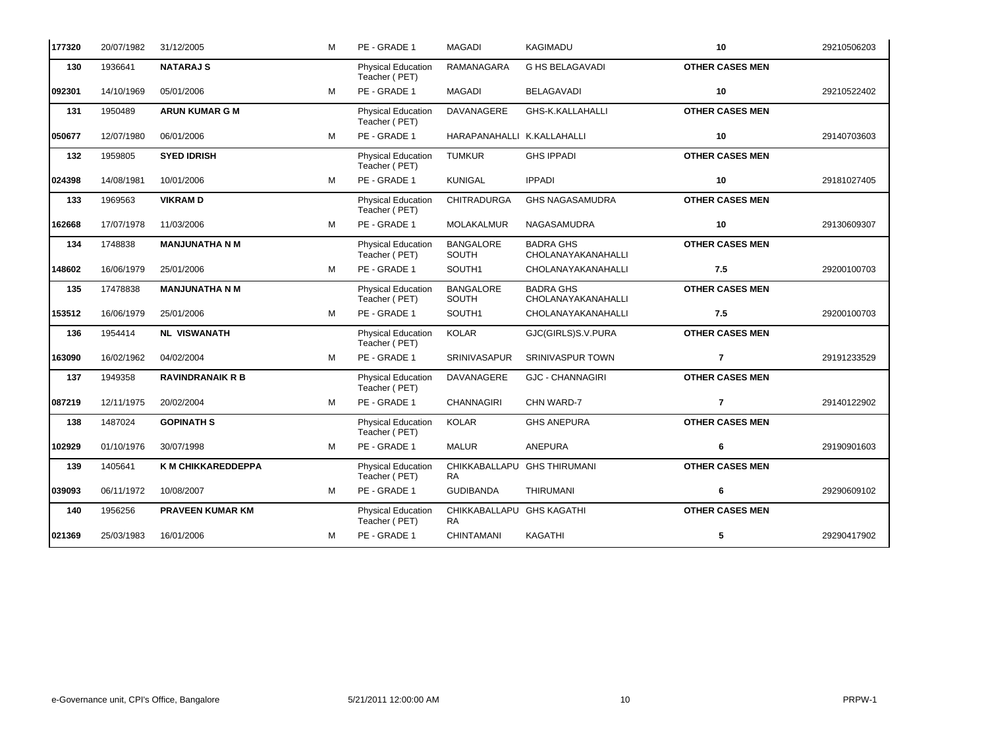| 177320 | 20/07/1982 | 31/12/2005              | м | PE - GRADE 1                               | <b>MAGADI</b>                            | <b>KAGIMADU</b>                               | 10                     | 29210506203 |
|--------|------------|-------------------------|---|--------------------------------------------|------------------------------------------|-----------------------------------------------|------------------------|-------------|
| 130    | 1936641    | <b>NATARAJ S</b>        |   | Physical Education<br>Teacher (PET)        | <b>RAMANAGARA</b>                        | <b>G HS BELAGAVADI</b>                        | <b>OTHER CASES MEN</b> |             |
| 092301 | 14/10/1969 | 05/01/2006              | м | PE - GRADE 1                               | <b>MAGADI</b>                            | <b>BELAGAVADI</b>                             | 10                     | 29210522402 |
| 131    | 1950489    | <b>ARUN KUMAR G M</b>   |   | <b>Physical Education</b><br>Teacher (PET) | <b>DAVANAGERE</b>                        | GHS-K.KALLAHALLI                              | <b>OTHER CASES MEN</b> |             |
| 050677 | 12/07/1980 | 06/01/2006              | M | PE - GRADE 1                               | HARAPANAHALLI K.KALLAHALLI               |                                               | $10$                   | 29140703603 |
| 132    | 1959805    | <b>SYED IDRISH</b>      |   | <b>Physical Education</b><br>Teacher (PET) | <b>TUMKUR</b>                            | <b>GHS IPPADI</b>                             | <b>OTHER CASES MEN</b> |             |
| 024398 | 14/08/1981 | 10/01/2006              | M | PE - GRADE 1                               | <b>KUNIGAL</b>                           | <b>IPPADI</b>                                 | 10                     | 29181027405 |
| 133    | 1969563    | <b>VIKRAMD</b>          |   | Physical Education<br>Teacher (PET)        | <b>CHITRADURGA</b>                       | <b>GHS NAGASAMUDRA</b>                        | <b>OTHER CASES MEN</b> |             |
| 162668 | 17/07/1978 | 11/03/2006              | м | PE - GRADE 1                               | <b>MOLAKALMUR</b>                        | NAGASAMUDRA                                   | 10                     | 29130609307 |
| 134    | 1748838    | <b>MANJUNATHA N M</b>   |   | <b>Physical Education</b><br>Teacher (PET) | <b>BANGALORE</b><br><b>SOUTH</b>         | <b>BADRA GHS</b><br><b>CHOLANAYAKANAHALLI</b> | <b>OTHER CASES MEN</b> |             |
| 148602 | 16/06/1979 | 25/01/2006              | M | PE - GRADE 1                               | SOUTH1                                   | CHOLANAYAKANAHALLI                            | 7.5                    | 29200100703 |
| 135    | 17478838   | <b>MANJUNATHA N M</b>   |   | Physical Education<br>Teacher (PET)        | <b>BANGALORE</b><br><b>SOUTH</b>         | <b>BADRA GHS</b><br>CHOLANAYAKANAHALLI        | <b>OTHER CASES MEN</b> |             |
| 153512 | 16/06/1979 | 25/01/2006              | м | PE - GRADE 1                               | SOUTH1                                   | CHOLANAYAKANAHALLI                            | 7.5                    | 29200100703 |
| 136    | 1954414    | <b>NL VISWANATH</b>     |   | <b>Physical Education</b><br>Teacher (PET) | <b>KOLAR</b>                             | GJC(GIRLS)S.V.PURA                            | <b>OTHER CASES MEN</b> |             |
| 163090 | 16/02/1962 | 04/02/2004              | M | PE - GRADE 1                               | <b>SRINIVASAPUR</b>                      | SRINIVASPUR TOWN                              | $\overline{7}$         | 29191233529 |
| 137    | 1949358    | <b>RAVINDRANAIK R B</b> |   | <b>Physical Education</b><br>Teacher (PET) | <b>DAVANAGERE</b>                        | <b>GJC - CHANNAGIRI</b>                       | <b>OTHER CASES MEN</b> |             |
| 087219 | 12/11/1975 | 20/02/2004              | M | PE - GRADE 1                               | <b>CHANNAGIRI</b>                        | CHN WARD-7                                    | $\overline{7}$         | 29140122902 |
| 138    | 1487024    | <b>GOPINATH S</b>       |   | Physical Education<br>Teacher (PET)        | <b>KOLAR</b>                             | <b>GHS ANEPURA</b>                            | <b>OTHER CASES MEN</b> |             |
| 102929 | 01/10/1976 | 30/07/1998              | M | PE - GRADE 1                               | <b>MALUR</b>                             | <b>ANEPURA</b>                                | 6                      | 29190901603 |
| 139    | 1405641    | K M CHIKKAREDDEPPA      |   | Physical Education<br>Teacher (PET)        | CHIKKABALLAPU GHS THIRUMANI<br><b>RA</b> |                                               | <b>OTHER CASES MEN</b> |             |
| 039093 | 06/11/1972 | 10/08/2007              | м | PE - GRADE 1                               | <b>GUDIBANDA</b>                         | <b>THIRUMANI</b>                              | 6                      | 29290609102 |
| 140    | 1956256    | <b>PRAVEEN KUMAR KM</b> |   | <b>Physical Education</b><br>Teacher (PET) | CHIKKABALLAPU GHS KAGATHI<br><b>RA</b>   |                                               | <b>OTHER CASES MEN</b> |             |
| 021369 | 25/03/1983 | 16/01/2006              | м | PE - GRADE 1                               | <b>CHINTAMANI</b>                        | KAGATHI                                       | 5                      | 29290417902 |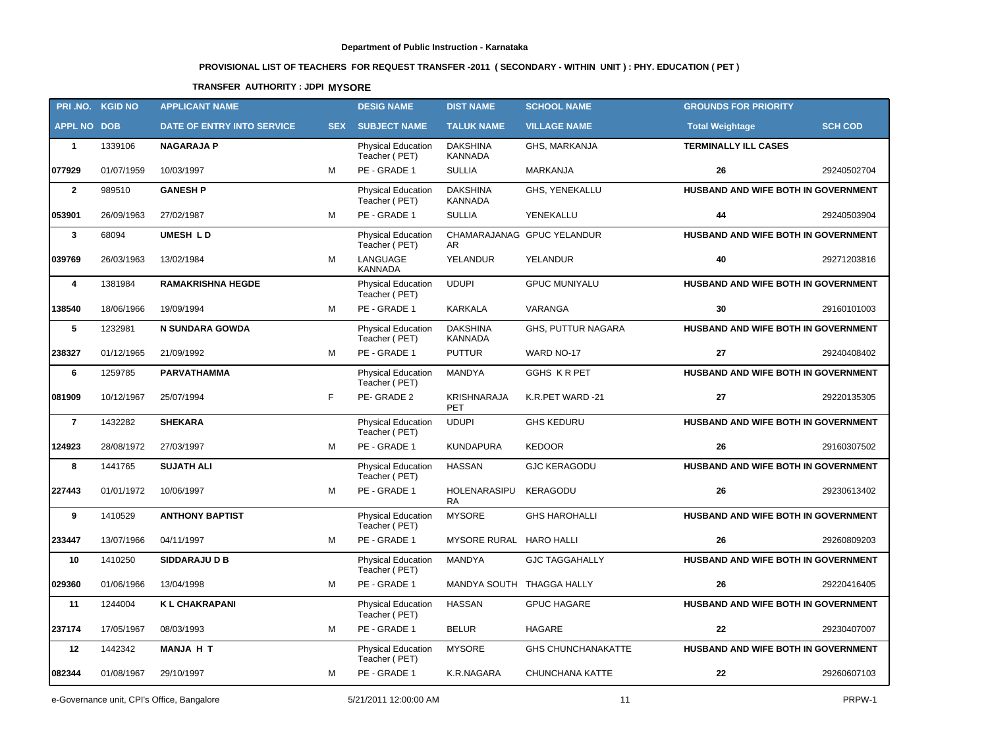# **PROVISIONAL LIST OF TEACHERS FOR REQUEST TRANSFER -2011 ( SECONDARY - WITHIN UNIT ) : PHY. EDUCATION ( PET )**

### **TRANSFER AUTHORITY : JDPI MYSORE**

|                    | PRI.NO. KGID NO | <b>APPLICANT NAME</b>      |            | <b>DESIG NAME</b>                          | <b>DIST NAME</b>                  | <b>SCHOOL NAME</b>         | <b>GROUNDS FOR PRIORITY</b>                |                |
|--------------------|-----------------|----------------------------|------------|--------------------------------------------|-----------------------------------|----------------------------|--------------------------------------------|----------------|
| <b>APPL NO DOB</b> |                 | DATE OF ENTRY INTO SERVICE | <b>SEX</b> | <b>SUBJECT NAME</b>                        | <b>TALUK NAME</b>                 | <b>VILLAGE NAME</b>        | <b>Total Weightage</b>                     | <b>SCH COD</b> |
| $\mathbf{1}$       | 1339106         | <b>NAGARAJA P</b>          |            | <b>Physical Education</b><br>Teacher (PET) | <b>DAKSHINA</b><br><b>KANNADA</b> | GHS, MARKANJA              | <b>TERMINALLY ILL CASES</b>                |                |
| 077929             | 01/07/1959      | 10/03/1997                 | M          | PE - GRADE 1                               | <b>SULLIA</b>                     | <b>MARKANJA</b>            | 26                                         | 29240502704    |
| $\mathbf{2}$       | 989510          | <b>GANESH P</b>            |            | <b>Physical Education</b><br>Teacher (PET) | <b>DAKSHINA</b><br>KANNADA        | GHS, YENEKALLU             | <b>HUSBAND AND WIFE BOTH IN GOVERNMENT</b> |                |
| 053901             | 26/09/1963      | 27/02/1987                 | M          | PE - GRADE 1                               | <b>SULLIA</b>                     | YENEKALLU                  | 44                                         | 29240503904    |
| $\mathbf{3}$       | 68094           | <b>UMESH LD</b>            |            | <b>Physical Education</b><br>Teacher (PET) | AR                                | CHAMARAJANAG GPUC YELANDUR | HUSBAND AND WIFE BOTH IN GOVERNMENT        |                |
| 039769             | 26/03/1963      | 13/02/1984                 | M          | LANGUAGE<br><b>KANNADA</b>                 | YELANDUR                          | YELANDUR                   | 40                                         | 29271203816    |
| 4                  | 1381984         | <b>RAMAKRISHNA HEGDE</b>   |            | <b>Physical Education</b><br>Teacher (PET) | <b>UDUPI</b>                      | <b>GPUC MUNIYALU</b>       | HUSBAND AND WIFE BOTH IN GOVERNMENT        |                |
| 138540             | 18/06/1966      | 19/09/1994                 | M          | PE - GRADE 1                               | <b>KARKALA</b>                    | VARANGA                    | 30                                         | 29160101003    |
| 5                  | 1232981         | <b>N SUNDARA GOWDA</b>     |            | <b>Physical Education</b><br>Teacher (PET) | <b>DAKSHINA</b><br>KANNADA        | GHS, PUTTUR NAGARA         | HUSBAND AND WIFE BOTH IN GOVERNMENT        |                |
| 238327             | 01/12/1965      | 21/09/1992                 | м          | PE - GRADE 1                               | <b>PUTTUR</b>                     | WARD NO-17                 | 27                                         | 29240408402    |
| 6                  | 1259785         | PARVATHAMMA                |            | Physical Education<br>Teacher (PET)        | MANDYA                            | GGHS KRPET                 | HUSBAND AND WIFE BOTH IN GOVERNMENT        |                |
| 081909             | 10/12/1967      | 25/07/1994                 | F.         | PE-GRADE 2                                 | <b>KRISHNARAJA</b><br><b>PET</b>  | K.R.PET WARD -21           | 27                                         | 29220135305    |
| $\overline{7}$     | 1432282         | <b>SHEKARA</b>             |            | <b>Physical Education</b><br>Teacher (PET) | <b>UDUPI</b>                      | <b>GHS KEDURU</b>          | HUSBAND AND WIFE BOTH IN GOVERNMENT        |                |
| 124923             | 28/08/1972      | 27/03/1997                 | M          | PE - GRADE 1                               | <b>KUNDAPURA</b>                  | <b>KEDOOR</b>              | 26                                         | 29160307502    |
| 8                  | 1441765         | <b>SUJATH ALI</b>          |            | <b>Physical Education</b><br>Teacher (PET) | <b>HASSAN</b>                     | <b>GJC KERAGODU</b>        | HUSBAND AND WIFE BOTH IN GOVERNMENT        |                |
| 227443             | 01/01/1972      | 10/06/1997                 | M          | PE - GRADE 1                               | HOLENARASIPU<br><b>RA</b>         | KERAGODU                   | 26                                         | 29230613402    |
| 9                  | 1410529         | <b>ANTHONY BAPTIST</b>     |            | Physical Education<br>Teacher (PET)        | <b>MYSORE</b>                     | <b>GHS HAROHALLI</b>       | HUSBAND AND WIFE BOTH IN GOVERNMENT        |                |
| 233447             | 13/07/1966      | 04/11/1997                 | м          | PE - GRADE 1                               | MYSORE RURAL HARO HALLI           |                            | 26                                         | 29260809203    |
| 10                 | 1410250         | <b>SIDDARAJU D B</b>       |            | <b>Physical Education</b><br>Teacher (PET) | MANDYA                            | <b>GJC TAGGAHALLY</b>      | HUSBAND AND WIFE BOTH IN GOVERNMENT        |                |
| 029360             | 01/06/1966      | 13/04/1998                 | м          | PE - GRADE 1                               | MANDYA SOUTH THAGGA HALLY         |                            | 26                                         | 29220416405    |
| 11                 | 1244004         | <b>KL CHAKRAPANI</b>       |            | <b>Physical Education</b><br>Teacher (PET) | <b>HASSAN</b>                     | <b>GPUC HAGARE</b>         | HUSBAND AND WIFE BOTH IN GOVERNMENT        |                |
| 237174             | 17/05/1967      | 08/03/1993                 | м          | PE - GRADE 1                               | <b>BELUR</b>                      | HAGARE                     | 22                                         | 29230407007    |
| 12                 | 1442342         | <b>MANJA H T</b>           |            | <b>Physical Education</b><br>Teacher (PET) | <b>MYSORE</b>                     | <b>GHS CHUNCHANAKATTE</b>  | HUSBAND AND WIFE BOTH IN GOVERNMENT        |                |
| 082344             | 01/08/1967      | 29/10/1997                 | м          | PE - GRADE 1                               | K.R.NAGARA                        | CHUNCHANA KATTE            | 22                                         | 29260607103    |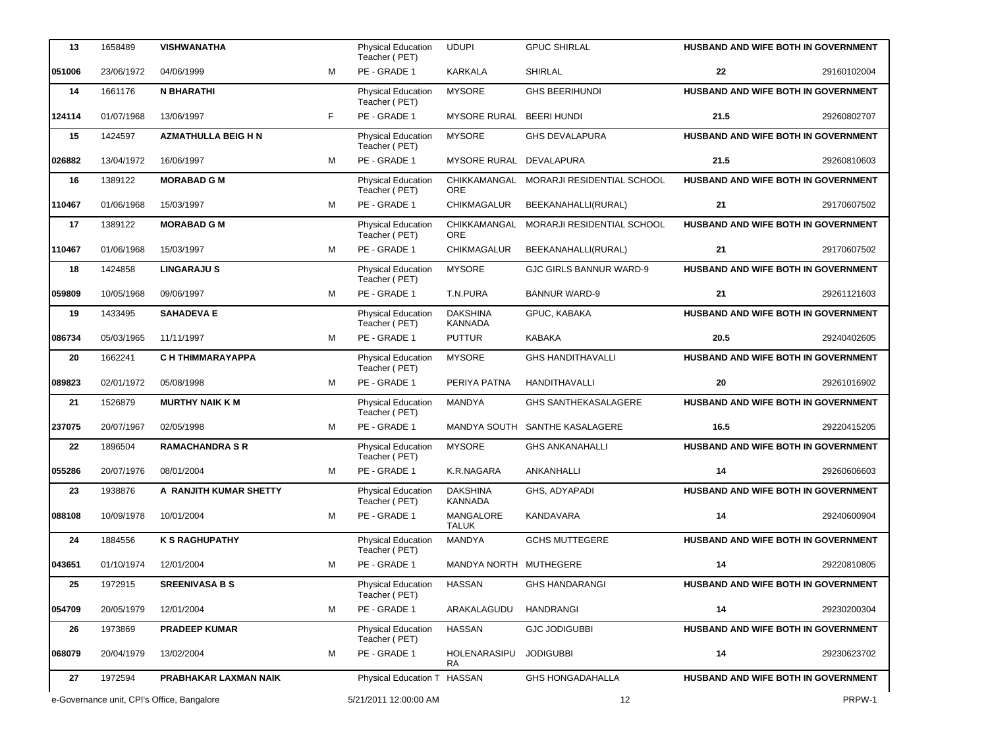| 13      | 1658489    | <b>VISHWANATHA</b>                         |    | Physical Education<br>Teacher (PET)        | <b>UDUPI</b>                     | <b>GPUC SHIRLAL</b>            |      | <b>HUSBAND AND WIFE BOTH IN GOVERNMENT</b> |
|---------|------------|--------------------------------------------|----|--------------------------------------------|----------------------------------|--------------------------------|------|--------------------------------------------|
| 051006  | 23/06/1972 | 04/06/1999                                 | M  | PE - GRADE 1                               | KARKALA                          | <b>SHIRLAL</b>                 | 22   | 29160102004                                |
| 14      | 1661176    | <b>N BHARATHI</b>                          |    | Physical Education<br>Teacher (PET)        | <b>MYSORE</b>                    | <b>GHS BEERIHUNDI</b>          |      | HUSBAND AND WIFE BOTH IN GOVERNMENT        |
| 124114  | 01/07/1968 | 13/06/1997                                 | F. | PE - GRADE 1                               | MYSORE RURAL BEERI HUNDI         |                                | 21.5 | 29260802707                                |
| 15      | 1424597    | <b>AZMATHULLA BEIG H N</b>                 |    | Physical Education<br>Teacher (PET)        | <b>MYSORE</b>                    | <b>GHS DEVALAPURA</b>          |      | HUSBAND AND WIFE BOTH IN GOVERNMENT        |
| 026882  | 13/04/1972 | 16/06/1997                                 | M  | PE - GRADE 1                               | <b>MYSORE RURAL</b>              | DEVALAPURA                     | 21.5 | 29260810603                                |
| 16      | 1389122    | <b>MORABAD G M</b>                         |    | Physical Education<br>Teacher (PET)        | CHIKKAMANGAL<br><b>ORE</b>       | MORARJI RESIDENTIAL SCHOOL     |      | HUSBAND AND WIFE BOTH IN GOVERNMENT        |
| 110467  | 01/06/1968 | 15/03/1997                                 | M  | PE - GRADE 1                               | CHIKMAGALUR                      | BEEKANAHALLI(RURAL)            | 21   | 29170607502                                |
| 17      | 1389122    | <b>MORABAD G M</b>                         |    | Physical Education<br>Teacher (PET)        | CHIKKAMANGAL<br><b>ORE</b>       | MORARJI RESIDENTIAL SCHOOL     |      | HUSBAND AND WIFE BOTH IN GOVERNMENT        |
| 110467  | 01/06/1968 | 15/03/1997                                 | M  | PE - GRADE 1                               | <b>CHIKMAGALUR</b>               | BEEKANAHALLI(RURAL)            | 21   | 29170607502                                |
| 18      | 1424858    | <b>LINGARAJUS</b>                          |    | <b>Physical Education</b><br>Teacher (PET) | <b>MYSORE</b>                    | <b>GJC GIRLS BANNUR WARD-9</b> |      | HUSBAND AND WIFE BOTH IN GOVERNMENT        |
| 059809  | 10/05/1968 | 09/06/1997                                 | M  | PE - GRADE 1                               | T.N.PURA                         | <b>BANNUR WARD-9</b>           | 21   | 29261121603                                |
| 19      | 1433495    | <b>SAHADEVA E</b>                          |    | Physical Education<br>Teacher (PET)        | <b>DAKSHINA</b><br>KANNADA       | GPUC, KABAKA                   |      | <b>HUSBAND AND WIFE BOTH IN GOVERNMENT</b> |
| 086734  | 05/03/1965 | 11/11/1997                                 | M  | PE - GRADE 1                               | <b>PUTTUR</b>                    | <b>KABAKA</b>                  | 20.5 | 29240402605                                |
| 20      | 1662241    | C H THIMMARAYAPPA                          |    | Physical Education<br>Teacher (PET)        | <b>MYSORE</b>                    | <b>GHS HANDITHAVALLI</b>       |      | HUSBAND AND WIFE BOTH IN GOVERNMENT        |
| 089823  | 02/01/1972 | 05/08/1998                                 | м  | PE - GRADE 1                               | PERIYA PATNA                     | <b>HANDITHAVALLI</b>           | 20   | 29261016902                                |
| 21      | 1526879    | <b>MURTHY NAIK K M</b>                     |    | Physical Education<br>Teacher (PET)        | MANDYA                           | <b>GHS SANTHEKASALAGERE</b>    |      | <b>HUSBAND AND WIFE BOTH IN GOVERNMENT</b> |
| 237075  | 20/07/1967 | 02/05/1998                                 | м  | PE - GRADE 1                               |                                  | MANDYA SOUTH SANTHE KASALAGERE | 16.5 | 29220415205                                |
| $22 \,$ | 1896504    | <b>RAMACHANDRA S R</b>                     |    | Physical Education<br>Teacher (PET)        | <b>MYSORE</b>                    | <b>GHS ANKANAHALLI</b>         |      | HUSBAND AND WIFE BOTH IN GOVERNMENT        |
| 055286  | 20/07/1976 | 08/01/2004                                 | M  | PE - GRADE 1                               | K.R.NAGARA                       | ANKANHALLI                     | 14   | 29260606603                                |
| 23      | 1938876    | A RANJITH KUMAR SHETTY                     |    | Physical Education<br>Teacher (PET)        | <b>DAKSHINA</b><br>KANNADA       | GHS, ADYAPADI                  |      | HUSBAND AND WIFE BOTH IN GOVERNMENT        |
| 088108  | 10/09/1978 | 10/01/2004                                 | M  | PE - GRADE 1                               | <b>MANGALORE</b><br><b>TALUK</b> | KANDAVARA                      | 14   | 29240600904                                |
| 24      | 1884556    | <b>K S RAGHUPATHY</b>                      |    | <b>Physical Education</b><br>Teacher (PET) | MANDYA                           | <b>GCHS MUTTEGERE</b>          |      | <b>HUSBAND AND WIFE BOTH IN GOVERNMENT</b> |
| 043651  | 01/10/1974 | 12/01/2004                                 | м  | PE - GRADE 1                               | MANDYA NORTH MUTHEGERE           |                                | 14   | 29220810805                                |
| 25      | 1972915    | <b>SREENIVASA B S</b>                      |    | Physical Education<br>Teacher (PET)        | <b>HASSAN</b>                    | <b>GHS HANDARANGI</b>          |      | <b>HUSBAND AND WIFE BOTH IN GOVERNMENT</b> |
| 054709  | 20/05/1979 | 12/01/2004                                 | м  | PE - GRADE 1                               | ARAKALAGUDU                      | <b>HANDRANGI</b>               | 14   | 29230200304                                |
| 26      | 1973869    | <b>PRADEEP KUMAR</b>                       |    | Physical Education<br>Teacher (PET)        | <b>HASSAN</b>                    | <b>GJC JODIGUBBI</b>           |      | <b>HUSBAND AND WIFE BOTH IN GOVERNMENT</b> |
| 068079  | 20/04/1979 | 13/02/2004                                 | м  | PE - GRADE 1                               | HOLENARASIPU<br>RA               | <b>JODIGUBBI</b>               | 14   | 29230623702                                |
| 27      | 1972594    | PRABHAKAR LAXMAN NAIK                      |    | Physical Education T HASSAN                |                                  | <b>GHS HONGADAHALLA</b>        |      | HUSBAND AND WIFE BOTH IN GOVERNMENT        |
|         |            | e-Governance unit, CPI's Office, Bangalore |    | 5/21/2011 12:00:00 AM                      |                                  | 12                             |      |                                            |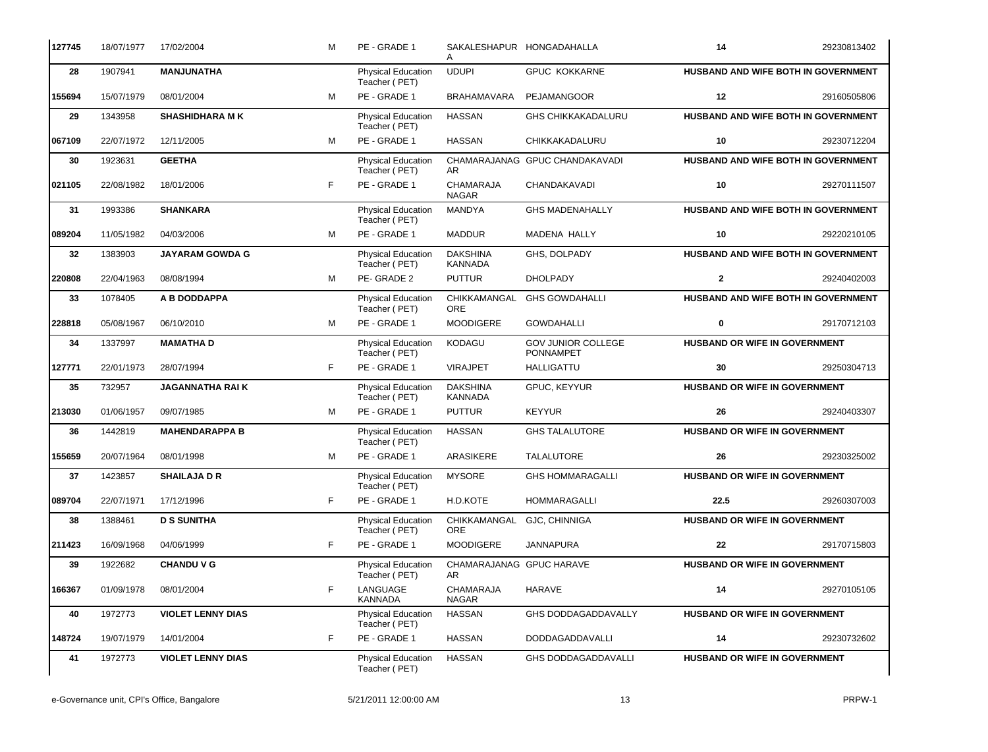| 127745 | 18/07/1977 | 17/02/2004               | м  | PE - GRADE 1                               |                                          | SAKALESHAPUR HONGADAHALLA                     | 14                                   | 29230813402                         |
|--------|------------|--------------------------|----|--------------------------------------------|------------------------------------------|-----------------------------------------------|--------------------------------------|-------------------------------------|
| 28     | 1907941    | <b>MANJUNATHA</b>        |    | Physical Education<br>Teacher (PET)        | <b>UDUPI</b>                             | <b>GPUC KOKKARNE</b>                          |                                      | HUSBAND AND WIFE BOTH IN GOVERNMENT |
| 155694 | 15/07/1979 | 08/01/2004               | M  | PE - GRADE 1                               | <b>BRAHAMAVARA</b>                       | PEJAMANGOOR                                   | 12                                   | 29160505806                         |
| 29     | 1343958    | <b>SHASHIDHARA MK</b>    |    | <b>Physical Education</b><br>Teacher (PET) | <b>HASSAN</b>                            | <b>GHS CHIKKAKADALURU</b>                     |                                      | HUSBAND AND WIFE BOTH IN GOVERNMENT |
| 067109 | 22/07/1972 | 12/11/2005               | M  | PE - GRADE 1                               | <b>HASSAN</b>                            | CHIKKAKADALURU                                | 10                                   | 29230712204                         |
| 30     | 1923631    | <b>GEETHA</b>            |    | <b>Physical Education</b><br>Teacher (PET) | CHAMARAJANAG<br>AR                       | <b>GPUC CHANDAKAVADI</b>                      |                                      | HUSBAND AND WIFE BOTH IN GOVERNMENT |
| 021105 | 22/08/1982 | 18/01/2006               | F  | PE - GRADE 1                               | CHAMARAJA<br><b>NAGAR</b>                | CHANDAKAVADI                                  | 10                                   | 29270111507                         |
| 31     | 1993386    | <b>SHANKARA</b>          |    | Physical Education<br>Teacher (PET)        | MANDYA                                   | <b>GHS MADENAHALLY</b>                        |                                      | HUSBAND AND WIFE BOTH IN GOVERNMENT |
| 089204 | 11/05/1982 | 04/03/2006               | M  | PE - GRADE 1                               | <b>MADDUR</b>                            | MADENA HALLY                                  | 10                                   | 29220210105                         |
| 32     | 1383903    | <b>JAYARAM GOWDA G</b>   |    | <b>Physical Education</b><br>Teacher (PET) | <b>DAKSHINA</b><br><b>KANNADA</b>        | GHS, DOLPADY                                  |                                      | HUSBAND AND WIFE BOTH IN GOVERNMENT |
| 220808 | 22/04/1963 | 08/08/1994               | м  | PE-GRADE 2                                 | <b>PUTTUR</b>                            | <b>DHOLPADY</b>                               | $\overline{2}$                       | 29240402003                         |
| 33     | 1078405    | A B DODDAPPA             |    | Physical Education<br>Teacher (PET)        | CHIKKAMANGAL<br>ORE                      | <b>GHS GOWDAHALLI</b>                         |                                      | HUSBAND AND WIFE BOTH IN GOVERNMENT |
| 228818 | 05/08/1967 | 06/10/2010               | M  | PE - GRADE 1                               | MOODIGERE                                | <b>GOWDAHALLI</b>                             | $\mathbf 0$                          | 29170712103                         |
| 34     | 1337997    | <b>MAMATHAD</b>          |    | Physical Education<br>Teacher (PET)        | KODAGU                                   | <b>GOV JUNIOR COLLEGE</b><br><b>PONNAMPET</b> | HUSBAND OR WIFE IN GOVERNMENT        |                                     |
| 127771 | 22/01/1973 | 28/07/1994               | F. | PE - GRADE 1                               | <b>VIRAJPET</b>                          | <b>HALLIGATTU</b>                             | 30                                   | 29250304713                         |
| 35     | 732957     | <b>JAGANNATHA RAIK</b>   |    | <b>Physical Education</b><br>Teacher (PET) | <b>DAKSHINA</b><br><b>KANNADA</b>        | GPUC, KEYYUR                                  | HUSBAND OR WIFE IN GOVERNMENT        |                                     |
| 213030 | 01/06/1957 | 09/07/1985               | M  | PE - GRADE 1                               | <b>PUTTUR</b>                            | <b>KEYYUR</b>                                 | 26                                   | 29240403307                         |
| 36     | 1442819    | <b>MAHENDARAPPA B</b>    |    | Physical Education<br>Teacher (PET)        | <b>HASSAN</b>                            | <b>GHS TALALUTORE</b>                         | HUSBAND OR WIFE IN GOVERNMENT        |                                     |
| 155659 | 20/07/1964 | 08/01/1998               | м  | PE - GRADE 1                               | <b>ARASIKERE</b>                         | TALALUTORE                                    | 26                                   | 29230325002                         |
| 37     | 1423857    | <b>SHAILAJA D R</b>      |    | Physical Education<br>Teacher (PET)        | <b>MYSORE</b>                            | <b>GHS HOMMARAGALLI</b>                       | HUSBAND OR WIFE IN GOVERNMENT        |                                     |
| 089704 | 22/07/1971 | 17/12/1996               | F. | PE - GRADE 1                               | H.D.KOTE                                 | <b>HOMMARAGALLI</b>                           | 22.5                                 | 29260307003                         |
| 38     | 1388461    | <b>D S SUNITHA</b>       |    | <b>Physical Education</b><br>Teacher (PET) | CHIKKAMANGAL GJC, CHINNIGA<br><b>ORE</b> |                                               | HUSBAND OR WIFE IN GOVERNMENT        |                                     |
| 211423 | 16/09/1968 | 04/06/1999               | F  | PE - GRADE 1                               | <b>MOODIGERE</b>                         | <b>JANNAPURA</b>                              | 22                                   | 29170715803                         |
| 39     | 1922682    | <b>CHANDU V G</b>        |    | <b>Physical Education</b><br>Teacher (PET) | CHAMARAJANAG GPUC HARAVE<br>AR.          |                                               | HUSBAND OR WIFE IN GOVERNMENT        |                                     |
| 166367 | 01/09/1978 | 08/01/2004               | F  | LANGUAGE<br><b>KANNADA</b>                 | CHAMARAJA<br>NAGAR                       | HARAVE                                        | 14                                   | 29270105105                         |
| 40     | 1972773    | <b>VIOLET LENNY DIAS</b> |    | <b>Physical Education</b><br>Teacher (PET) | <b>HASSAN</b>                            | <b>GHS DODDAGADDAVALLY</b>                    | <b>HUSBAND OR WIFE IN GOVERNMENT</b> |                                     |
| 148724 | 19/07/1979 | 14/01/2004               | F  | PE - GRADE 1                               | <b>HASSAN</b>                            | DODDAGADDAVALLI                               | 14                                   | 29230732602                         |
| 41     | 1972773    | <b>VIOLET LENNY DIAS</b> |    | Physical Education<br>Teacher (PET)        | <b>HASSAN</b>                            | <b>GHS DODDAGADDAVALLI</b>                    | HUSBAND OR WIFE IN GOVERNMENT        |                                     |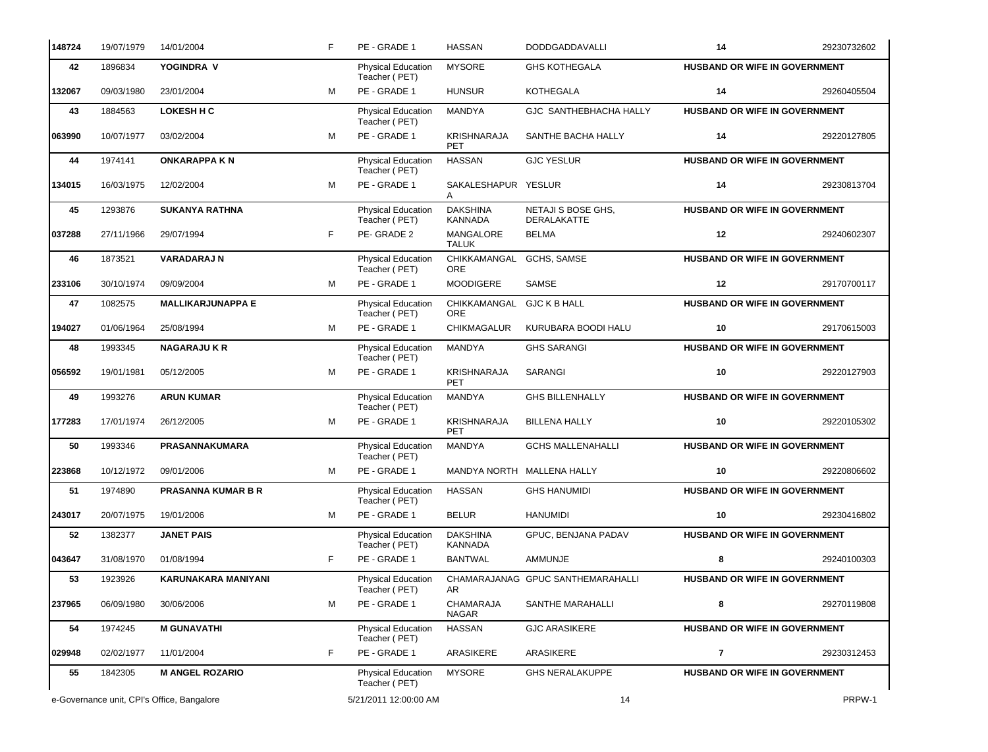| 148724 | 19/07/1979 | 14/01/2004                                 | F | PE - GRADE 1                               | <b>HASSAN</b>                    | <b>DODDGADDAVALLI</b>             | 14                                   | 29230732602 |
|--------|------------|--------------------------------------------|---|--------------------------------------------|----------------------------------|-----------------------------------|--------------------------------------|-------------|
| 42     | 1896834    | YOGINDRA V                                 |   | Physical Education<br>Teacher (PET)        | <b>MYSORE</b>                    | <b>GHS KOTHEGALA</b>              | HUSBAND OR WIFE IN GOVERNMENT        |             |
| 132067 | 09/03/1980 | 23/01/2004                                 | M | PE - GRADE 1                               | <b>HUNSUR</b>                    | <b>KOTHEGALA</b>                  | 14                                   | 29260405504 |
| 43     | 1884563    | <b>LOKESH H C</b>                          |   | Physical Education<br>Teacher (PET)        | MANDYA                           | GJC SANTHEBHACHA HALLY            | HUSBAND OR WIFE IN GOVERNMENT        |             |
| 063990 | 10/07/1977 | 03/02/2004                                 | M | PE - GRADE 1                               | KRISHNARAJA<br>PET               | SANTHE BACHA HALLY                | 14                                   | 29220127805 |
| 44     | 1974141    | <b>ONKARAPPA KN</b>                        |   | Physical Education<br>Teacher (PET)        | <b>HASSAN</b>                    | <b>GJC YESLUR</b>                 | HUSBAND OR WIFE IN GOVERNMENT        |             |
| 134015 | 16/03/1975 | 12/02/2004                                 | M | PE - GRADE 1                               | SAKALESHAPUR YESLUR              |                                   | 14                                   | 29230813704 |
| 45     | 1293876    | <b>SUKANYA RATHNA</b>                      |   | Physical Education<br>Teacher (PET)        | <b>DAKSHINA</b><br>KANNADA       | NETAJI S BOSE GHS,<br>DERALAKATTE | HUSBAND OR WIFE IN GOVERNMENT        |             |
| 037288 | 27/11/1966 | 29/07/1994                                 | F | PE-GRADE 2                                 | MANGALORE<br><b>TALUK</b>        | <b>BELMA</b>                      | 12                                   | 29240602307 |
| 46     | 1873521    | <b>VARADARAJ N</b>                         |   | Physical Education<br>Teacher (PET)        | CHIKKAMANGAL<br>ORE              | GCHS, SAMSE                       | HUSBAND OR WIFE IN GOVERNMENT        |             |
| 233106 | 30/10/1974 | 09/09/2004                                 | M | PE - GRADE 1                               | <b>MOODIGERE</b>                 | SAMSE                             | 12                                   | 29170700117 |
| 47     | 1082575    | <b>MALLIKARJUNAPPA E</b>                   |   | Physical Education<br>Teacher (PET)        | CHIKKAMANGAL GJC K B HALL<br>ORE |                                   | HUSBAND OR WIFE IN GOVERNMENT        |             |
| 194027 | 01/06/1964 | 25/08/1994                                 | M | PE - GRADE 1                               | <b>CHIKMAGALUR</b>               | KURUBARA BOODI HALU               | 10                                   | 29170615003 |
| 48     | 1993345    | <b>NAGARAJUKR</b>                          |   | Physical Education<br>Teacher (PET)        | MANDYA                           | <b>GHS SARANGI</b>                | HUSBAND OR WIFE IN GOVERNMENT        |             |
| 056592 | 19/01/1981 | 05/12/2005                                 | M | PE - GRADE 1                               | KRISHNARAJA<br><b>PET</b>        | SARANGI                           | 10                                   | 29220127903 |
| 49     | 1993276    | <b>ARUN KUMAR</b>                          |   | Physical Education<br>Teacher (PET)        | MANDYA                           | <b>GHS BILLENHALLY</b>            | HUSBAND OR WIFE IN GOVERNMENT        |             |
| 177283 | 17/01/1974 | 26/12/2005                                 | M | PE - GRADE 1                               | <b>KRISHNARAJA</b><br>PET        | <b>BILLENA HALLY</b>              | 10                                   | 29220105302 |
| 50     | 1993346    | PRASANNAKUMARA                             |   | Physical Education<br>Teacher (PET)        | MANDYA                           | <b>GCHS MALLENAHALLI</b>          | HUSBAND OR WIFE IN GOVERNMENT        |             |
| 223868 | 10/12/1972 | 09/01/2006                                 | M | PE - GRADE 1                               |                                  | MANDYA NORTH MALLENA HALLY        | 10                                   | 29220806602 |
| 51     | 1974890    | <b>PRASANNA KUMAR B R</b>                  |   | Physical Education<br>Teacher (PET)        | <b>HASSAN</b>                    | <b>GHS HANUMIDI</b>               | HUSBAND OR WIFE IN GOVERNMENT        |             |
| 243017 | 20/07/1975 | 19/01/2006                                 | M | PE - GRADE 1                               | <b>BELUR</b>                     | <b>HANUMIDI</b>                   | 10                                   | 29230416802 |
| 52     | 1382377    | <b>JANET PAIS</b>                          |   | Physical Education<br>Teacher (PET)        | DAKSHINA<br>KANNADA              | GPUC, BENJANA PADAV               | <b>HUSBAND OR WIFE IN GOVERNMENT</b> |             |
| 043647 | 31/08/1970 | 01/08/1994                                 | F | PE - GRADE 1                               | <b>BANTWAL</b>                   | AMMUNJE                           | 8                                    | 29240100303 |
| 53     | 1923926    | KARUNAKARA MANIYANI                        |   | <b>Physical Education</b><br>Teacher (PET) | AR.                              | CHAMARAJANAG GPUC SANTHEMARAHALLI | HUSBAND OR WIFE IN GOVERNMENT        |             |
| 237965 | 06/09/1980 | 30/06/2006                                 | м | PE - GRADE 1                               | CHAMARAJA<br><b>NAGAR</b>        | SANTHE MARAHALLI                  | 8                                    | 29270119808 |
| 54     | 1974245    | <b>M GUNAVATHI</b>                         |   | Physical Education<br>Teacher (PET)        | <b>HASSAN</b>                    | <b>GJC ARASIKERE</b>              | <b>HUSBAND OR WIFE IN GOVERNMENT</b> |             |
| 029948 | 02/02/1977 | 11/01/2004                                 | F | PE - GRADE 1                               | ARASIKERE                        | ARASIKERE                         | $\overline{\phantom{a}}$             | 29230312453 |
| 55     | 1842305    | <b>M ANGEL ROZARIO</b>                     |   | Physical Education<br>Teacher (PET)        | <b>MYSORE</b>                    | <b>GHS NERALAKUPPE</b>            | HUSBAND OR WIFE IN GOVERNMENT        |             |
|        |            | e-Governance unit, CPI's Office, Bangalore |   | 5/21/2011 12:00:00 AM                      |                                  | 14                                |                                      | PRPW-1      |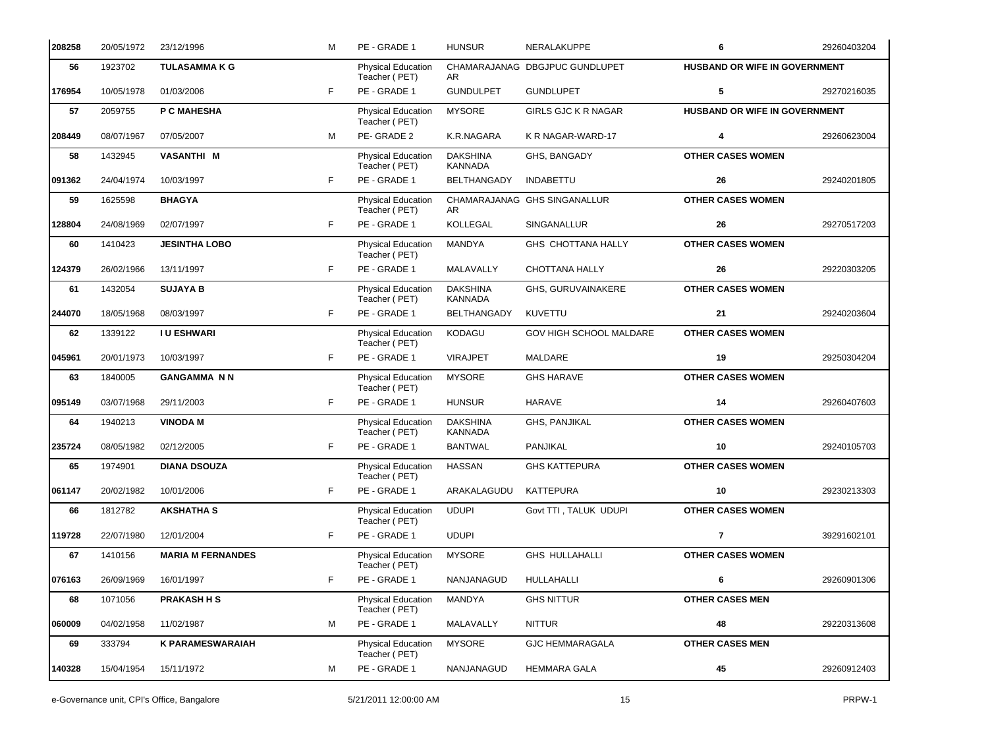| 208258 | 20/05/1972 | 23/12/1996               | M  | PE - GRADE 1                               | <b>HUNSUR</b>                     | <b>NERALAKUPPE</b>             | 6                             | 29260403204 |
|--------|------------|--------------------------|----|--------------------------------------------|-----------------------------------|--------------------------------|-------------------------------|-------------|
| 56     | 1923702    | <b>TULASAMMAKG</b>       |    | <b>Physical Education</b><br>Teacher (PET) | AR                                | CHAMARAJANAG DBGJPUC GUNDLUPET | HUSBAND OR WIFE IN GOVERNMENT |             |
| 176954 | 10/05/1978 | 01/03/2006               | F. | PE - GRADE 1                               | <b>GUNDULPET</b>                  | <b>GUNDLUPET</b>               | 5                             | 29270216035 |
| 57     | 2059755    | P C MAHESHA              |    | Physical Education<br>Teacher (PET)        | <b>MYSORE</b>                     | <b>GIRLS GJC K R NAGAR</b>     | HUSBAND OR WIFE IN GOVERNMENT |             |
| 208449 | 08/07/1967 | 07/05/2007               | M  | PE-GRADE 2                                 | K.R.NAGARA                        | K R NAGAR-WARD-17              | 4                             | 29260623004 |
| 58     | 1432945    | <b>VASANTHI M</b>        |    | Physical Education<br>Teacher (PET)        | <b>DAKSHINA</b><br><b>KANNADA</b> | GHS, BANGADY                   | <b>OTHER CASES WOMEN</b>      |             |
| 091362 | 24/04/1974 | 10/03/1997               | F. | PE - GRADE 1                               | BELTHANGADY                       | <b>INDABETTU</b>               | 26                            | 29240201805 |
| 59     | 1625598    | <b>BHAGYA</b>            |    | Physical Education<br>Teacher (PET)        | AR                                | CHAMARAJANAG GHS SINGANALLUR   | <b>OTHER CASES WOMEN</b>      |             |
| 128804 | 24/08/1969 | 02/07/1997               | F  | PE - GRADE 1                               | KOLLEGAL                          | SINGANALLUR                    | 26                            | 29270517203 |
| 60     | 1410423    | <b>JESINTHA LOBO</b>     |    | Physical Education<br>Teacher (PET)        | MANDYA                            | GHS CHOTTANA HALLY             | <b>OTHER CASES WOMEN</b>      |             |
| 124379 | 26/02/1966 | 13/11/1997               | F. | PE - GRADE 1                               | MALAVALLY                         | CHOTTANA HALLY                 | 26                            | 29220303205 |
| 61     | 1432054    | <b>SUJAYA B</b>          |    | Physical Education<br>Teacher (PET)        | <b>DAKSHINA</b><br><b>KANNADA</b> | GHS, GURUVAINAKERE             | <b>OTHER CASES WOMEN</b>      |             |
| 244070 | 18/05/1968 | 08/03/1997               | F. | PE - GRADE 1                               | BELTHANGADY                       | KUVETTU                        | 21                            | 29240203604 |
| 62     | 1339122    | <b>I U ESHWARI</b>       |    | Physical Education<br>Teacher (PET)        | KODAGU                            | GOV HIGH SCHOOL MALDARE        | <b>OTHER CASES WOMEN</b>      |             |
| 045961 | 20/01/1973 | 10/03/1997               | F. | PE - GRADE 1                               | <b>VIRAJPET</b>                   | MALDARE                        | 19                            | 29250304204 |
| 63     | 1840005    | <b>GANGAMMA N N</b>      |    | Physical Education<br>Teacher (PET)        | <b>MYSORE</b>                     | <b>GHS HARAVE</b>              | <b>OTHER CASES WOMEN</b>      |             |
| 095149 | 03/07/1968 | 29/11/2003               | F. | PE - GRADE 1                               | <b>HUNSUR</b>                     | <b>HARAVE</b>                  | 14                            | 29260407603 |
| 64     | 1940213    | <b>VINODA M</b>          |    | Physical Education<br>Teacher (PET)        | <b>DAKSHINA</b><br>KANNADA        | GHS, PANJIKAL                  | <b>OTHER CASES WOMEN</b>      |             |
| 235724 | 08/05/1982 | 02/12/2005               | F. | PE - GRADE 1                               | <b>BANTWAL</b>                    | PANJIKAL                       | 10                            | 29240105703 |
| 65     | 1974901    | <b>DIANA DSOUZA</b>      |    | <b>Physical Education</b><br>Teacher (PET) | <b>HASSAN</b>                     | <b>GHS KATTEPURA</b>           | <b>OTHER CASES WOMEN</b>      |             |
| 061147 | 20/02/1982 | 10/01/2006               | F. | PE - GRADE 1                               | ARAKALAGUDU                       | <b>KATTEPURA</b>               | 10                            | 29230213303 |
| 66     | 1812782    | <b>AKSHATHA S</b>        |    | Physical Education<br>Teacher (PET)        | <b>UDUPI</b>                      | Govt TTI, TALUK UDUPI          | <b>OTHER CASES WOMEN</b>      |             |
| 119728 | 22/07/1980 | 12/01/2004               | F  | PE - GRADE 1                               | <b>UDUPI</b>                      |                                | $\overline{7}$                | 39291602101 |
| 67     | 1410156    | <b>MARIA M FERNANDES</b> |    | <b>Physical Education</b><br>Teacher (PET) | <b>MYSORE</b>                     | <b>GHS HULLAHALLI</b>          | <b>OTHER CASES WOMEN</b>      |             |
| 076163 | 26/09/1969 | 16/01/1997               | F  | PE - GRADE 1                               | NANJANAGUD                        | HULLAHALLI                     | 6                             | 29260901306 |
| 68     | 1071056    | <b>PRAKASH H S</b>       |    | Physical Education<br>Teacher (PET)        | MANDYA                            | <b>GHS NITTUR</b>              | <b>OTHER CASES MEN</b>        |             |
| 060009 | 04/02/1958 | 11/02/1987               | м  | PE - GRADE 1                               | MALAVALLY                         | <b>NITTUR</b>                  | 48                            | 29220313608 |
| 69     | 333794     | <b>K PARAMESWARAIAH</b>  |    | <b>Physical Education</b><br>Teacher (PET) | <b>MYSORE</b>                     | <b>GJC HEMMARAGALA</b>         | <b>OTHER CASES MEN</b>        |             |
| 140328 | 15/04/1954 | 15/11/1972               | м  | PE - GRADE 1                               | NANJANAGUD                        | <b>HEMMARA GALA</b>            | 45                            | 29260912403 |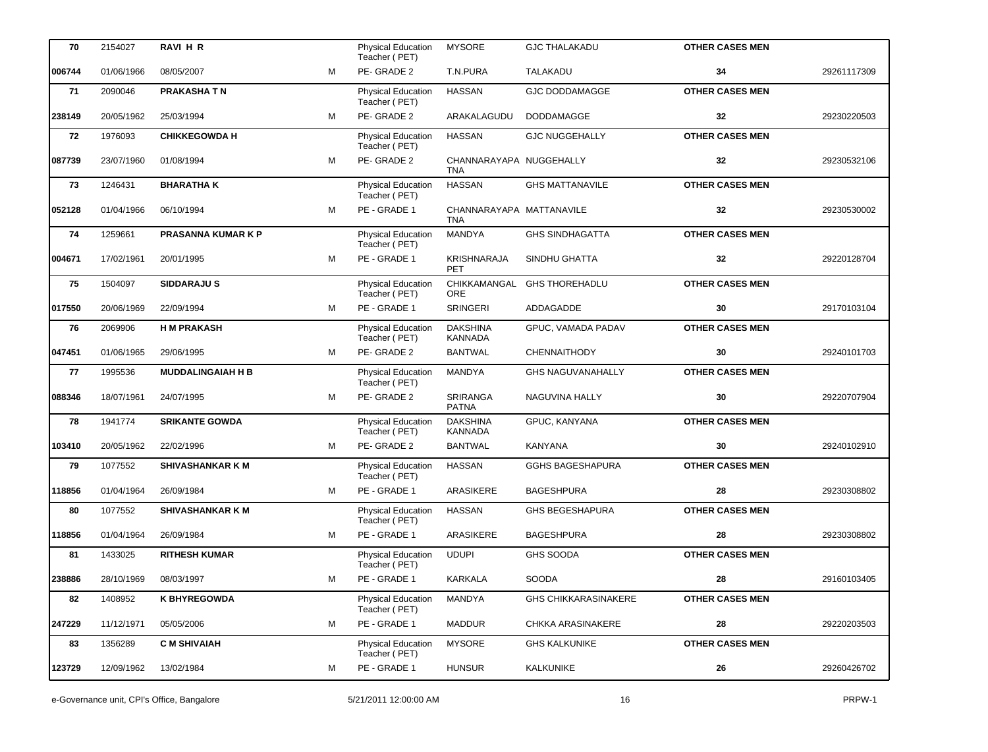| 70     | 2154027    | <b>RAVI H R</b>           |   | <b>Physical Education</b><br>Teacher (PET) | <b>MYSORE</b>                          | <b>GJC THALAKADU</b>        | <b>OTHER CASES MEN</b> |             |
|--------|------------|---------------------------|---|--------------------------------------------|----------------------------------------|-----------------------------|------------------------|-------------|
| 006744 | 01/06/1966 | 08/05/2007                | м | PE-GRADE 2                                 | T.N.PURA                               | TALAKADU                    | 34                     | 29261117309 |
| 71     | 2090046    | <b>PRAKASHATN</b>         |   | Physical Education<br>Teacher (PET)        | <b>HASSAN</b>                          | <b>GJC DODDAMAGGE</b>       | <b>OTHER CASES MEN</b> |             |
| 238149 | 20/05/1962 | 25/03/1994                | M | PE-GRADE 2                                 | ARAKALAGUDU                            | DODDAMAGGE                  | 32                     | 29230220503 |
| 72     | 1976093    | <b>CHIKKEGOWDA H</b>      |   | Physical Education<br>Teacher (PET)        | <b>HASSAN</b>                          | <b>GJC NUGGEHALLY</b>       | <b>OTHER CASES MEN</b> |             |
| 087739 | 23/07/1960 | 01/08/1994                | M | PE-GRADE 2                                 | CHANNARAYAPA NUGGEHALLY<br><b>TNA</b>  |                             | 32                     | 29230532106 |
| 73     | 1246431    | <b>BHARATHAK</b>          |   | Physical Education<br>Teacher (PET)        | <b>HASSAN</b>                          | <b>GHS MATTANAVILE</b>      | <b>OTHER CASES MEN</b> |             |
| 052128 | 01/04/1966 | 06/10/1994                | M | PE - GRADE 1                               | CHANNARAYAPA MATTANAVILE<br><b>TNA</b> |                             | 32                     | 29230530002 |
| 74     | 1259661    | <b>PRASANNA KUMAR K P</b> |   | Physical Education<br>Teacher (PET)        | <b>MANDYA</b>                          | <b>GHS SINDHAGATTA</b>      | <b>OTHER CASES MEN</b> |             |
| 004671 | 17/02/1961 | 20/01/1995                | м | PE - GRADE 1                               | KRISHNARAJA<br><b>PET</b>              | SINDHU GHATTA               | 32                     | 29220128704 |
| 75     | 1504097    | <b>SIDDARAJUS</b>         |   | Physical Education<br>Teacher (PET)        | CHIKKAMANGAL<br><b>ORE</b>             | <b>GHS THOREHADLU</b>       | <b>OTHER CASES MEN</b> |             |
| 017550 | 20/06/1969 | 22/09/1994                | м | PE - GRADE 1                               | <b>SRINGERI</b>                        | ADDAGADDE                   | 30                     | 29170103104 |
| 76     | 2069906    | <b>H M PRAKASH</b>        |   | Physical Education<br>Teacher (PET)        | <b>DAKSHINA</b><br><b>KANNADA</b>      | GPUC, VAMADA PADAV          | <b>OTHER CASES MEN</b> |             |
| 047451 | 01/06/1965 | 29/06/1995                | м | PE-GRADE 2                                 | <b>BANTWAL</b>                         | <b>CHENNAITHODY</b>         | 30                     | 29240101703 |
| 77     | 1995536    | <b>MUDDALINGAIAH H B</b>  |   | Physical Education<br>Teacher (PET)        | <b>MANDYA</b>                          | <b>GHS NAGUVANAHALLY</b>    | <b>OTHER CASES MEN</b> |             |
| 088346 | 18/07/1961 | 24/07/1995                | м | PE-GRADE 2                                 | SRIRANGA<br><b>PATNA</b>               | NAGUVINA HALLY              | 30                     | 29220707904 |
| 78     | 1941774    | <b>SRIKANTE GOWDA</b>     |   | Physical Education<br>Teacher (PET)        | <b>DAKSHINA</b><br>KANNADA             | GPUC, KANYANA               | <b>OTHER CASES MEN</b> |             |
| 103410 | 20/05/1962 | 22/02/1996                | м | PE-GRADE 2                                 | <b>BANTWAL</b>                         | KANYANA                     | 30                     | 29240102910 |
| 79     | 1077552    | <b>SHIVASHANKAR K M</b>   |   | Physical Education<br>Teacher (PET)        | <b>HASSAN</b>                          | <b>GGHS BAGESHAPURA</b>     | <b>OTHER CASES MEN</b> |             |
| 118856 | 01/04/1964 | 26/09/1984                | м | PE - GRADE 1                               | ARASIKERE                              | <b>BAGESHPURA</b>           | 28                     | 29230308802 |
| 80     | 1077552    | <b>SHIVASHANKAR K M</b>   |   | <b>Physical Education</b><br>Teacher (PET) | <b>HASSAN</b>                          | <b>GHS BEGESHAPURA</b>      | <b>OTHER CASES MEN</b> |             |
| 118856 | 01/04/1964 | 26/09/1984                | м | PE - GRADE 1                               | ARASIKERE                              | BAGESHPURA                  | 28                     | 29230308802 |
| 81     | 1433025    | <b>RITHESH KUMAR</b>      |   | <b>Physical Education</b><br>Teacher (PET) | <b>UDUPI</b>                           | <b>GHS SOODA</b>            | <b>OTHER CASES MEN</b> |             |
| 238886 | 28/10/1969 | 08/03/1997                | м | PE - GRADE 1                               | KARKALA                                | SOODA                       | 28                     | 29160103405 |
| 82     | 1408952    | <b>K BHYREGOWDA</b>       |   | <b>Physical Education</b><br>Teacher (PET) | MANDYA                                 | <b>GHS CHIKKARASINAKERE</b> | <b>OTHER CASES MEN</b> |             |
| 247229 | 11/12/1971 | 05/05/2006                | м | PE - GRADE 1                               | <b>MADDUR</b>                          | CHKKA ARASINAKERE           | 28                     | 29220203503 |
| 83     | 1356289    | <b>C M SHIVAIAH</b>       |   | <b>Physical Education</b><br>Teacher (PET) | <b>MYSORE</b>                          | <b>GHS KALKUNIKE</b>        | <b>OTHER CASES MEN</b> |             |
| 123729 | 12/09/1962 | 13/02/1984                | м | PE - GRADE 1                               | <b>HUNSUR</b>                          | KALKUNIKE                   | 26                     | 29260426702 |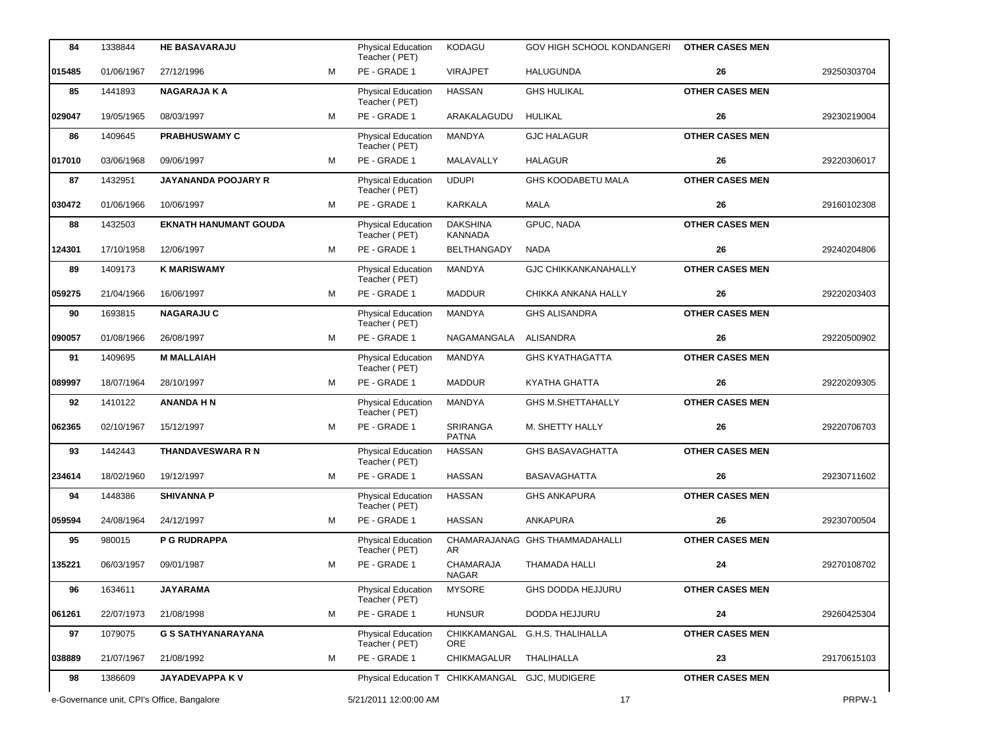| 84     | 1338844    | <b>HE BASAVARAJU</b>                       |   | Physical Education<br>Teacher (PET)             | <b>KODAGU</b>                     | GOV HIGH SCHOOL KONDANGERI     | <b>OTHER CASES MEN</b> |             |
|--------|------------|--------------------------------------------|---|-------------------------------------------------|-----------------------------------|--------------------------------|------------------------|-------------|
| 015485 | 01/06/1967 | 27/12/1996                                 | M | PE - GRADE 1                                    | <b>VIRAJPET</b>                   | <b>HALUGUNDA</b>               | 26                     | 29250303704 |
| 85     | 1441893    | <b>NAGARAJA KA</b>                         |   | Physical Education<br>Teacher (PET)             | <b>HASSAN</b>                     | <b>GHS HULIKAL</b>             | <b>OTHER CASES MEN</b> |             |
| 029047 | 19/05/1965 | 08/03/1997                                 | м | PE - GRADE 1                                    | ARAKALAGUDU                       | HULIKAL                        | 26                     | 29230219004 |
| 86     | 1409645    | <b>PRABHUSWAMY C</b>                       |   | Physical Education<br>Teacher (PET)             | MANDYA                            | <b>GJC HALAGUR</b>             | <b>OTHER CASES MEN</b> |             |
| 017010 | 03/06/1968 | 09/06/1997                                 | M | PE - GRADE 1                                    | MALAVALLY                         | <b>HALAGUR</b>                 | 26                     | 29220306017 |
| 87     | 1432951    | <b>JAYANANDA POOJARY R</b>                 |   | Physical Education<br>Teacher (PET)             | <b>UDUPI</b>                      | <b>GHS KOODABETU MALA</b>      | <b>OTHER CASES MEN</b> |             |
| 030472 | 01/06/1966 | 10/06/1997                                 | м | PE - GRADE 1                                    | KARKALA                           | <b>MALA</b>                    | 26                     | 29160102308 |
| 88     | 1432503    | <b>EKNATH HANUMANT GOUDA</b>               |   | <b>Physical Education</b><br>Teacher (PET)      | <b>DAKSHINA</b><br><b>KANNADA</b> | GPUC, NADA                     | <b>OTHER CASES MEN</b> |             |
| 124301 | 17/10/1958 | 12/06/1997                                 | м | PE - GRADE 1                                    | <b>BELTHANGADY</b>                | NADA                           | 26                     | 29240204806 |
| 89     | 1409173    | <b>K MARISWAMY</b>                         |   | <b>Physical Education</b><br>Teacher (PET)      | MANDYA                            | <b>GJC CHIKKANKANAHALLY</b>    | <b>OTHER CASES MEN</b> |             |
| 059275 | 21/04/1966 | 16/06/1997                                 | м | PE - GRADE 1                                    | MADDUR                            | CHIKKA ANKANA HALLY            | 26                     | 29220203403 |
| 90     | 1693815    | <b>NAGARAJU C</b>                          |   | Physical Education<br>Teacher (PET)             | MANDYA                            | <b>GHS ALISANDRA</b>           | <b>OTHER CASES MEN</b> |             |
| 090057 | 01/08/1966 | 26/08/1997                                 | м | PE - GRADE 1                                    | NAGAMANGALA                       | <b>ALISANDRA</b>               | 26                     | 29220500902 |
| 91     | 1409695    | <b>M MALLAIAH</b>                          |   | Physical Education<br>Teacher (PET)             | <b>MANDYA</b>                     | <b>GHS KYATHAGATTA</b>         | <b>OTHER CASES MEN</b> |             |
| 089997 | 18/07/1964 | 28/10/1997                                 | м | PE - GRADE 1                                    | <b>MADDUR</b>                     | KYATHA GHATTA                  | 26                     | 29220209305 |
| 92     | 1410122    | <b>ANANDA H N</b>                          |   | <b>Physical Education</b><br>Teacher (PET)      | MANDYA                            | <b>GHS M.SHETTAHALLY</b>       | <b>OTHER CASES MEN</b> |             |
| 062365 | 02/10/1967 | 15/12/1997                                 | м | PE - GRADE 1                                    | SRIRANGA<br><b>PATNA</b>          | M. SHETTY HALLY                | 26                     | 29220706703 |
| 93     | 1442443    | <b>THANDAVESWARA R N</b>                   |   | Physical Education<br>Teacher (PET)             | <b>HASSAN</b>                     | <b>GHS BASAVAGHATTA</b>        | <b>OTHER CASES MEN</b> |             |
| 234614 | 18/02/1960 | 19/12/1997                                 | м | PE - GRADE 1                                    | <b>HASSAN</b>                     | <b>BASAVAGHATTA</b>            | 26                     | 29230711602 |
| 94     | 1448386    | <b>SHIVANNA P</b>                          |   | Physical Education<br>Teacher (PET)             | <b>HASSAN</b>                     | <b>GHS ANKAPURA</b>            | <b>OTHER CASES MEN</b> |             |
| 059594 | 24/08/1964 | 24/12/1997                                 | м | PE - GRADE 1                                    | <b>HASSAN</b>                     | ANKAPURA                       | 26                     | 29230700504 |
| 95     | 980015     | <b>P G RUDRAPPA</b>                        |   | <b>Physical Education</b><br>Teacher (PET)      | AR.                               | CHAMARAJANAG GHS THAMMADAHALLI | <b>OTHER CASES MEN</b> |             |
| 135221 | 06/03/1957 | 09/01/1987                                 | М | PE - GRADE 1                                    | CHAMARAJA<br><b>NAGAR</b>         | THAMADA HALLI                  | 24                     | 29270108702 |
| 96     | 1634611    | <b>JAYARAMA</b>                            |   | <b>Physical Education</b><br>Teacher (PET)      | <b>MYSORE</b>                     | GHS DODDA HEJJURU              | <b>OTHER CASES MEN</b> |             |
| 061261 | 22/07/1973 | 21/08/1998                                 | м | PE - GRADE 1                                    | <b>HUNSUR</b>                     | DODDA HEJJURU                  | 24                     | 29260425304 |
| 97     | 1079075    | G S SATHYANARAYANA                         |   | <b>Physical Education</b><br>Teacher (PET)      | CHIKKAMANGAL<br>ORE               | G.H.S. THALIHALLA              | <b>OTHER CASES MEN</b> |             |
| 038889 | 21/07/1967 | 21/08/1992                                 | М | PE - GRADE 1                                    | CHIKMAGALUR                       | THALIHALLA                     | 23                     | 29170615103 |
| 98     | 1386609    | JAYADEVAPPA KV                             |   | Physical Education T CHIKKAMANGAL GJC, MUDIGERE |                                   |                                | <b>OTHER CASES MEN</b> |             |
|        |            | e-Governance unit, CPI's Office, Bangalore |   | 5/21/2011 12:00:00 AM                           |                                   | 17                             |                        | PRPW-1      |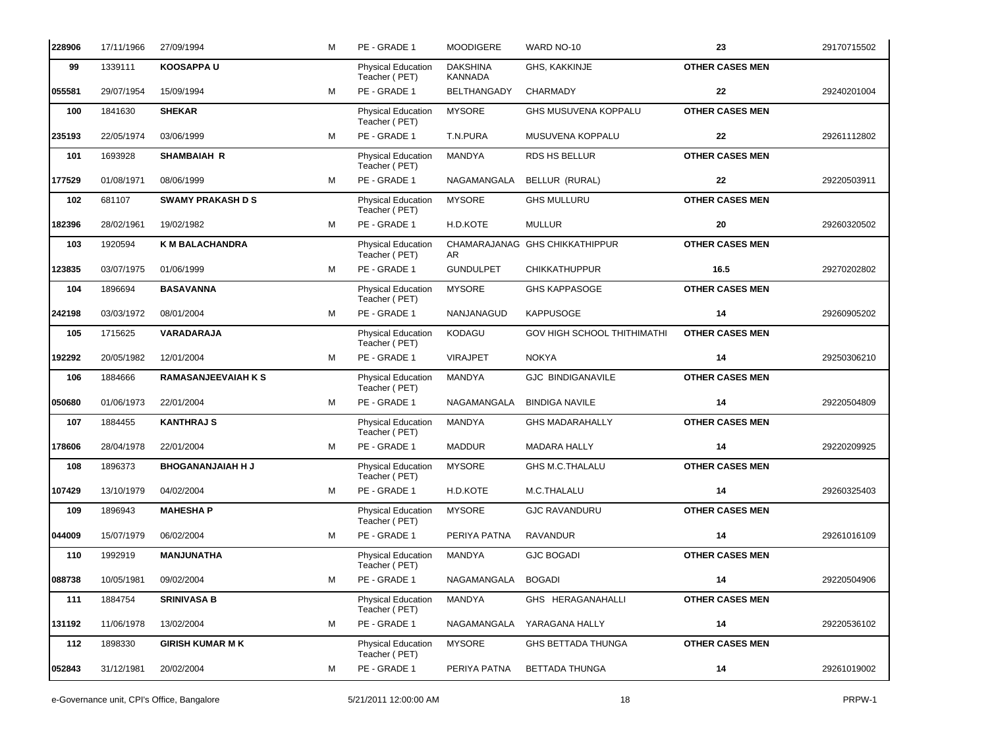| 228906 | 17/11/1966 | 27/09/1994                 | М | PE - GRADE 1                               | <b>MOODIGERE</b>                  | WARD NO-10                     | 23                     | 29170715502 |
|--------|------------|----------------------------|---|--------------------------------------------|-----------------------------------|--------------------------------|------------------------|-------------|
| 99     | 1339111    | <b>KOOSAPPAU</b>           |   | Physical Education<br>Teacher (PET)        | <b>DAKSHINA</b><br><b>KANNADA</b> | GHS, KAKKINJE                  | <b>OTHER CASES MEN</b> |             |
| 055581 | 29/07/1954 | 15/09/1994                 | м | PE - GRADE 1                               | <b>BELTHANGADY</b>                | CHARMADY                       | 22                     | 29240201004 |
| 100    | 1841630    | <b>SHEKAR</b>              |   | Physical Education<br>Teacher (PET)        | <b>MYSORE</b>                     | GHS MUSUVENA KOPPALU           | <b>OTHER CASES MEN</b> |             |
| 235193 | 22/05/1974 | 03/06/1999                 | м | PE - GRADE 1                               | T.N.PURA                          | MUSUVENA KOPPALU               | 22                     | 29261112802 |
| 101    | 1693928    | <b>SHAMBAIAH R</b>         |   | Physical Education<br>Teacher (PET)        | MANDYA                            | <b>RDS HS BELLUR</b>           | <b>OTHER CASES MEN</b> |             |
| 177529 | 01/08/1971 | 08/06/1999                 | м | PE - GRADE 1                               | NAGAMANGALA                       | BELLUR (RURAL)                 | 22                     | 29220503911 |
| 102    | 681107     | <b>SWAMY PRAKASH D S</b>   |   | Physical Education<br>Teacher (PET)        | <b>MYSORE</b>                     | <b>GHS MULLURU</b>             | <b>OTHER CASES MEN</b> |             |
| 182396 | 28/02/1961 | 19/02/1982                 | M | PE - GRADE 1                               | H.D.KOTE                          | <b>MULLUR</b>                  | 20                     | 29260320502 |
| 103    | 1920594    | <b>K M BALACHANDRA</b>     |   | <b>Physical Education</b><br>Teacher (PET) | AR.                               | CHAMARAJANAG GHS CHIKKATHIPPUR | <b>OTHER CASES MEN</b> |             |
| 123835 | 03/07/1975 | 01/06/1999                 | м | PE - GRADE 1                               | <b>GUNDULPET</b>                  | <b>CHIKKATHUPPUR</b>           | 16.5                   | 29270202802 |
| 104    | 1896694    | <b>BASAVANNA</b>           |   | Physical Education<br>Teacher (PET)        | <b>MYSORE</b>                     | <b>GHS KAPPASOGE</b>           | <b>OTHER CASES MEN</b> |             |
| 242198 | 03/03/1972 | 08/01/2004                 | м | PE - GRADE 1                               | NANJANAGUD                        | <b>KAPPUSOGE</b>               | 14                     | 29260905202 |
| 105    | 1715625    | VARADARAJA                 |   | <b>Physical Education</b><br>Teacher (PET) | <b>KODAGU</b>                     | GOV HIGH SCHOOL THITHIMATHI    | <b>OTHER CASES MEN</b> |             |
| 192292 | 20/05/1982 | 12/01/2004                 | м | PE - GRADE 1                               | <b>VIRAJPET</b>                   | <b>NOKYA</b>                   | 14                     | 29250306210 |
| 106    | 1884666    | <b>RAMASANJEEVAIAH K S</b> |   | Physical Education<br>Teacher (PET)        | <b>MANDYA</b>                     | <b>GJC BINDIGANAVILE</b>       | <b>OTHER CASES MEN</b> |             |
| 050680 | 01/06/1973 | 22/01/2004                 | м | PE - GRADE 1                               | NAGAMANGALA                       | <b>BINDIGA NAVILE</b>          | 14                     | 29220504809 |
| 107    | 1884455    | <b>KANTHRAJ S</b>          |   | <b>Physical Education</b><br>Teacher (PET) | MANDYA                            | <b>GHS MADARAHALLY</b>         | <b>OTHER CASES MEN</b> |             |
| 178606 | 28/04/1978 | 22/01/2004                 | M | PE - GRADE 1                               | <b>MADDUR</b>                     | <b>MADARA HALLY</b>            | 14                     | 29220209925 |
| 108    | 1896373    | <b>BHOGANANJAIAH H J</b>   |   | <b>Physical Education</b><br>Teacher (PET) | <b>MYSORE</b>                     | GHS M.C.THALALU                | <b>OTHER CASES MEN</b> |             |
| 107429 | 13/10/1979 | 04/02/2004                 | м | PE - GRADE 1                               | H.D.KOTE                          | M.C.THALALU                    | 14                     | 29260325403 |
| 109    | 1896943    | <b>MAHESHAP</b>            |   | <b>Physical Education</b><br>Teacher (PET) | <b>MYSORE</b>                     | <b>GJC RAVANDURU</b>           | <b>OTHER CASES MEN</b> |             |
| 044009 | 15/07/1979 | 06/02/2004                 | М | PE - GRADE 1                               | PERIYA PATNA                      | <b>RAVANDUR</b>                | 14                     | 29261016109 |
| 110    | 1992919    | <b>MANJUNATHA</b>          |   | Physical Education<br>Teacher (PET)        | MANDYA                            | <b>GJC BOGADI</b>              | <b>OTHER CASES MEN</b> |             |
| 088738 | 10/05/1981 | 09/02/2004                 | М | PE - GRADE 1                               | NAGAMANGALA                       | <b>BOGADI</b>                  | 14                     | 29220504906 |
| 111    | 1884754    | <b>SRINIVASA B</b>         |   | Physical Education<br>Teacher (PET)        | MANDYA                            | GHS HERAGANAHALLI              | <b>OTHER CASES MEN</b> |             |
| 131192 | 11/06/1978 | 13/02/2004                 | М | PE - GRADE 1                               | NAGAMANGALA                       | YARAGANA HALLY                 | 14                     | 29220536102 |
| 112    | 1898330    | <b>GIRISH KUMAR M K</b>    |   | Physical Education<br>Teacher (PET)        | <b>MYSORE</b>                     | <b>GHS BETTADA THUNGA</b>      | <b>OTHER CASES MEN</b> |             |
| 052843 | 31/12/1981 | 20/02/2004                 | м | PE - GRADE 1                               | PERIYA PATNA                      | BETTADA THUNGA                 | 14                     | 29261019002 |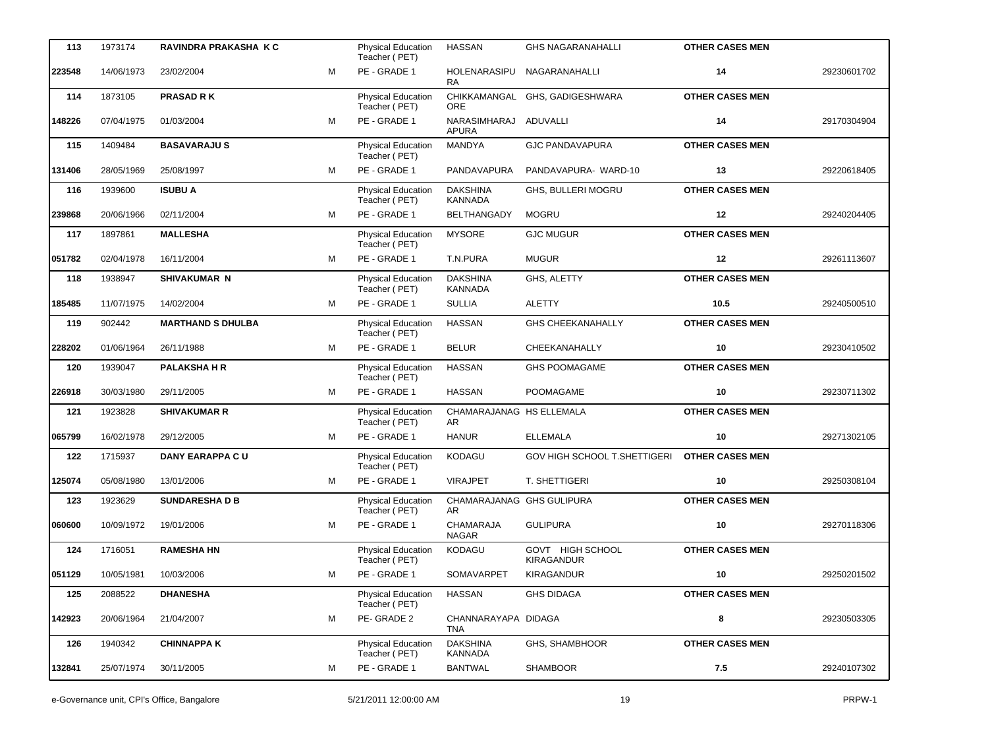| 113    | 1973174    | RAVINDRA PRAKASHA K C    |   | <b>Physical Education</b><br>Teacher (PET) | <b>HASSAN</b>                     | <b>GHS NAGARANAHALLI</b>              | <b>OTHER CASES MEN</b> |             |
|--------|------------|--------------------------|---|--------------------------------------------|-----------------------------------|---------------------------------------|------------------------|-------------|
| 223548 | 14/06/1973 | 23/02/2004               | M | PE - GRADE 1                               | HOLENARASIPU<br><b>RA</b>         | NAGARANAHALLI                         | 14                     | 29230601702 |
| 114    | 1873105    | <b>PRASAD RK</b>         |   | Physical Education<br>Teacher (PET)        | CHIKKAMANGAL<br><b>ORE</b>        | GHS, GADIGESHWARA                     | <b>OTHER CASES MEN</b> |             |
| 148226 | 07/04/1975 | 01/03/2004               | M | PE - GRADE 1                               | NARASIMHARAJ<br><b>APURA</b>      | <b>ADUVALLI</b>                       | 14                     | 29170304904 |
| 115    | 1409484    | <b>BASAVARAJUS</b>       |   | Physical Education<br>Teacher (PET)        | <b>MANDYA</b>                     | <b>GJC PANDAVAPURA</b>                | <b>OTHER CASES MEN</b> |             |
| 131406 | 28/05/1969 | 25/08/1997               | M | PE - GRADE 1                               | PANDAVAPURA                       | PANDAVAPURA- WARD-10                  | 13                     | 29220618405 |
| 116    | 1939600    | <b>ISUBU A</b>           |   | <b>Physical Education</b><br>Teacher (PET) | <b>DAKSHINA</b><br><b>KANNADA</b> | GHS, BULLERI MOGRU                    | <b>OTHER CASES MEN</b> |             |
| 239868 | 20/06/1966 | 02/11/2004               | м | PE - GRADE 1                               | <b>BELTHANGADY</b>                | <b>MOGRU</b>                          | 12                     | 29240204405 |
| 117    | 1897861    | <b>MALLESHA</b>          |   | Physical Education<br>Teacher (PET)        | <b>MYSORE</b>                     | <b>GJC MUGUR</b>                      | <b>OTHER CASES MEN</b> |             |
| 051782 | 02/04/1978 | 16/11/2004               | м | PE - GRADE 1                               | T.N.PURA                          | <b>MUGUR</b>                          | 12                     | 29261113607 |
| 118    | 1938947    | <b>SHIVAKUMAR N</b>      |   | Physical Education<br>Teacher (PET)        | <b>DAKSHINA</b><br><b>KANNADA</b> | GHS, ALETTY                           | <b>OTHER CASES MEN</b> |             |
| 185485 | 11/07/1975 | 14/02/2004               | м | PE - GRADE 1                               | <b>SULLIA</b>                     | <b>ALETTY</b>                         | 10.5                   | 29240500510 |
| 119    | 902442     | <b>MARTHAND S DHULBA</b> |   | <b>Physical Education</b><br>Teacher (PET) | <b>HASSAN</b>                     | <b>GHS CHEEKANAHALLY</b>              | <b>OTHER CASES MEN</b> |             |
| 228202 | 01/06/1964 | 26/11/1988               | м | PE - GRADE 1                               | <b>BELUR</b>                      | CHEEKANAHALLY                         | 10                     | 29230410502 |
| 120    | 1939047    | <b>PALAKSHA H R</b>      |   | Physical Education<br>Teacher (PET)        | <b>HASSAN</b>                     | <b>GHS POOMAGAME</b>                  | <b>OTHER CASES MEN</b> |             |
| 226918 | 30/03/1980 | 29/11/2005               | M | PE - GRADE 1                               | <b>HASSAN</b>                     | <b>POOMAGAME</b>                      | 10                     | 29230711302 |
| 121    | 1923828    | <b>SHIVAKUMAR R</b>      |   | <b>Physical Education</b><br>Teacher (PET) | CHAMARAJANAG HS ELLEMALA<br>AR    |                                       | <b>OTHER CASES MEN</b> |             |
| 065799 | 16/02/1978 | 29/12/2005               | м | PE - GRADE 1                               | <b>HANUR</b>                      | <b>ELLEMALA</b>                       | 10                     | 29271302105 |
| 122    | 1715937    | <b>DANY EARAPPA CU</b>   |   | Physical Education<br>Teacher (PET)        | KODAGU                            | GOV HIGH SCHOOL T.SHETTIGERI          | <b>OTHER CASES MEN</b> |             |
| 125074 | 05/08/1980 | 13/01/2006               | м | PE - GRADE 1                               | <b>VIRAJPET</b>                   | T. SHETTIGERI                         | 10                     | 29250308104 |
| 123    | 1923629    | <b>SUNDARESHA D B</b>    |   | <b>Physical Education</b><br>Teacher (PET) | CHAMARAJANAG GHS GULIPURA<br>AR   |                                       | <b>OTHER CASES MEN</b> |             |
| 060600 | 10/09/1972 | 19/01/2006               | м | PE - GRADE 1                               | <b>CHAMARAJA</b><br><b>NAGAR</b>  | <b>GULIPURA</b>                       | 10                     | 29270118306 |
| 124    | 1716051    | <b>RAMESHA HN</b>        |   | <b>Physical Education</b><br>Teacher (PET) | <b>KODAGU</b>                     | GOVT HIGH SCHOOL<br><b>KIRAGANDUR</b> | <b>OTHER CASES MEN</b> |             |
| 051129 | 10/05/1981 | 10/03/2006               | м | PE - GRADE 1                               | SOMAVARPET                        | <b>KIRAGANDUR</b>                     | 10                     | 29250201502 |
| 125    | 2088522    | <b>DHANESHA</b>          |   | <b>Physical Education</b><br>Teacher (PET) | <b>HASSAN</b>                     | <b>GHS DIDAGA</b>                     | <b>OTHER CASES MEN</b> |             |
| 142923 | 20/06/1964 | 21/04/2007               | м | PE-GRADE 2                                 | CHANNARAYAPA DIDAGA<br><b>TNA</b> |                                       | 8                      | 29230503305 |
| 126    | 1940342    | <b>CHINNAPPA K</b>       |   | <b>Physical Education</b><br>Teacher (PET) | <b>DAKSHINA</b><br>KANNADA        | GHS, SHAMBHOOR                        | <b>OTHER CASES MEN</b> |             |
| 132841 | 25/07/1974 | 30/11/2005               | м | PE - GRADE 1                               | <b>BANTWAL</b>                    | <b>SHAMBOOR</b>                       | 7.5                    | 29240107302 |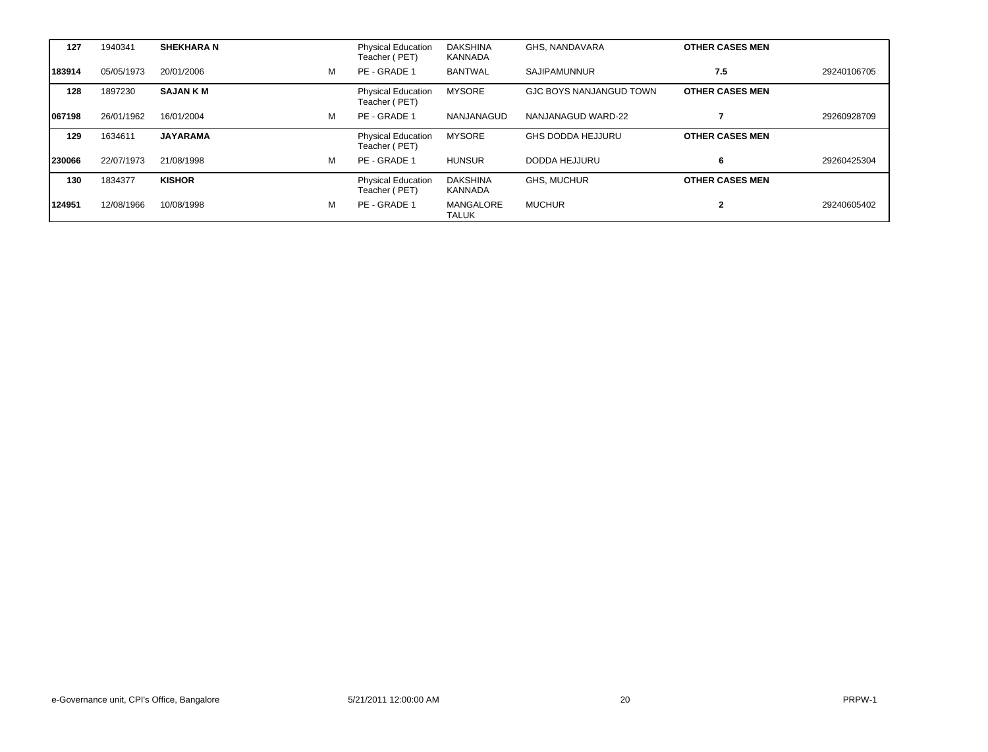| 127     | 1940341    | <b>SHEKHARA N</b> |   | Physical Education<br>Teacher (PET)        | <b>DAKSHINA</b><br>KANNADA | GHS. NANDAVARA                 | <b>OTHER CASES MEN</b> |             |
|---------|------------|-------------------|---|--------------------------------------------|----------------------------|--------------------------------|------------------------|-------------|
| 183914  | 05/05/1973 | 20/01/2006        | M | PE - GRADE 1                               | <b>BANTWAL</b>             | <b>SAJIPAMUNNUR</b>            | 7.5                    | 29240106705 |
| 128     | 1897230    | <b>SAJAN K M</b>  |   | <b>Physical Education</b><br>Teacher (PET) | <b>MYSORE</b>              | <b>GJC BOYS NANJANGUD TOWN</b> | <b>OTHER CASES MEN</b> |             |
| 1067198 | 26/01/1962 | 16/01/2004        | м | PE - GRADE 1                               | NANJANAGUD                 | NANJANAGUD WARD-22             |                        | 29260928709 |
| 129     | 1634611    | <b>JAYARAMA</b>   |   | <b>Physical Education</b><br>Teacher (PET) | <b>MYSORE</b>              | <b>GHS DODDA HEJJURU</b>       | <b>OTHER CASES MEN</b> |             |
| 230066  | 22/07/1973 | 21/08/1998        | M | PE - GRADE 1                               | <b>HUNSUR</b>              | DODDA HEJJURU                  | 6                      | 29260425304 |
| 130     | 1834377    | <b>KISHOR</b>     |   | <b>Physical Education</b><br>Teacher (PET) | <b>DAKSHINA</b><br>KANNADA | <b>GHS. MUCHUR</b>             | <b>OTHER CASES MEN</b> |             |
| 124951  | 12/08/1966 | 10/08/1998        | м | PE - GRADE 1                               | MANGALORE<br><b>TALUK</b>  | MUCHUR                         |                        | 29240605402 |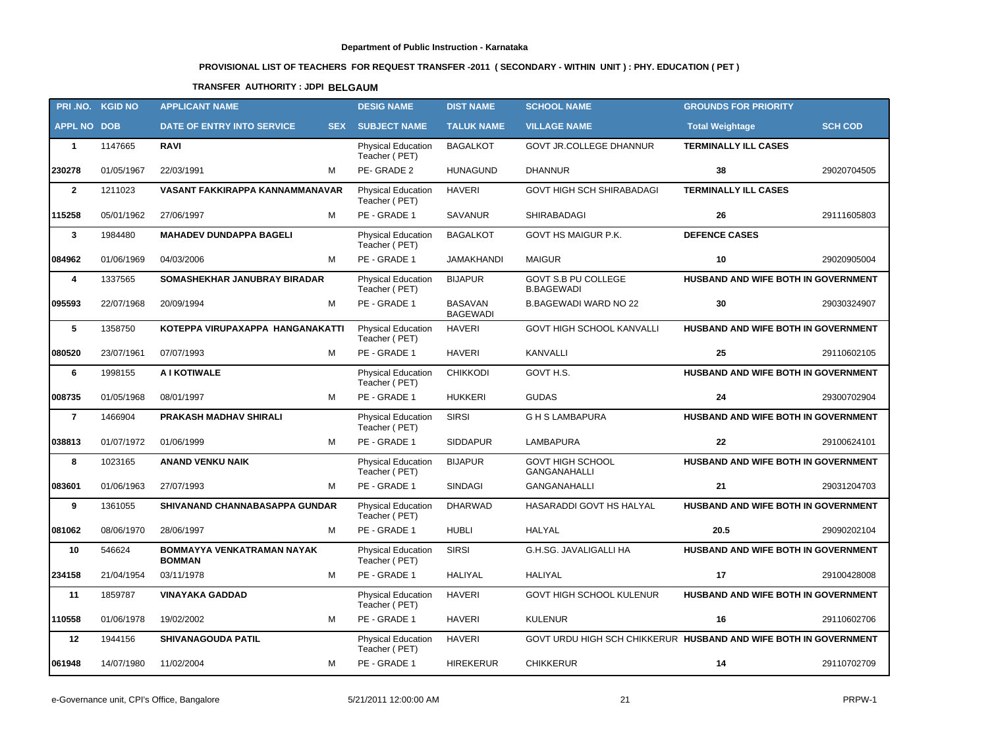# **PROVISIONAL LIST OF TEACHERS FOR REQUEST TRANSFER -2011 ( SECONDARY - WITHIN UNIT ) : PHY. EDUCATION ( PET )**

### **TRANSFER AUTHORITY : JDPI BELGAUM**

|                    | PRI.NO. KGID NO | <b>APPLICANT NAME</b>                       | <b>DESIG NAME</b>                          | <b>DIST NAME</b>                  | <b>SCHOOL NAME</b>                                               | <b>GROUNDS FOR PRIORITY</b>         |                |
|--------------------|-----------------|---------------------------------------------|--------------------------------------------|-----------------------------------|------------------------------------------------------------------|-------------------------------------|----------------|
| <b>APPL NO DOB</b> |                 | DATE OF ENTRY INTO SERVICE<br><b>SEX</b>    | <b>SUBJECT NAME</b>                        | <b>TALUK NAME</b>                 | <b>VILLAGE NAME</b>                                              | <b>Total Weightage</b>              | <b>SCH COD</b> |
| $\mathbf{1}$       | 1147665         | <b>RAVI</b>                                 | <b>Physical Education</b><br>Teacher (PET) | <b>BAGALKOT</b>                   | <b>GOVT JR.COLLEGE DHANNUR</b>                                   | <b>TERMINALLY ILL CASES</b>         |                |
| 230278             | 01/05/1967      | M<br>22/03/1991                             | PE-GRADE 2                                 | <b>HUNAGUND</b>                   | <b>DHANNUR</b>                                                   | 38                                  | 29020704505    |
| $\mathbf{2}$       | 1211023         | VASANT FAKKIRAPPA KANNAMMANAVAR             | <b>Physical Education</b><br>Teacher (PET) | <b>HAVERI</b>                     | <b>GOVT HIGH SCH SHIRABADAGI</b>                                 | <b>TERMINALLY ILL CASES</b>         |                |
| 115258             | 05/01/1962      | 27/06/1997<br>м                             | PE - GRADE 1                               | <b>SAVANUR</b>                    | SHIRABADAGI                                                      | 26                                  | 29111605803    |
| $\mathbf{3}$       | 1984480         | <b>MAHADEV DUNDAPPA BAGELI</b>              | Physical Education<br>Teacher (PET)        | <b>BAGALKOT</b>                   | GOVT HS MAIGUR P.K.                                              | <b>DEFENCE CASES</b>                |                |
| 084962             | 01/06/1969      | M<br>04/03/2006                             | PE - GRADE 1                               | JAMAKHANDI                        | <b>MAIGUR</b>                                                    | 10                                  | 29020905004    |
| 4                  | 1337565         | SOMASHEKHAR JANUBRAY BIRADAR                | Physical Education<br>Teacher (PET)        | <b>BIJAPUR</b>                    | GOVT S.B PU COLLEGE<br><b>B.BAGEWADI</b>                         | HUSBAND AND WIFE BOTH IN GOVERNMENT |                |
| 095593             | 22/07/1968      | М<br>20/09/1994                             | PE - GRADE 1                               | <b>BASAVAN</b><br><b>BAGEWADI</b> | <b>B.BAGEWADI WARD NO 22</b>                                     | 30                                  | 29030324907    |
| 5                  | 1358750         | KOTEPPA VIRUPAXAPPA HANGANAKATTI            | Physical Education<br>Teacher (PET)        | <b>HAVERI</b>                     | GOVT HIGH SCHOOL KANVALLI                                        | HUSBAND AND WIFE BOTH IN GOVERNMENT |                |
| 080520             | 23/07/1961      | M<br>07/07/1993                             | PE - GRADE 1                               | <b>HAVERI</b>                     | <b>KANVALLI</b>                                                  | 25                                  | 29110602105    |
| 6                  | 1998155         | A I KOTIWALE                                | <b>Physical Education</b><br>Teacher (PET) | <b>CHIKKODI</b>                   | GOVT H.S.                                                        | HUSBAND AND WIFE BOTH IN GOVERNMENT |                |
| 008735             | 01/05/1968      | 08/01/1997<br>M                             | PE - GRADE 1                               | <b>HUKKERI</b>                    | <b>GUDAS</b>                                                     | 24                                  | 29300702904    |
| $\overline{7}$     | 1466904         | PRAKASH MADHAV SHIRALI                      | Physical Education<br>Teacher (PET)        | <b>SIRSI</b>                      | <b>GHS LAMBAPURA</b>                                             | HUSBAND AND WIFE BOTH IN GOVERNMENT |                |
| 038813             | 01/07/1972      | 01/06/1999<br>M                             | PE - GRADE 1                               | <b>SIDDAPUR</b>                   | LAMBAPURA                                                        | 22                                  | 29100624101    |
| 8                  | 1023165         | <b>ANAND VENKU NAIK</b>                     | Physical Education<br>Teacher (PET)        | <b>BIJAPUR</b>                    | <b>GOVT HIGH SCHOOL</b><br>GANGANAHALLI                          | HUSBAND AND WIFE BOTH IN GOVERNMENT |                |
| 083601             | 01/06/1963      | 27/07/1993<br>M                             | PE - GRADE 1                               | <b>SINDAGI</b>                    | GANGANAHALLI                                                     | 21                                  | 29031204703    |
| 9                  | 1361055         | SHIVANAND CHANNABASAPPA GUNDAR              | Physical Education<br>Teacher (PET)        | <b>DHARWAD</b>                    | HASARADDI GOVT HS HALYAL                                         | HUSBAND AND WIFE BOTH IN GOVERNMENT |                |
| 081062             | 08/06/1970      | M<br>28/06/1997                             | PE - GRADE 1                               | <b>HUBLI</b>                      | HALYAL                                                           | 20.5                                | 29090202104    |
| 10                 | 546624          | BOMMAYYA VENKATRAMAN NAYAK<br><b>BOMMAN</b> | Physical Education<br>Teacher (PET)        | <b>SIRSI</b>                      | G.H.SG. JAVALIGALLI HA                                           | HUSBAND AND WIFE BOTH IN GOVERNMENT |                |
| 234158             | 21/04/1954      | М<br>03/11/1978                             | PE - GRADE 1                               | <b>HALIYAL</b>                    | HALIYAL                                                          | 17                                  | 29100428008    |
| 11                 | 1859787         | <b>VINAYAKA GADDAD</b>                      | Physical Education<br>Teacher (PET)        | <b>HAVERI</b>                     | GOVT HIGH SCHOOL KULENUR                                         | HUSBAND AND WIFE BOTH IN GOVERNMENT |                |
| 110558             | 01/06/1978      | 19/02/2002<br>М                             | PE - GRADE 1                               | <b>HAVERI</b>                     | <b>KULENUR</b>                                                   | 16                                  | 29110602706    |
| 12                 | 1944156         | <b>SHIVANAGOUDA PATIL</b>                   | <b>Physical Education</b><br>Teacher (PET) | <b>HAVERI</b>                     | GOVT URDU HIGH SCH CHIKKERUR HUSBAND AND WIFE BOTH IN GOVERNMENT |                                     |                |
| 061948             | 14/07/1980      | 11/02/2004<br>М                             | PE - GRADE 1                               | HIREKERUR                         | <b>CHIKKERUR</b>                                                 | 14                                  | 29110702709    |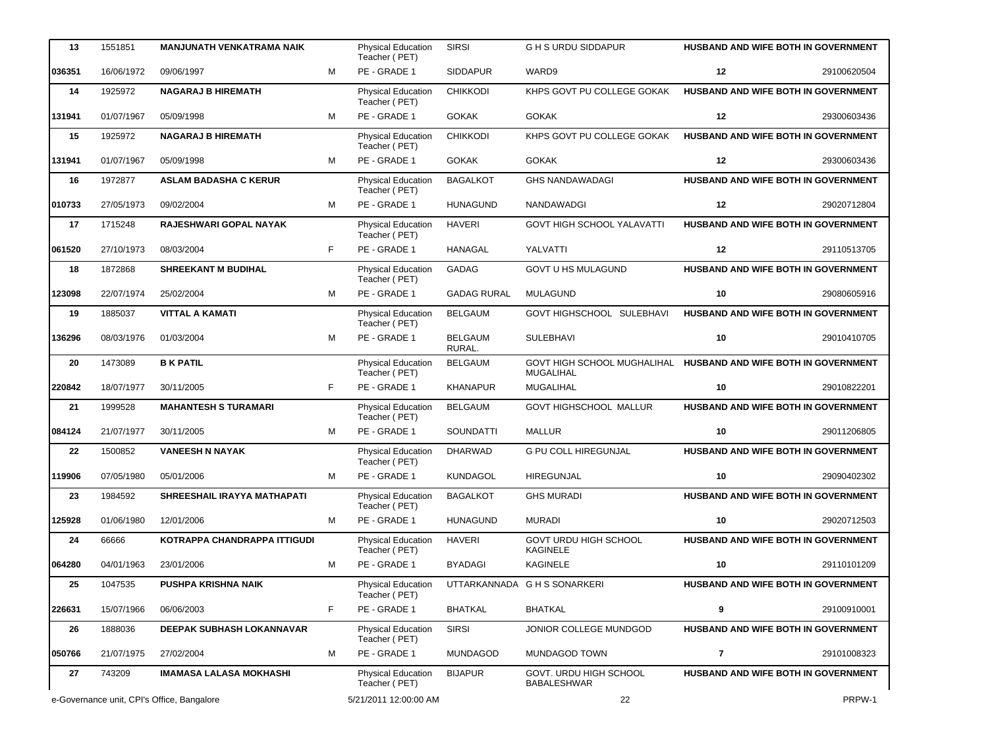| 13     | 1551851    | <b>MANJUNATH VENKATRAMA NAIK</b>           |    | <b>Physical Education</b><br>Teacher (PET) | <b>SIRSI</b>             | <b>GHS URDU SIDDAPUR</b>                                                            |         | <b>HUSBAND AND WIFE BOTH IN GOVERNMENT</b> |
|--------|------------|--------------------------------------------|----|--------------------------------------------|--------------------------|-------------------------------------------------------------------------------------|---------|--------------------------------------------|
| 036351 | 16/06/1972 | 09/06/1997                                 | M  | PE - GRADE 1                               | <b>SIDDAPUR</b>          | WARD9                                                                               | 12      | 29100620504                                |
| 14     | 1925972    | <b>NAGARAJ B HIREMATH</b>                  |    | Physical Education<br>Teacher (PET)        | <b>CHIKKODI</b>          | KHPS GOVT PU COLLEGE GOKAK                                                          |         | HUSBAND AND WIFE BOTH IN GOVERNMENT        |
| 131941 | 01/07/1967 | 05/09/1998                                 | M  | PE - GRADE 1                               | <b>GOKAK</b>             | <b>GOKAK</b>                                                                        | 12      | 29300603436                                |
| 15     | 1925972    | <b>NAGARAJ B HIREMATH</b>                  |    | Physical Education<br>Teacher (PET)        | <b>CHIKKODI</b>          | KHPS GOVT PU COLLEGE GOKAK                                                          |         | HUSBAND AND WIFE BOTH IN GOVERNMENT        |
| 131941 | 01/07/1967 | 05/09/1998                                 | M  | PE - GRADE 1                               | <b>GOKAK</b>             | <b>GOKAK</b>                                                                        | $12 \,$ | 29300603436                                |
| 16     | 1972877    | <b>ASLAM BADASHA C KERUR</b>               |    | Physical Education<br>Teacher (PET)        | <b>BAGALKOT</b>          | <b>GHS NANDAWADAGI</b>                                                              |         | HUSBAND AND WIFE BOTH IN GOVERNMENT        |
| 010733 | 27/05/1973 | 09/02/2004                                 | м  | PE - GRADE 1                               | <b>HUNAGUND</b>          | NANDAWADGI                                                                          | 12      | 29020712804                                |
| 17     | 1715248    | RAJESHWARI GOPAL NAYAK                     |    | Physical Education<br>Teacher (PET)        | <b>HAVERI</b>            | <b>GOVT HIGH SCHOOL YALAVATTI</b>                                                   |         | <b>HUSBAND AND WIFE BOTH IN GOVERNMENT</b> |
| 061520 | 27/10/1973 | 08/03/2004                                 | F  | PE - GRADE 1                               | <b>HANAGAL</b>           | YALVATTI                                                                            | 12      | 29110513705                                |
| 18     | 1872868    | <b>SHREEKANT M BUDIHAL</b>                 |    | <b>Physical Education</b><br>Teacher (PET) | GADAG                    | <b>GOVT U HS MULAGUND</b>                                                           |         | HUSBAND AND WIFE BOTH IN GOVERNMENT        |
| 123098 | 22/07/1974 | 25/02/2004                                 | M  | PE - GRADE 1                               | <b>GADAG RURAL</b>       | <b>MULAGUND</b>                                                                     | 10      | 29080605916                                |
| 19     | 1885037    | <b>VITTAL A KAMATI</b>                     |    | Physical Education<br>Teacher (PET)        | <b>BELGAUM</b>           | GOVT HIGHSCHOOL SULEBHAVI                                                           |         | HUSBAND AND WIFE BOTH IN GOVERNMENT        |
| 136296 | 08/03/1976 | 01/03/2004                                 | M  | PE - GRADE 1                               | <b>BELGAUM</b><br>RURAL. | <b>SULEBHAVI</b>                                                                    | 10      | 29010410705                                |
| 20     | 1473089    | <b>B K PATIL</b>                           |    | Physical Education<br>Teacher (PET)        | <b>BELGAUM</b>           | GOVT HIGH SCHOOL MUGHALIHAL HUSBAND AND WIFE BOTH IN GOVERNMENT<br><b>MUGALIHAL</b> |         |                                            |
| 220842 | 18/07/1977 | 30/11/2005                                 | F. | PE - GRADE 1                               | <b>KHANAPUR</b>          | MUGALIHAL                                                                           | 10      | 29010822201                                |
| 21     | 1999528    | <b>MAHANTESH S TURAMARI</b>                |    | Physical Education<br>Teacher (PET)        | <b>BELGAUM</b>           | GOVT HIGHSCHOOL MALLUR                                                              |         | HUSBAND AND WIFE BOTH IN GOVERNMENT        |
| 084124 | 21/07/1977 | 30/11/2005                                 | M  | PE - GRADE 1                               | SOUNDATTI                | <b>MALLUR</b>                                                                       | 10      | 29011206805                                |
| 22     | 1500852    | <b>VANEESH N NAYAK</b>                     |    | Physical Education<br>Teacher (PET)        | <b>DHARWAD</b>           | <b>G PU COLL HIREGUNJAL</b>                                                         |         | HUSBAND AND WIFE BOTH IN GOVERNMENT        |
| 119906 | 07/05/1980 | 05/01/2006                                 | м  | PE - GRADE 1                               | KUNDAGOL                 | <b>HIREGUNJAL</b>                                                                   | 10      | 29090402302                                |
| 23     | 1984592    | SHREESHAIL IRAYYA MATHAPATI                |    | Physical Education<br>Teacher (PET)        | <b>BAGALKOT</b>          | <b>GHS MURADI</b>                                                                   |         | HUSBAND AND WIFE BOTH IN GOVERNMENT        |
| 125928 | 01/06/1980 | 12/01/2006                                 | M  | PE - GRADE 1                               | HUNAGUND                 | <b>MURADI</b>                                                                       | 10      | 29020712503                                |
| 24     | 66666      | KOTRAPPA CHANDRAPPA ITTIGUDI               |    | Physical Education<br>Teacher (PET)        | <b>HAVERI</b>            | GOVT URDU HIGH SCHOOL<br>KAGINELE                                                   |         | HUSBAND AND WIFE BOTH IN GOVERNMENT        |
| 064280 | 04/01/1963 | 23/01/2006                                 | M  | PE - GRADE 1                               | <b>BYADAGI</b>           | KAGINELE                                                                            | 10      | 29110101209                                |
| 25     | 1047535    | <b>PUSHPA KRISHNA NAIK</b>                 |    | Physical Education<br>Teacher (PET)        |                          | UTTARKANNADA G H S SONARKERI                                                        |         | HUSBAND AND WIFE BOTH IN GOVERNMENT        |
| 226631 | 15/07/1966 | 06/06/2003                                 | F. | PE - GRADE 1                               | <b>BHATKAL</b>           | <b>BHATKAL</b>                                                                      | 9       | 29100910001                                |
| 26     | 1888036    | DEEPAK SUBHASH LOKANNAVAR                  |    | Physical Education<br>Teacher (PET)        | <b>SIRSI</b>             | JONIOR COLLEGE MUNDGOD                                                              |         | HUSBAND AND WIFE BOTH IN GOVERNMENT        |
| 050766 | 21/07/1975 | 27/02/2004                                 | м  | PE - GRADE 1                               | MUNDAGOD                 | <b>MUNDAGOD TOWN</b>                                                                | 7       | 29101008323                                |
| 27     | 743209     | <b>IMAMASA LALASA MOKHASHI</b>             |    | <b>Physical Education</b><br>Teacher (PET) | <b>BIJAPUR</b>           | GOVT. URDU HIGH SCHOOL<br><b>BABALESHWAR</b>                                        |         | HUSBAND AND WIFE BOTH IN GOVERNMENT        |
|        |            | e-Governance unit, CPI's Office, Bangalore |    | 5/21/2011 12:00:00 AM                      |                          | 22                                                                                  | PRPW-1  |                                            |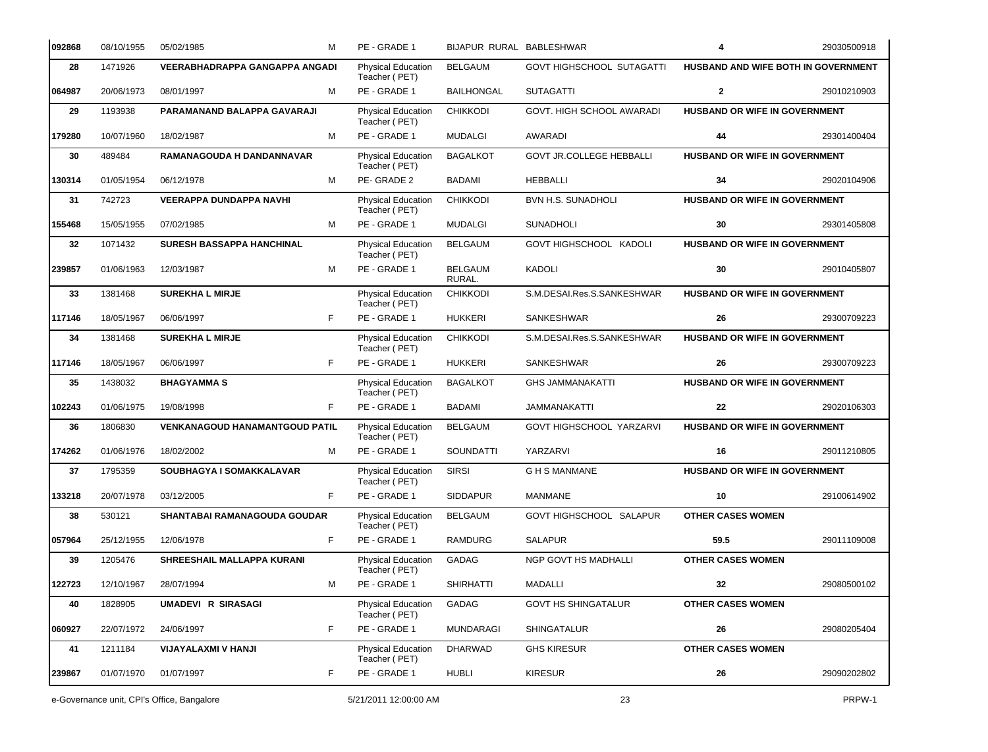| 092868 | 08/10/1955 | 05/02/1985                                 | м  | PE - GRADE 1                        | BIJAPUR RURAL BABLESHWAR |                                  | 4                                    | 29030500918 |
|--------|------------|--------------------------------------------|----|-------------------------------------|--------------------------|----------------------------------|--------------------------------------|-------------|
| 28     | 1471926    | <b>VEERABHADRAPPA GANGAPPA ANGADI</b>      |    | Physical Education<br>Teacher (PET) | <b>BELGAUM</b>           | <b>GOVT HIGHSCHOOL SUTAGATTI</b> | HUSBAND AND WIFE BOTH IN GOVERNMENT  |             |
| 064987 | 20/06/1973 | 08/01/1997                                 | м  | PE - GRADE 1                        | <b>BAILHONGAL</b>        | <b>SUTAGATTI</b>                 | $\mathbf{2}$                         | 29010210903 |
| 29     | 1193938    | PARAMANAND BALAPPA GAVARAJI                |    | Physical Education<br>Teacher (PET) | <b>CHIKKODI</b>          | GOVT. HIGH SCHOOL AWARADI        | HUSBAND OR WIFE IN GOVERNMENT        |             |
| 179280 | 10/07/1960 | 18/02/1987                                 | M  | PE - GRADE 1                        | <b>MUDALGI</b>           | AWARADI                          | 44                                   | 29301400404 |
| 30     | 489484     | RAMANAGOUDA H DANDANNAVAR                  |    | Physical Education<br>Teacher (PET) | <b>BAGALKOT</b>          | <b>GOVT JR.COLLEGE HEBBALLI</b>  | HUSBAND OR WIFE IN GOVERNMENT        |             |
| 130314 | 01/05/1954 | 06/12/1978                                 | M  | PE-GRADE 2                          | <b>BADAMI</b>            | <b>HEBBALLI</b>                  | 34                                   | 29020104906 |
| 31     | 742723     | <b>VEERAPPA DUNDAPPA NAVHI</b>             |    | Physical Education<br>Teacher (PET) | <b>CHIKKODI</b>          | <b>BVN H.S. SUNADHOLI</b>        | HUSBAND OR WIFE IN GOVERNMENT        |             |
| 155468 | 15/05/1955 | 07/02/1985                                 | м  | PE - GRADE 1                        | <b>MUDALGI</b>           | <b>SUNADHOLI</b>                 | 30                                   | 29301405808 |
| 32     | 1071432    | SURESH BASSAPPA HANCHINAL                  |    | Physical Education<br>Teacher (PET) | <b>BELGAUM</b>           | GOVT HIGHSCHOOL KADOLI           | HUSBAND OR WIFE IN GOVERNMENT        |             |
| 239857 | 01/06/1963 | 12/03/1987                                 | M  | PE - GRADE 1                        | <b>BELGAUM</b><br>RURAL. | <b>KADOLI</b>                    | 30                                   | 29010405807 |
| 33     | 1381468    | <b>SUREKHA L MIRJE</b>                     |    | Physical Education<br>Teacher (PET) | <b>CHIKKODI</b>          | S.M.DESAI.Res.S.SANKESHWAR       | HUSBAND OR WIFE IN GOVERNMENT        |             |
| 117146 | 18/05/1967 | 06/06/1997                                 | F. | PE - GRADE 1                        | <b>HUKKERI</b>           | SANKESHWAR                       | 26                                   | 29300709223 |
| 34     | 1381468    | <b>SUREKHA L MIRJE</b>                     |    | Physical Education<br>Teacher (PET) | <b>CHIKKODI</b>          | S.M.DESAI.Res.S.SANKESHWAR       | <b>HUSBAND OR WIFE IN GOVERNMENT</b> |             |
| 117146 | 18/05/1967 | 06/06/1997                                 | F  | PE - GRADE 1                        | <b>HUKKERI</b>           | SANKESHWAR                       | 26                                   | 29300709223 |
| 35     | 1438032    | <b>BHAGYAMMAS</b>                          |    | Physical Education<br>Teacher (PET) | <b>BAGALKOT</b>          | <b>GHS JAMMANAKATTI</b>          | HUSBAND OR WIFE IN GOVERNMENT        |             |
| 102243 | 01/06/1975 | 19/08/1998                                 | F  | PE - GRADE 1                        | <b>BADAMI</b>            | JAMMANAKATTI                     | 22                                   | 29020106303 |
| 36     | 1806830    | <b>VENKANAGOUD HANAMANTGOUD PATIL</b>      |    | Physical Education<br>Teacher (PET) | <b>BELGAUM</b>           | GOVT HIGHSCHOOL YARZARVI         | HUSBAND OR WIFE IN GOVERNMENT        |             |
| 174262 | 01/06/1976 | 18/02/2002                                 | M  | PE - GRADE 1                        | SOUNDATTI                | YARZARVI                         | 16                                   | 29011210805 |
| 37     | 1795359    | SOUBHAGYA I SOMAKKALAVAR                   |    | Physical Education<br>Teacher (PET) | <b>SIRSI</b>             | <b>GHSMANMANE</b>                | <b>HUSBAND OR WIFE IN GOVERNMENT</b> |             |
| 133218 | 20/07/1978 | 03/12/2005                                 | F. | PE - GRADE 1                        | <b>SIDDAPUR</b>          | <b>MANMANE</b>                   | 10                                   | 29100614902 |
| 38     | 530121     | <b>SHANTABAI RAMANAGOUDA GOUDAR</b>        |    | Physical Education<br>Teacher (PET) | <b>BELGAUM</b>           | GOVT HIGHSCHOOL SALAPUR          | <b>OTHER CASES WOMEN</b>             |             |
| 057964 | 25/12/1955 | 12/06/1978                                 | F  | PE - GRADE 1                        | RAMDURG                  | <b>SALAPUR</b>                   | 59.5                                 | 29011109008 |
| 39     | 1205476    | SHREESHAIL MALLAPPA KURANI                 |    | Physical Education<br>Teacher (PET) | GADAG                    | NGP GOVT HS MADHALLI             | <b>OTHER CASES WOMEN</b>             |             |
| 122723 | 12/10/1967 | 28/07/1994                                 | M  | PE - GRADE 1                        | <b>SHIRHATTI</b>         | MADALLI                          | 32                                   | 29080500102 |
| 40     | 1828905    | <b>UMADEVI R SIRASAGI</b>                  |    | Physical Education<br>Teacher (PET) | GADAG                    | <b>GOVT HS SHINGATALUR</b>       | <b>OTHER CASES WOMEN</b>             |             |
| 060927 | 22/07/1972 | 24/06/1997                                 | F  | PE - GRADE 1                        | <b>MUNDARAGI</b>         | SHINGATALUR                      | 26                                   | 29080205404 |
| 41     | 1211184    | VIJAYALAXMI V HANJI                        |    | Physical Education<br>Teacher (PET) | <b>DHARWAD</b>           | <b>GHS KIRESUR</b>               | <b>OTHER CASES WOMEN</b>             |             |
| 239867 | 01/07/1970 | 01/07/1997                                 | F  | PE - GRADE 1                        | <b>HUBLI</b>             | <b>KIRESUR</b>                   | 26                                   | 29090202802 |
|        |            | e-Governance unit, CPI's Office, Bangalore |    | 5/21/2011 12:00:00 AM               |                          | 23                               |                                      | PRPW-1      |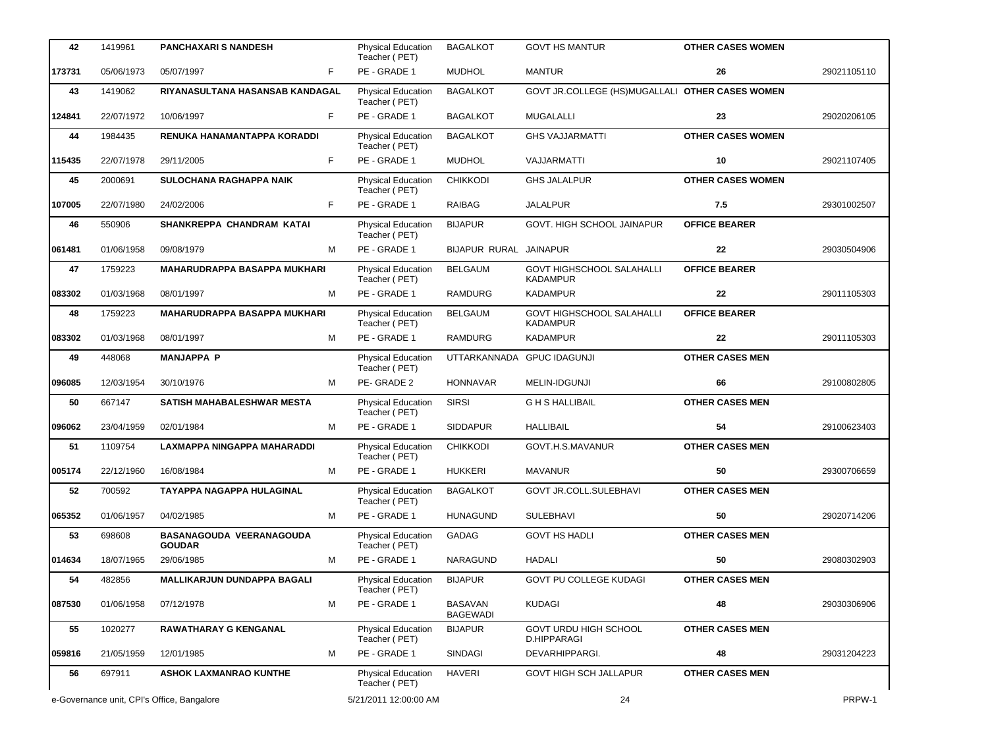| 42     | 1419961                                    | <b>PANCHAXARI S NANDESH</b>                      |   | <b>Physical Education</b><br>Teacher (PET) | <b>BAGALKOT</b>                   | <b>GOVT HS MANTUR</b>                           | <b>OTHER CASES WOMEN</b> |             |
|--------|--------------------------------------------|--------------------------------------------------|---|--------------------------------------------|-----------------------------------|-------------------------------------------------|--------------------------|-------------|
| 173731 | 05/06/1973                                 | F<br>05/07/1997                                  |   | PE - GRADE 1                               | <b>MUDHOL</b>                     | <b>MANTUR</b>                                   | 26                       | 29021105110 |
| 43     | 1419062                                    | RIYANASULTANA HASANSAB KANDAGAL                  |   | Physical Education<br>Teacher (PET)        | <b>BAGALKOT</b>                   | GOVT JR.COLLEGE (HS)MUGALLALI OTHER CASES WOMEN |                          |             |
| 124841 | 22/07/1972                                 | F<br>10/06/1997                                  |   | PE - GRADE 1                               | <b>BAGALKOT</b>                   | <b>MUGALALLI</b>                                | 23                       | 29020206105 |
| 44     | 1984435                                    | RENUKA HANAMANTAPPA KORADDI                      |   | Physical Education<br>Teacher (PET)        | <b>BAGALKOT</b>                   | <b>GHS VAJJARMATTI</b>                          | <b>OTHER CASES WOMEN</b> |             |
| 115435 | 22/07/1978                                 | F<br>29/11/2005                                  |   | PE - GRADE 1                               | <b>MUDHOL</b>                     | VAJJARMATTI                                     | 10                       | 29021107405 |
| 45     | 2000691                                    | <b>SULOCHANA RAGHAPPA NAIK</b>                   |   | Physical Education<br>Teacher (PET)        | <b>CHIKKODI</b>                   | <b>GHS JALALPUR</b>                             | <b>OTHER CASES WOMEN</b> |             |
| 107005 | 22/07/1980                                 | F<br>24/02/2006                                  |   | PE - GRADE 1                               | <b>RAIBAG</b>                     | <b>JALALPUR</b>                                 | 7.5                      | 29301002507 |
| 46     | 550906                                     | SHANKREPPA CHANDRAM KATAI                        |   | Physical Education<br>Teacher (PET)        | <b>BIJAPUR</b>                    | GOVT. HIGH SCHOOL JAINAPUR                      | <b>OFFICE BEARER</b>     |             |
| 061481 | 01/06/1958                                 | 09/08/1979                                       | м | PE - GRADE 1                               | BIJAPUR RURAL JAINAPUR            |                                                 | 22                       | 29030504906 |
| 47     | 1759223                                    | <b>MAHARUDRAPPA BASAPPA MUKHARI</b>              |   | <b>Physical Education</b><br>Teacher (PET) | <b>BELGAUM</b>                    | <b>GOVT HIGHSCHOOL SALAHALLI</b><br>KADAMPUR    | <b>OFFICE BEARER</b>     |             |
| 083302 | 01/03/1968                                 | 08/01/1997                                       | M | PE - GRADE 1                               | <b>RAMDURG</b>                    | <b>KADAMPUR</b>                                 | 22                       | 29011105303 |
| 48     | 1759223                                    | <b>MAHARUDRAPPA BASAPPA MUKHARI</b>              |   | Physical Education<br>Teacher (PET)        | <b>BELGAUM</b>                    | GOVT HIGHSCHOOL SALAHALLI<br>KADAMPUR           | <b>OFFICE BEARER</b>     |             |
| 083302 | 01/03/1968                                 | 08/01/1997                                       | M | PE - GRADE 1                               | <b>RAMDURG</b>                    | <b>KADAMPUR</b>                                 | 22                       | 29011105303 |
| 49     | 448068                                     | <b>MANJAPPA P</b>                                |   | Physical Education<br>Teacher (PET)        | UTTARKANNADA GPUC IDAGUNJI        |                                                 | <b>OTHER CASES MEN</b>   |             |
| 096085 | 12/03/1954                                 | 30/10/1976                                       | м | PE-GRADE 2                                 | <b>HONNAVAR</b>                   | MELIN-IDGUNJI                                   | 66                       | 29100802805 |
| 50     | 667147                                     | SATISH MAHABALESHWAR MESTA                       |   | Physical Education<br>Teacher (PET)        | <b>SIRSI</b>                      | <b>GHSHALLIBAIL</b>                             | <b>OTHER CASES MEN</b>   |             |
| 096062 | 23/04/1959                                 | 02/01/1984                                       | M | PE - GRADE 1                               | <b>SIDDAPUR</b>                   | <b>HALLIBAIL</b>                                | 54                       | 29100623403 |
| 51     | 1109754                                    | LAXMAPPA NINGAPPA MAHARADDI                      |   | Physical Education<br>Teacher (PET)        | <b>CHIKKODI</b>                   | GOVT.H.S.MAVANUR                                | <b>OTHER CASES MEN</b>   |             |
| 005174 | 22/12/1960                                 | 16/08/1984                                       | м | PE - GRADE 1                               | <b>HUKKERI</b>                    | <b>MAVANUR</b>                                  | 50                       | 29300706659 |
| 52     | 700592                                     | <b>TAYAPPA NAGAPPA HULAGINAL</b>                 |   | <b>Physical Education</b><br>Teacher (PET) | <b>BAGALKOT</b>                   | <b>GOVT JR.COLL.SULEBHAVI</b>                   | <b>OTHER CASES MEN</b>   |             |
| 065352 | 01/06/1957                                 | 04/02/1985                                       | м | PE - GRADE 1                               | <b>HUNAGUND</b>                   | <b>SULEBHAVI</b>                                | 50                       | 29020714206 |
| 53     | 698608                                     | <b>BASANAGOUDA VEERANAGOUDA</b><br><b>GOUDAR</b> |   | Physical Education<br>Teacher (PET)        | <b>GADAG</b>                      | <b>GOVT HS HADLI</b>                            | <b>OTHER CASES MEN</b>   |             |
| 014634 | 18/07/1965                                 | 29/06/1985                                       | м | PE - GRADE 1                               | <b>NARAGUND</b>                   | HADALI                                          | 50                       | 29080302903 |
| 54     | 482856                                     | MALLIKARJUN DUNDAPPA BAGALI                      |   | Physical Education<br>Teacher (PET)        | <b>BIJAPUR</b>                    | <b>GOVT PU COLLEGE KUDAGI</b>                   | <b>OTHER CASES MEN</b>   |             |
| 087530 | 01/06/1958                                 | 07/12/1978                                       | м | PE - GRADE 1                               | <b>BASAVAN</b><br><b>BAGEWADI</b> | <b>KUDAGI</b>                                   | 48                       | 29030306906 |
| 55     | 1020277                                    | <b>RAWATHARAY G KENGANAL</b>                     |   | Physical Education<br>Teacher (PET)        | <b>BIJAPUR</b>                    | GOVT URDU HIGH SCHOOL<br>D.HIPPARAGI            | <b>OTHER CASES MEN</b>   |             |
| 059816 | 21/05/1959                                 | 12/01/1985                                       | м | PE - GRADE 1                               | <b>SINDAGI</b>                    | DEVARHIPPARGI.                                  | 48                       | 29031204223 |
| 56     | 697911                                     | <b>ASHOK LAXMANRAO KUNTHE</b>                    |   | Physical Education<br>Teacher (PET)        | <b>HAVERI</b>                     | GOVT HIGH SCH JALLAPUR                          | <b>OTHER CASES MEN</b>   |             |
|        | e-Governance unit, CPI's Office, Bangalore |                                                  |   | 5/21/2011 12:00:00 AM                      |                                   | 24                                              |                          | PRPW-1      |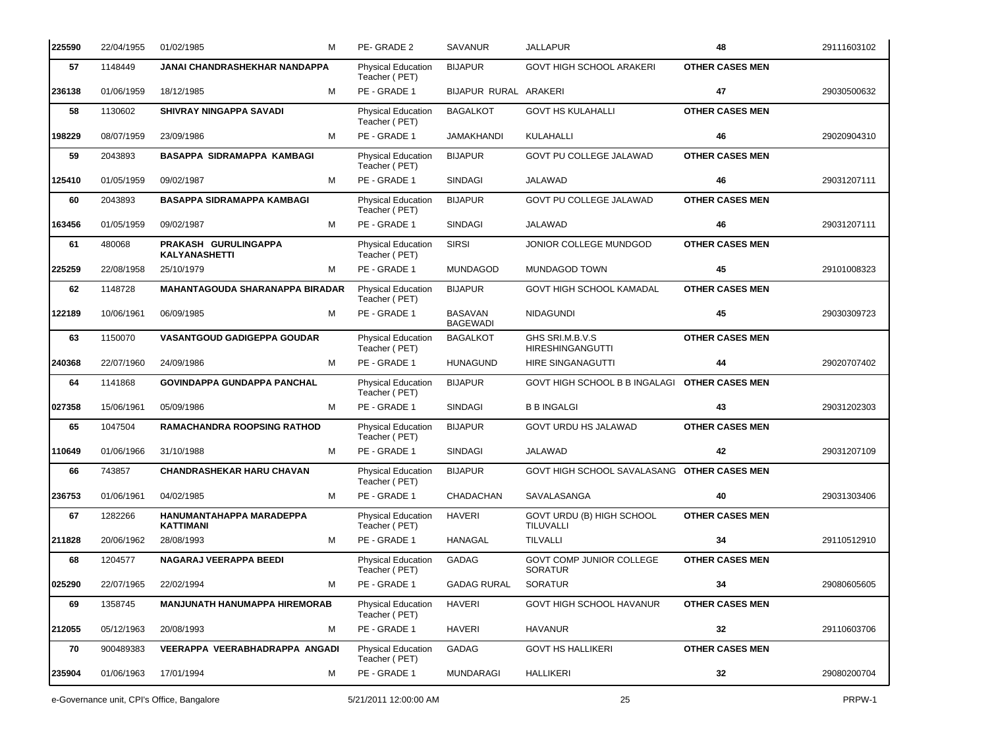| 225590 | 22/04/1955 | 01/02/1985<br>М                              | PE-GRADE 2                                 | <b>SAVANUR</b>                    | JALLAPUR                                          | 48                     | 29111603102 |
|--------|------------|----------------------------------------------|--------------------------------------------|-----------------------------------|---------------------------------------------------|------------------------|-------------|
| 57     | 1148449    | JANAI CHANDRASHEKHAR NANDAPPA                | Physical Education<br>Teacher (PET)        | <b>BIJAPUR</b>                    | <b>GOVT HIGH SCHOOL ARAKERI</b>                   | <b>OTHER CASES MEN</b> |             |
| 236138 | 01/06/1959 | 18/12/1985<br>м                              | PE - GRADE 1                               | BIJAPUR RURAL ARAKERI             |                                                   | 47                     | 29030500632 |
| 58     | 1130602    | SHIVRAY NINGAPPA SAVADI                      | Physical Education<br>Teacher (PET)        | <b>BAGALKOT</b>                   | <b>GOVT HS KULAHALLI</b>                          | <b>OTHER CASES MEN</b> |             |
| 198229 | 08/07/1959 | м<br>23/09/1986                              | PE - GRADE 1                               | <b>JAMAKHANDI</b>                 | KULAHALLI                                         | 46                     | 29020904310 |
| 59     | 2043893    | BASAPPA SIDRAMAPPA KAMBAGI                   | <b>Physical Education</b><br>Teacher (PET) | <b>BIJAPUR</b>                    | GOVT PU COLLEGE JALAWAD                           | <b>OTHER CASES MEN</b> |             |
| 125410 | 01/05/1959 | M<br>09/02/1987                              | PE - GRADE 1                               | <b>SINDAGI</b>                    | <b>JALAWAD</b>                                    | 46                     | 29031207111 |
| 60     | 2043893    | <b>BASAPPA SIDRAMAPPA KAMBAGI</b>            | Physical Education<br>Teacher (PET)        | <b>BIJAPUR</b>                    | GOVT PU COLLEGE JALAWAD                           | <b>OTHER CASES MEN</b> |             |
| 163456 | 01/05/1959 | 09/02/1987<br>м                              | PE - GRADE 1                               | <b>SINDAGI</b>                    | JALAWAD                                           | 46                     | 29031207111 |
| 61     | 480068     | PRAKASH GURULINGAPPA<br><b>KALYANASHETTI</b> | Physical Education<br>Teacher (PET)        | <b>SIRSI</b>                      | JONIOR COLLEGE MUNDGOD                            | <b>OTHER CASES MEN</b> |             |
| 225259 | 22/08/1958 | 25/10/1979<br>м                              | PE - GRADE 1                               | <b>MUNDAGOD</b>                   | MUNDAGOD TOWN                                     | 45                     | 29101008323 |
| 62     | 1148728    | <b>MAHANTAGOUDA SHARANAPPA BIRADAR</b>       | <b>Physical Education</b><br>Teacher (PET) | <b>BIJAPUR</b>                    | GOVT HIGH SCHOOL KAMADAL                          | <b>OTHER CASES MEN</b> |             |
| 122189 | 10/06/1961 | 06/09/1985<br>м                              | PE - GRADE 1                               | <b>BASAVAN</b><br><b>BAGEWADI</b> | <b>NIDAGUNDI</b>                                  | 45                     | 29030309723 |
| 63     | 1150070    | <b>VASANTGOUD GADIGEPPA GOUDAR</b>           | Physical Education<br>Teacher (PET)        | <b>BAGALKOT</b>                   | GHS SRI.M.B.V.S<br><b>HIRESHINGANGUTTI</b>        | <b>OTHER CASES MEN</b> |             |
| 240368 | 22/07/1960 | M<br>24/09/1986                              | PE - GRADE 1                               | <b>HUNAGUND</b>                   | HIRE SINGANAGUTTI                                 | 44                     | 29020707402 |
| 64     | 1141868    | <b>GOVINDAPPA GUNDAPPA PANCHAL</b>           | Physical Education<br>Teacher (PET)        | <b>BIJAPUR</b>                    | <b>GOVT HIGH SCHOOL B B INGALAGI</b>              | <b>OTHER CASES MEN</b> |             |
| 027358 | 15/06/1961 | 05/09/1986<br>м                              | PE - GRADE 1                               | <b>SINDAGI</b>                    | <b>B B INGALGI</b>                                | 43                     | 29031202303 |
| 65     | 1047504    | <b>RAMACHANDRA ROOPSING RATHOD</b>           | Physical Education<br>Teacher (PET)        | <b>BIJAPUR</b>                    | <b>GOVT URDU HS JALAWAD</b>                       | <b>OTHER CASES MEN</b> |             |
| 110649 | 01/06/1966 | 31/10/1988<br>м                              | PE - GRADE 1                               | <b>SINDAGI</b>                    | JALAWAD                                           | 42                     | 29031207109 |
| 66     | 743857     | <b>CHANDRASHEKAR HARU CHAVAN</b>             | Physical Education<br>Teacher (PET)        | <b>BIJAPUR</b>                    | GOVT HIGH SCHOOL SAVALASANG OTHER CASES MEN       |                        |             |
| 236753 | 01/06/1961 | 04/02/1985<br>м                              | PE - GRADE 1                               | CHADACHAN                         | SAVALASANGA                                       | 40                     | 29031303406 |
| 67     | 1282266    | HANUMANTAHAPPA MARADEPPA<br>KATTIMANI        | Physical Education<br>Teacher (PET)        | <b>HAVERI</b>                     | GOVT URDU (B) HIGH SCHOOL<br>TILUVALLI            | <b>OTHER CASES MEN</b> |             |
| 211828 | 20/06/1962 | 28/08/1993<br>М                              | PE - GRADE 1                               | <b>HANAGAL</b>                    | <b>TILVALLI</b>                                   | 34                     | 29110512910 |
| 68     | 1204577    | NAGARAJ VEERAPPA BEEDI                       | Physical Education<br>Teacher (PET)        | GADAG                             | <b>GOVT COMP JUNIOR COLLEGE</b><br><b>SORATUR</b> | <b>OTHER CASES MEN</b> |             |
| 025290 | 22/07/1965 | 22/02/1994<br>М                              | PE - GRADE 1                               | <b>GADAG RURAL</b>                | <b>SORATUR</b>                                    | 34                     | 29080605605 |
| 69     | 1358745    | <b>MANJUNATH HANUMAPPA HIREMORAB</b>         | <b>Physical Education</b><br>Teacher (PET) | <b>HAVERI</b>                     | GOVT HIGH SCHOOL HAVANUR                          | <b>OTHER CASES MEN</b> |             |
| 212055 | 05/12/1963 | м<br>20/08/1993                              | PE - GRADE 1                               | HAVERI                            | <b>HAVANUR</b>                                    | 32                     | 29110603706 |
| 70     | 900489383  | VEERAPPA VEERABHADRAPPA ANGADI               | <b>Physical Education</b><br>Teacher (PET) | <b>GADAG</b>                      | <b>GOVT HS HALLIKERI</b>                          | <b>OTHER CASES MEN</b> |             |
| 235904 | 01/06/1963 | 17/01/1994<br>м                              | PE - GRADE 1                               | <b>MUNDARAGI</b>                  | <b>HALLIKERI</b>                                  | 32                     | 29080200704 |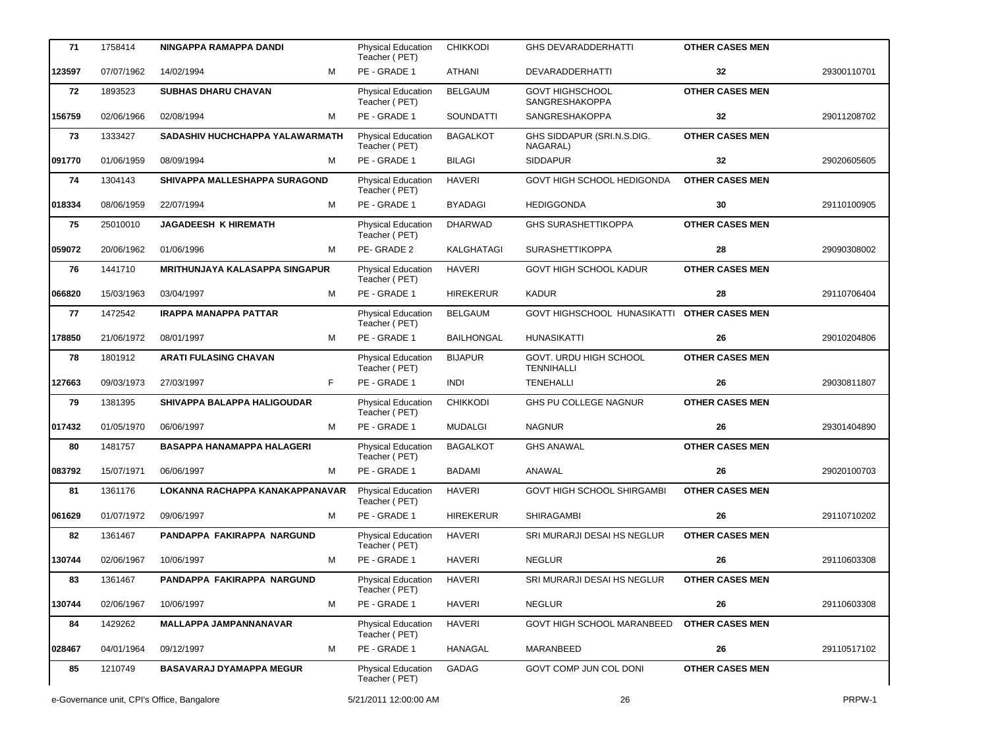| 71     | 1758414                                    | NINGAPPA RAMAPPA DANDI                | <b>Physical Education</b>                  | <b>CHIKKODI</b>   | <b>GHS DEVARADDERHATTI</b>                  | <b>OTHER CASES MEN</b> |             |
|--------|--------------------------------------------|---------------------------------------|--------------------------------------------|-------------------|---------------------------------------------|------------------------|-------------|
| 123597 | 07/07/1962                                 | м<br>14/02/1994                       | Teacher (PET)<br>PE - GRADE 1              | <b>ATHANI</b>     | DEVARADDERHATTI                             | 32                     | 29300110701 |
| 72     | 1893523                                    | <b>SUBHAS DHARU CHAVAN</b>            | <b>Physical Education</b><br>Teacher (PET) | <b>BELGAUM</b>    | <b>GOVT HIGHSCHOOL</b><br>SANGRESHAKOPPA    | <b>OTHER CASES MEN</b> |             |
| 156759 | 02/06/1966                                 | 02/08/1994<br>м                       | PE - GRADE 1                               | <b>SOUNDATTI</b>  | <b>SANGRESHAKOPPA</b>                       | 32                     | 29011208702 |
| 73     | 1333427                                    | SADASHIV HUCHCHAPPA YALAWARMATH       | Physical Education<br>Teacher (PET)        | <b>BAGALKOT</b>   | GHS SIDDAPUR (SRI.N.S.DIG.<br>NAGARAL)      | <b>OTHER CASES MEN</b> |             |
| 091770 | 01/06/1959                                 | 08/09/1994<br>м                       | PE - GRADE 1                               | <b>BILAGI</b>     | <b>SIDDAPUR</b>                             | 32                     | 29020605605 |
| 74     | 1304143                                    | SHIVAPPA MALLESHAPPA SURAGOND         | Physical Education<br>Teacher (PET)        | <b>HAVERI</b>     | GOVT HIGH SCHOOL HEDIGONDA                  | <b>OTHER CASES MEN</b> |             |
| 018334 | 08/06/1959                                 | 22/07/1994<br>м                       | PE - GRADE 1                               | <b>BYADAGI</b>    | <b>HEDIGGONDA</b>                           | 30                     | 29110100905 |
| 75     | 25010010                                   | <b>JAGADEESH K HIREMATH</b>           | Physical Education<br>Teacher (PET)        | <b>DHARWAD</b>    | <b>GHS SURASHETTIKOPPA</b>                  | <b>OTHER CASES MEN</b> |             |
| 059072 | 20/06/1962                                 | 01/06/1996<br>м                       | PE-GRADE 2                                 | KALGHATAGI        | <b>SURASHETTIKOPPA</b>                      | 28                     | 29090308002 |
| 76     | 1441710                                    | <b>MRITHUNJAYA KALASAPPA SINGAPUR</b> | Physical Education<br>Teacher (PET)        | <b>HAVERI</b>     | <b>GOVT HIGH SCHOOL KADUR</b>               | <b>OTHER CASES MEN</b> |             |
| 066820 | 15/03/1963                                 | 03/04/1997<br>м                       | PE - GRADE 1                               | <b>HIREKERUR</b>  | <b>KADUR</b>                                | 28                     | 29110706404 |
| 77     | 1472542                                    | <b>IRAPPA MANAPPA PATTAR</b>          | Physical Education<br>Teacher (PET)        | <b>BELGAUM</b>    | GOVT HIGHSCHOOL HUNASIKATTI                 | <b>OTHER CASES MEN</b> |             |
| 178850 | 21/06/1972                                 | 08/01/1997<br>м                       | PE - GRADE 1                               | <b>BAILHONGAL</b> | <b>HUNASIKATTI</b>                          | 26                     | 29010204806 |
| 78     | 1801912                                    | <b>ARATI FULASING CHAVAN</b>          | Physical Education<br>Teacher (PET)        | <b>BIJAPUR</b>    | GOVT. URDU HIGH SCHOOL<br><b>TENNIHALLI</b> | <b>OTHER CASES MEN</b> |             |
| 127663 | 09/03/1973                                 | 27/03/1997<br>F.                      | PE - GRADE 1                               | <b>INDI</b>       | <b>TENEHALLI</b>                            | 26                     | 29030811807 |
| 79     | 1381395                                    | SHIVAPPA BALAPPA HALIGOUDAR           | Physical Education<br>Teacher (PET)        | <b>CHIKKODI</b>   | GHS PU COLLEGE NAGNUR                       | <b>OTHER CASES MEN</b> |             |
| 017432 | 01/05/1970                                 | 06/06/1997<br>м                       | PE - GRADE 1                               | <b>MUDALGI</b>    | <b>NAGNUR</b>                               | 26                     | 29301404890 |
| 80     | 1481757                                    | <b>BASAPPA HANAMAPPA HALAGERI</b>     | Physical Education<br>Teacher (PET)        | <b>BAGALKOT</b>   | <b>GHS ANAWAL</b>                           | <b>OTHER CASES MEN</b> |             |
| 083792 | 15/07/1971                                 | 06/06/1997<br>м                       | PE - GRADE 1                               | <b>BADAMI</b>     | ANAWAL                                      | 26                     | 29020100703 |
| 81     | 1361176                                    | LOKANNA RACHAPPA KANAKAPPANAVAR       | <b>Physical Education</b><br>Teacher (PET) | <b>HAVERI</b>     | <b>GOVT HIGH SCHOOL SHIRGAMBI</b>           | <b>OTHER CASES MEN</b> |             |
| 061629 | 01/07/1972                                 | 09/06/1997<br>М                       | PE - GRADE 1                               | <b>HIREKERUR</b>  | <b>SHIRAGAMBI</b>                           | 26                     | 29110710202 |
| 82     | 1361467                                    | PANDAPPA FAKIRAPPA NARGUND            | Physical Education<br>Teacher (PET)        | <b>HAVERI</b>     | SRI MURARJI DESAI HS NEGLUR                 | <b>OTHER CASES MEN</b> |             |
| 130744 | 02/06/1967                                 | 10/06/1997<br>м                       | PE - GRADE 1                               | <b>HAVERI</b>     | <b>NEGLUR</b>                               | 26                     | 29110603308 |
| 83     | 1361467                                    | PANDAPPA FAKIRAPPA NARGUND            | <b>Physical Education</b><br>Teacher (PET) | HAVERI            | SRI MURARJI DESAI HS NEGLUR                 | <b>OTHER CASES MEN</b> |             |
| 130744 | 02/06/1967                                 | 10/06/1997<br>м                       | PE - GRADE 1                               | <b>HAVERI</b>     | <b>NEGLUR</b>                               | 26                     | 29110603308 |
| 84     | 1429262                                    | MALLAPPA JAMPANNANAVAR                | <b>Physical Education</b><br>Teacher (PET) | <b>HAVERI</b>     | GOVT HIGH SCHOOL MARANBEED                  | <b>OTHER CASES MEN</b> |             |
| 028467 | 04/01/1964                                 | 09/12/1997<br>м                       | PE - GRADE 1                               | HANAGAL           | MARANBEED                                   | 26                     | 29110517102 |
| 85     | 1210749                                    | <b>BASAVARAJ DYAMAPPA MEGUR</b>       | <b>Physical Education</b><br>Teacher (PET) | GADAG             | GOVT COMP JUN COL DONI                      | <b>OTHER CASES MEN</b> |             |
|        | e-Governance unit, CPI's Office, Bangalore |                                       | 5/21/2011 12:00:00 AM                      |                   | 26                                          |                        | PRPW-1      |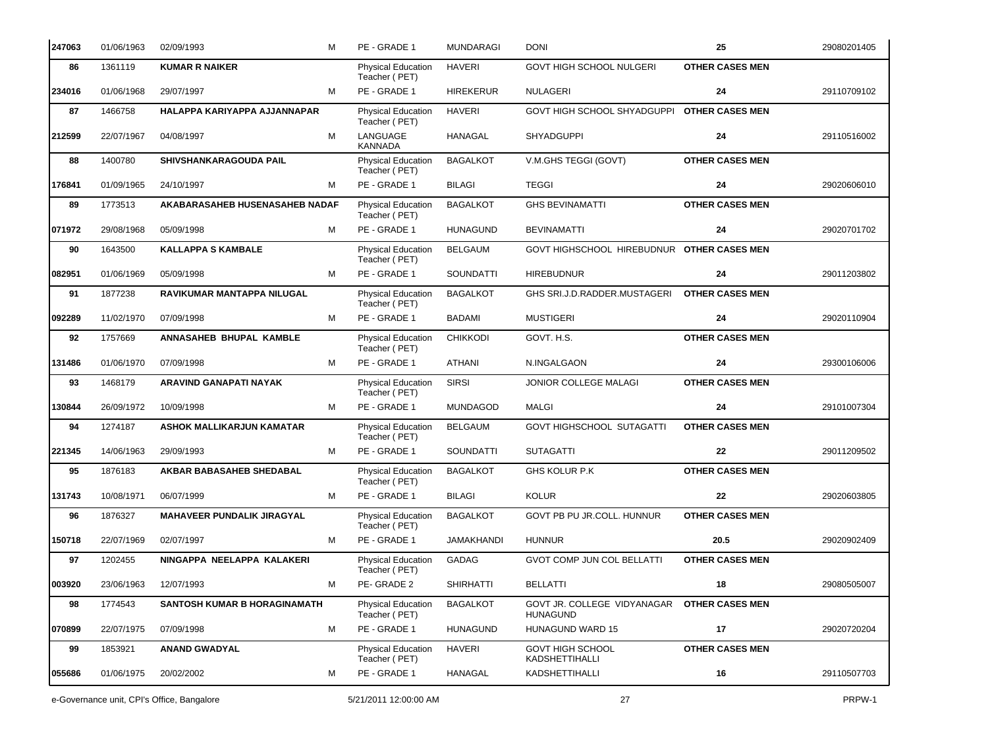| 247063 | 01/06/1963 | 02/09/1993                        | М | PE - GRADE 1                               | <b>MUNDARAGI</b> | <b>DONI</b>                                    | 25                     | 29080201405 |
|--------|------------|-----------------------------------|---|--------------------------------------------|------------------|------------------------------------------------|------------------------|-------------|
| 86     | 1361119    | <b>KUMAR R NAIKER</b>             |   | Physical Education<br>Teacher (PET)        | <b>HAVERI</b>    | <b>GOVT HIGH SCHOOL NULGERI</b>                | <b>OTHER CASES MEN</b> |             |
| 234016 | 01/06/1968 | 29/07/1997                        | M | PE - GRADE 1                               | <b>HIREKERUR</b> | <b>NULAGERI</b>                                | 24                     | 29110709102 |
| 87     | 1466758    | HALAPPA KARIYAPPA AJJANNAPAR      |   | Physical Education<br>Teacher (PET)        | <b>HAVERI</b>    | GOVT HIGH SCHOOL SHYADGUPPI                    | <b>OTHER CASES MEN</b> |             |
| 212599 | 22/07/1967 | 04/08/1997                        | M | LANGUAGE<br><b>KANNADA</b>                 | HANAGAL          | <b>SHYADGUPPI</b>                              | 24                     | 29110516002 |
| 88     | 1400780    | SHIVSHANKARAGOUDA PAIL            |   | Physical Education<br>Teacher (PET)        | <b>BAGALKOT</b>  | V.M.GHS TEGGI (GOVT)                           | <b>OTHER CASES MEN</b> |             |
| 176841 | 01/09/1965 | 24/10/1997                        | м | PE - GRADE 1                               | <b>BILAGI</b>    | <b>TEGGI</b>                                   | 24                     | 29020606010 |
| 89     | 1773513    | AKABARASAHEB HUSENASAHEB NADAF    |   | Physical Education<br>Teacher (PET)        | <b>BAGALKOT</b>  | <b>GHS BEVINAMATTI</b>                         | <b>OTHER CASES MEN</b> |             |
| 071972 | 29/08/1968 | 05/09/1998                        | м | PE - GRADE 1                               | <b>HUNAGUND</b>  | <b>BEVINAMATTI</b>                             | 24                     | 29020701702 |
| 90     | 1643500    | <b>KALLAPPA S KAMBALE</b>         |   | Physical Education<br>Teacher (PET)        | <b>BELGAUM</b>   | GOVT HIGHSCHOOL HIREBUDNUR OTHER CASES MEN     |                        |             |
| 082951 | 01/06/1969 | 05/09/1998                        | м | PE - GRADE 1                               | SOUNDATTI        | <b>HIREBUDNUR</b>                              | 24                     | 29011203802 |
| 91     | 1877238    | RAVIKUMAR MANTAPPA NILUGAL        |   | Physical Education<br>Teacher (PET)        | <b>BAGALKOT</b>  | GHS SRI.J.D.RADDER.MUSTAGERI                   | <b>OTHER CASES MEN</b> |             |
| 092289 | 11/02/1970 | 07/09/1998                        | м | PE - GRADE 1                               | <b>BADAMI</b>    | <b>MUSTIGERI</b>                               | 24                     | 29020110904 |
| 92     | 1757669    | ANNASAHEB BHUPAL KAMBLE           |   | Physical Education<br>Teacher (PET)        | <b>CHIKKODI</b>  | GOVT. H.S.                                     | <b>OTHER CASES MEN</b> |             |
| 131486 | 01/06/1970 | 07/09/1998                        | м | PE - GRADE 1                               | ATHANI           | N.INGALGAON                                    | 24                     | 29300106006 |
| 93     | 1468179    | ARAVIND GANAPATI NAYAK            |   | Physical Education<br>Teacher (PET)        | <b>SIRSI</b>     | JONIOR COLLEGE MALAGI                          | <b>OTHER CASES MEN</b> |             |
| 130844 | 26/09/1972 | 10/09/1998                        | м | PE - GRADE 1                               | MUNDAGOD         | <b>MALGI</b>                                   | 24                     | 29101007304 |
| 94     | 1274187    | <b>ASHOK MALLIKARJUN KAMATAR</b>  |   | Physical Education<br>Teacher (PET)        | <b>BELGAUM</b>   | GOVT HIGHSCHOOL SUTAGATTI                      | <b>OTHER CASES MEN</b> |             |
| 221345 | 14/06/1963 | 29/09/1993                        | м | PE - GRADE 1                               | SOUNDATTI        | <b>SUTAGATTI</b>                               | 22                     | 29011209502 |
| 95     | 1876183    | <b>AKBAR BABASAHEB SHEDABAL</b>   |   | Physical Education<br>Teacher (PET)        | <b>BAGALKOT</b>  | GHS KOLUR P.K                                  | <b>OTHER CASES MEN</b> |             |
| 131743 | 10/08/1971 | 06/07/1999                        | м | PE - GRADE 1                               | <b>BILAGI</b>    | KOLUR                                          | 22                     | 29020603805 |
| 96     | 1876327    | <b>MAHAVEER PUNDALIK JIRAGYAL</b> |   | <b>Physical Education</b><br>Teacher (PET) | <b>BAGALKOT</b>  | GOVT PB PU JR.COLL. HUNNUR                     | <b>OTHER CASES MEN</b> |             |
| 150718 | 22/07/1969 | 02/07/1997                        | М | PE - GRADE 1                               | JAMAKHANDI       | <b>HUNNUR</b>                                  | 20.5                   | 29020902409 |
| 97     | 1202455    | NINGAPPA NEELAPPA KALAKERI        |   | <b>Physical Education</b><br>Teacher (PET) | GADAG            | <b>GVOT COMP JUN COL BELLATTI</b>              | <b>OTHER CASES MEN</b> |             |
| 003920 | 23/06/1963 | 12/07/1993                        | м | PE-GRADE 2                                 | <b>SHIRHATTI</b> | <b>BELLATTI</b>                                | 18                     | 29080505007 |
| 98     | 1774543    | SANTOSH KUMAR B HORAGINAMATH      |   | <b>Physical Education</b><br>Teacher (PET) | <b>BAGALKOT</b>  | GOVT JR. COLLEGE VIDYANAGAR<br><b>HUNAGUND</b> | <b>OTHER CASES MEN</b> |             |
| 070899 | 22/07/1975 | 07/09/1998                        | м | PE - GRADE 1                               | <b>HUNAGUND</b>  | HUNAGUND WARD 15                               | 17                     | 29020720204 |
| 99     | 1853921    | <b>ANAND GWADYAL</b>              |   | Physical Education<br>Teacher (PET)        | <b>HAVERI</b>    | <b>GOVT HIGH SCHOOL</b><br>KADSHETTIHALLI      | <b>OTHER CASES MEN</b> |             |
| 055686 | 01/06/1975 | 20/02/2002                        | м | PE - GRADE 1                               | HANAGAL          | KADSHETTIHALLI                                 | 16                     | 29110507703 |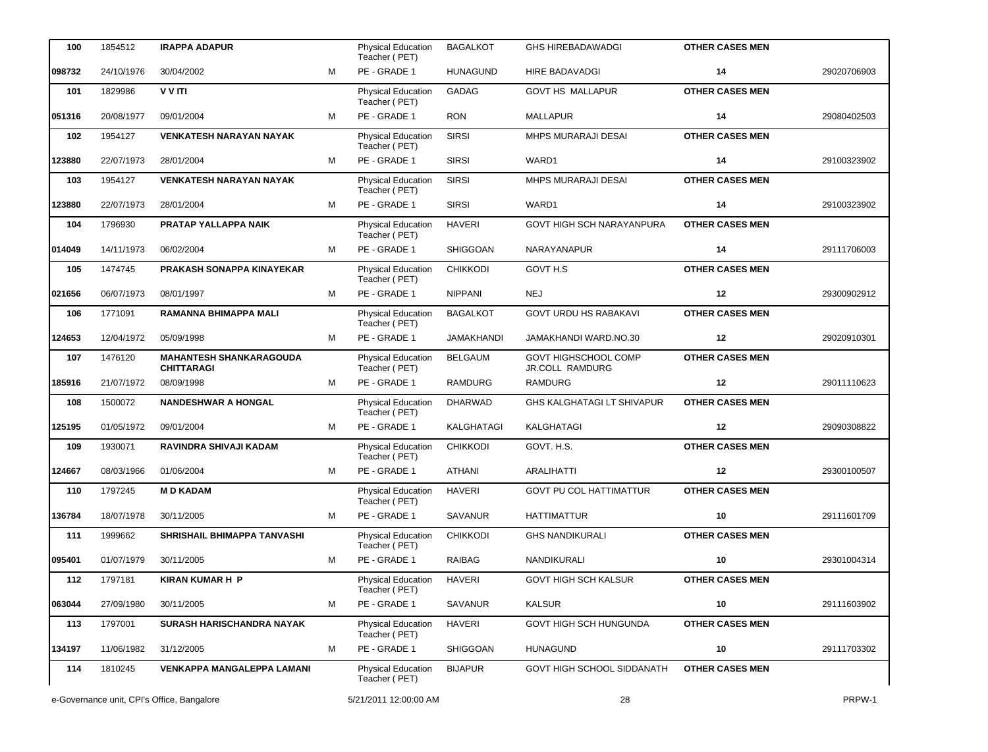| 100    | 1854512                                    | <b>IRAPPA ADAPUR</b>                                |   | <b>Physical Education</b><br>Teacher (PET) | <b>BAGALKOT</b>   | <b>GHS HIREBADAWADGI</b>                | <b>OTHER CASES MEN</b> |             |
|--------|--------------------------------------------|-----------------------------------------------------|---|--------------------------------------------|-------------------|-----------------------------------------|------------------------|-------------|
| 098732 | 24/10/1976                                 | 30/04/2002                                          | M | PE - GRADE 1                               | <b>HUNAGUND</b>   | <b>HIRE BADAVADGI</b>                   | 14                     | 29020706903 |
| 101    | 1829986                                    | V V ITI                                             |   | Physical Education<br>Teacher (PET)        | <b>GADAG</b>      | <b>GOVT HS MALLAPUR</b>                 | <b>OTHER CASES MEN</b> |             |
| 051316 | 20/08/1977                                 | 09/01/2004                                          | M | PE - GRADE 1                               | <b>RON</b>        | <b>MALLAPUR</b>                         | 14                     | 29080402503 |
| 102    | 1954127                                    | <b>VENKATESH NARAYAN NAYAK</b>                      |   | Physical Education<br>Teacher (PET)        | <b>SIRSI</b>      | MHPS MURARAJI DESAI                     | <b>OTHER CASES MEN</b> |             |
| 123880 | 22/07/1973                                 | 28/01/2004                                          | м | PE - GRADE 1                               | <b>SIRSI</b>      | WARD1                                   | 14                     | 29100323902 |
| 103    | 1954127                                    | <b>VENKATESH NARAYAN NAYAK</b>                      |   | Physical Education<br>Teacher (PET)        | <b>SIRSI</b>      | <b>MHPS MURARAJI DESAI</b>              | <b>OTHER CASES MEN</b> |             |
| 123880 | 22/07/1973                                 | 28/01/2004                                          | м | PE - GRADE 1                               | <b>SIRSI</b>      | WARD1                                   | 14                     | 29100323902 |
| 104    | 1796930                                    | PRATAP YALLAPPA NAIK                                |   | Physical Education<br>Teacher (PET)        | <b>HAVERI</b>     | GOVT HIGH SCH NARAYANPURA               | <b>OTHER CASES MEN</b> |             |
| 014049 | 14/11/1973                                 | 06/02/2004                                          | M | PE - GRADE 1                               | <b>SHIGGOAN</b>   | NARAYANAPUR                             | 14                     | 29111706003 |
| 105    | 1474745                                    | PRAKASH SONAPPA KINAYEKAR                           |   | <b>Physical Education</b><br>Teacher (PET) | <b>CHIKKODI</b>   | GOVT H.S                                | <b>OTHER CASES MEN</b> |             |
| 021656 | 06/07/1973                                 | 08/01/1997                                          | м | PE - GRADE 1                               | <b>NIPPANI</b>    | <b>NEJ</b>                              | 12                     | 29300902912 |
| 106    | 1771091                                    | RAMANNA BHIMAPPA MALI                               |   | Physical Education<br>Teacher (PET)        | <b>BAGALKOT</b>   | <b>GOVT URDU HS RABAKAVI</b>            | <b>OTHER CASES MEN</b> |             |
| 124653 | 12/04/1972                                 | 05/09/1998                                          | M | PE - GRADE 1                               | <b>JAMAKHANDI</b> | JAMAKHANDI WARD.NO.30                   | 12                     | 29020910301 |
| 107    | 1476120                                    | <b>MAHANTESH SHANKARAGOUDA</b><br><b>CHITTARAGI</b> |   | Physical Education<br>Teacher (PET)        | <b>BELGAUM</b>    | GOVT HIGHSCHOOL COMP<br>JR.COLL RAMDURG | <b>OTHER CASES MEN</b> |             |
| 185916 | 21/07/1972                                 | 08/09/1998                                          | м | PE - GRADE 1                               | <b>RAMDURG</b>    | <b>RAMDURG</b>                          | 12                     | 29011110623 |
| 108    | 1500072                                    | <b>NANDESHWAR A HONGAL</b>                          |   | Physical Education<br>Teacher (PET)        | <b>DHARWAD</b>    | GHS KALGHATAGI LT SHIVAPUR              | <b>OTHER CASES MEN</b> |             |
| 125195 | 01/05/1972                                 | 09/01/2004                                          | м | PE - GRADE 1                               | KALGHATAGI        | KALGHATAGI                              | 12                     | 29090308822 |
| 109    | 1930071                                    | RAVINDRA SHIVAJI KADAM                              |   | Physical Education<br>Teacher (PET)        | <b>CHIKKODI</b>   | GOVT. H.S.                              | <b>OTHER CASES MEN</b> |             |
| 124667 | 08/03/1966                                 | 01/06/2004                                          | м | PE - GRADE 1                               | ATHANI            | <b>ARALIHATTI</b>                       | 12                     | 29300100507 |
| 110    | 1797245                                    | <b>MD KADAM</b>                                     |   | Physical Education<br>Teacher (PET)        | <b>HAVERI</b>     | <b>GOVT PU COL HATTIMATTUR</b>          | <b>OTHER CASES MEN</b> |             |
| 136784 | 18/07/1978                                 | 30/11/2005                                          | м | PE - GRADE 1                               | <b>SAVANUR</b>    | <b>HATTIMATTUR</b>                      | 10                     | 29111601709 |
| 111    | 1999662                                    | SHRISHAIL BHIMAPPA TANVASHI                         |   | Physical Education<br>Teacher (PET)        | <b>CHIKKODI</b>   | <b>GHS NANDIKURALI</b>                  | <b>OTHER CASES MEN</b> |             |
| 095401 | 01/07/1979                                 | 30/11/2005                                          | М | PE - GRADE 1                               | RAIBAG            | NANDIKURALI                             | 10                     | 29301004314 |
| 112    | 1797181                                    | <b>KIRAN KUMAR H P</b>                              |   | <b>Physical Education</b><br>Teacher (PET) | HAVERI            | <b>GOVT HIGH SCH KALSUR</b>             | <b>OTHER CASES MEN</b> |             |
| 063044 | 27/09/1980                                 | 30/11/2005                                          | м | PE - GRADE 1                               | <b>SAVANUR</b>    | <b>KALSUR</b>                           | 10                     | 29111603902 |
| 113    | 1797001                                    | SURASH HARISCHANDRA NAYAK                           |   | Physical Education<br>Teacher (PET)        | <b>HAVERI</b>     | GOVT HIGH SCH HUNGUNDA                  | <b>OTHER CASES MEN</b> |             |
| 134197 | 11/06/1982                                 | 31/12/2005                                          | м | PE - GRADE 1                               | <b>SHIGGOAN</b>   | <b>HUNAGUND</b>                         | 10                     | 29111703302 |
| 114    | 1810245                                    | <b>VENKAPPA MANGALEPPA LAMANI</b>                   |   | Physical Education<br>Teacher (PET)        | <b>BIJAPUR</b>    | GOVT HIGH SCHOOL SIDDANATH              | <b>OTHER CASES MEN</b> |             |
|        | e-Governance unit, CPI's Office, Bangalore |                                                     |   | 5/21/2011 12:00:00 AM                      |                   | 28                                      |                        | PRPW-1      |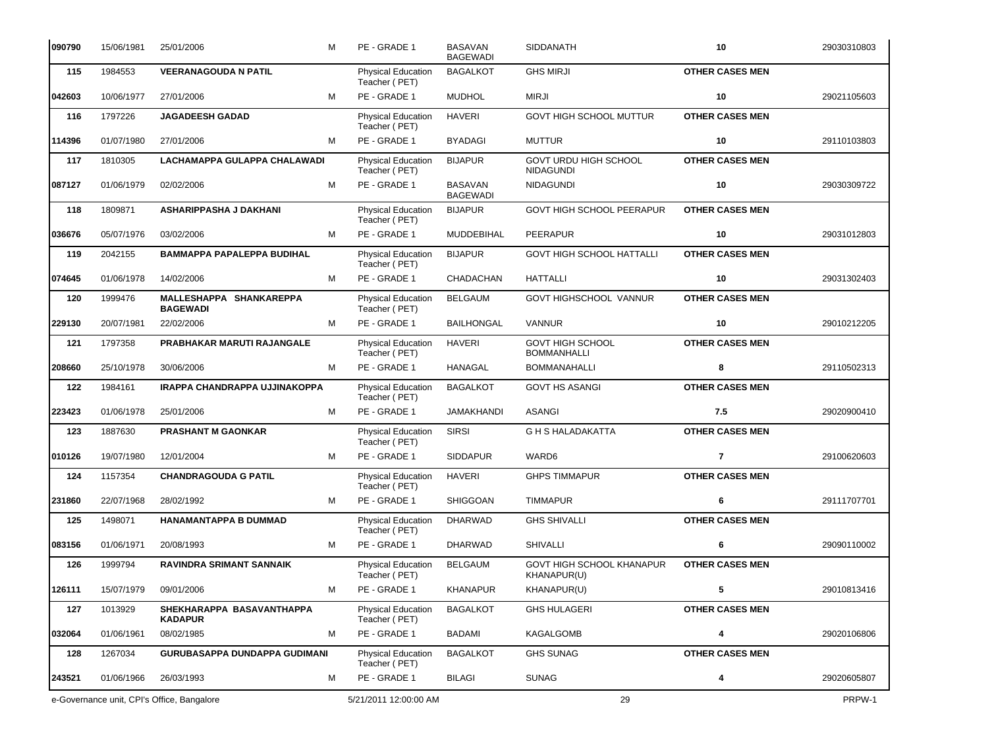| 090790 | 15/06/1981 | 25/01/2006                                  | м | PE - GRADE 1                               | BASAVAN<br><b>BAGEWADI</b>        | <b>SIDDANATH</b>                              | 10                     | 29030310803 |
|--------|------------|---------------------------------------------|---|--------------------------------------------|-----------------------------------|-----------------------------------------------|------------------------|-------------|
| 115    | 1984553    | <b>VEERANAGOUDA N PATIL</b>                 |   | Physical Education<br>Teacher (PET)        | <b>BAGALKOT</b>                   | <b>GHS MIRJI</b>                              | <b>OTHER CASES MEN</b> |             |
| 042603 | 10/06/1977 | 27/01/2006                                  | м | PE - GRADE 1                               | <b>MUDHOL</b>                     | <b>MIRJI</b>                                  | 10                     | 29021105603 |
| 116    | 1797226    | <b>JAGADEESH GADAD</b>                      |   | Physical Education<br>Teacher (PET)        | <b>HAVERI</b>                     | <b>GOVT HIGH SCHOOL MUTTUR</b>                | <b>OTHER CASES MEN</b> |             |
| 114396 | 01/07/1980 | 27/01/2006                                  | м | PE - GRADE 1                               | <b>BYADAGI</b>                    | <b>MUTTUR</b>                                 | 10                     | 29110103803 |
| 117    | 1810305    | LACHAMAPPA GULAPPA CHALAWADI                |   | Physical Education<br>Teacher (PET)        | <b>BIJAPUR</b>                    | GOVT URDU HIGH SCHOOL<br><b>NIDAGUNDI</b>     | <b>OTHER CASES MEN</b> |             |
| 087127 | 01/06/1979 | 02/02/2006                                  | м | PE - GRADE 1                               | <b>BASAVAN</b><br><b>BAGEWADI</b> | <b>NIDAGUNDI</b>                              | 10                     | 29030309722 |
| 118    | 1809871    | <b>ASHARIPPASHA J DAKHANI</b>               |   | Physical Education<br>Teacher (PET)        | <b>BIJAPUR</b>                    | GOVT HIGH SCHOOL PEERAPUR                     | <b>OTHER CASES MEN</b> |             |
| 036676 | 05/07/1976 | 03/02/2006                                  | м | PE - GRADE 1                               | MUDDEBIHAL                        | <b>PEERAPUR</b>                               | 10                     | 29031012803 |
| 119    | 2042155    | <b>BAMMAPPA PAPALEPPA BUDIHAL</b>           |   | Physical Education<br>Teacher (PET)        | <b>BIJAPUR</b>                    | <b>GOVT HIGH SCHOOL HATTALLI</b>              | <b>OTHER CASES MEN</b> |             |
| 074645 | 01/06/1978 | 14/02/2006                                  | м | PE - GRADE 1                               | CHADACHAN                         | <b>HATTALLI</b>                               | 10                     | 29031302403 |
| 120    | 1999476    | MALLESHAPPA SHANKAREPPA<br><b>BAGEWADI</b>  |   | Physical Education<br>Teacher (PET)        | <b>BELGAUM</b>                    | GOVT HIGHSCHOOL VANNUR                        | <b>OTHER CASES MEN</b> |             |
| 229130 | 20/07/1981 | 22/02/2006                                  | м | PE - GRADE 1                               | <b>BAILHONGAL</b>                 | <b>VANNUR</b>                                 | 10                     | 29010212205 |
| 121    | 1797358    | PRABHAKAR MARUTI RAJANGALE                  |   | <b>Physical Education</b><br>Teacher (PET) | <b>HAVERI</b>                     | <b>GOVT HIGH SCHOOL</b><br><b>BOMMANHALLI</b> | <b>OTHER CASES MEN</b> |             |
| 208660 | 25/10/1978 | 30/06/2006                                  | м | PE - GRADE 1                               | <b>HANAGAL</b>                    | <b>BOMMANAHALLI</b>                           | 8                      | 29110502313 |
| 122    | 1984161    | IRAPPA CHANDRAPPA UJJINAKOPPA               |   | Physical Education<br>Teacher (PET)        | <b>BAGALKOT</b>                   | <b>GOVT HS ASANGI</b>                         | <b>OTHER CASES MEN</b> |             |
| 223423 | 01/06/1978 | 25/01/2006                                  | M | PE - GRADE 1                               | <b>JAMAKHANDI</b>                 | <b>ASANGI</b>                                 | 7.5                    | 29020900410 |
| 123    | 1887630    | <b>PRASHANT M GAONKAR</b>                   |   | Physical Education<br>Teacher (PET)        | <b>SIRSI</b>                      | <b>G H S HALADAKATTA</b>                      | <b>OTHER CASES MEN</b> |             |
| 010126 | 19/07/1980 | 12/01/2004                                  | м | PE - GRADE 1                               | <b>SIDDAPUR</b>                   | WARD6                                         | $\overline{7}$         | 29100620603 |
| 124    | 1157354    | <b>CHANDRAGOUDA G PATIL</b>                 |   | <b>Physical Education</b><br>Teacher (PET) | <b>HAVERI</b>                     | <b>GHPS TIMMAPUR</b>                          | <b>OTHER CASES MEN</b> |             |
| 231860 | 22/07/1968 | 28/02/1992                                  | м | PE - GRADE 1                               | <b>SHIGGOAN</b>                   | <b>TIMMAPUR</b>                               | 6                      | 29111707701 |
| 125    | 1498071    | HANAMANTAPPA B DUMMAD                       |   | <b>Physical Education</b><br>Teacher (PET) | <b>DHARWAD</b>                    | <b>GHS SHIVALLI</b>                           | <b>OTHER CASES MEN</b> |             |
| 083156 | 01/06/1971 | 20/08/1993                                  | м | PE - GRADE 1                               | <b>DHARWAD</b>                    | SHIVALLI                                      | 6                      | 29090110002 |
| 126    | 1999794    | <b>RAVINDRA SRIMANT SANNAIK</b>             |   | <b>Physical Education</b><br>Teacher (PET) | <b>BELGAUM</b>                    | GOVT HIGH SCHOOL KHANAPUR<br>KHANAPUR(U)      | <b>OTHER CASES MEN</b> |             |
| 126111 | 15/07/1979 | 09/01/2006                                  | м | PE - GRADE 1                               | <b>KHANAPUR</b>                   | KHANAPUR(U)                                   | 5                      | 29010813416 |
| 127    | 1013929    | SHEKHARAPPA BASAVANTHAPPA<br><b>KADAPUR</b> |   | Physical Education<br>Teacher (PET)        | <b>BAGALKOT</b>                   | <b>GHS HULAGERI</b>                           | <b>OTHER CASES MEN</b> |             |
| 032064 | 01/06/1961 | 08/02/1985                                  | м | PE - GRADE 1                               | <b>BADAMI</b>                     | KAGALGOMB                                     | 4                      | 29020106806 |
| 128    | 1267034    | GURUBASAPPA DUNDAPPA GUDIMANI               |   | <b>Physical Education</b><br>Teacher (PET) | <b>BAGALKOT</b>                   | <b>GHS SUNAG</b>                              | <b>OTHER CASES MEN</b> |             |
| 243521 | 01/06/1966 | 26/03/1993                                  | м | PE - GRADE 1                               | <b>BILAGI</b>                     | <b>SUNAG</b>                                  | 4                      | 29020605807 |
|        |            | e-Governance unit, CPI's Office, Bangalore  |   | 5/21/2011 12:00:00 AM                      |                                   | 29                                            |                        | PRPW-1      |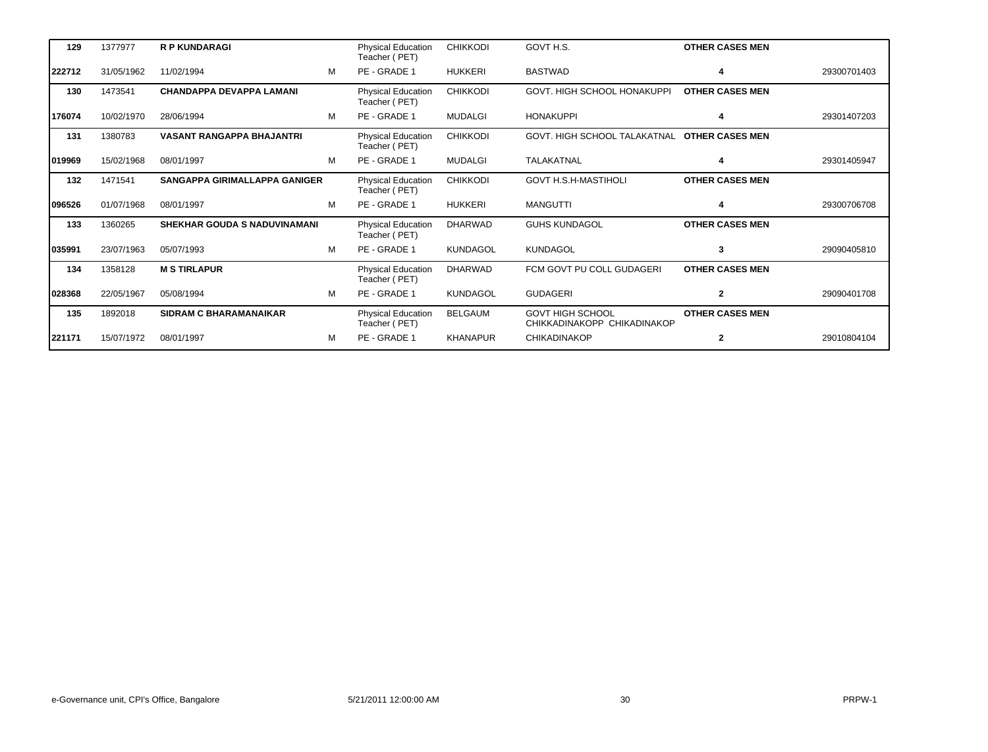| 129    | 1377977    | <b>R P KUNDARAGI</b>                 |   | <b>Physical Education</b><br>Teacher (PET) | <b>CHIKKODI</b> | GOVT H.S.                                              | <b>OTHER CASES MEN</b> |             |
|--------|------------|--------------------------------------|---|--------------------------------------------|-----------------|--------------------------------------------------------|------------------------|-------------|
| 222712 | 31/05/1962 | 11/02/1994                           | м | PE - GRADE 1                               | <b>HUKKERI</b>  | <b>BASTWAD</b>                                         |                        | 29300701403 |
| 130    | 1473541    | <b>CHANDAPPA DEVAPPA LAMANI</b>      |   | <b>Physical Education</b><br>Teacher (PET) | <b>CHIKKODI</b> | GOVT. HIGH SCHOOL HONAKUPPI                            | <b>OTHER CASES MEN</b> |             |
| 176074 | 10/02/1970 | 28/06/1994                           | м | PE - GRADE 1                               | <b>MUDALGI</b>  | <b>HONAKUPPI</b>                                       | 4                      | 29301407203 |
| 131    | 1380783    | <b>VASANT RANGAPPA BHAJANTRI</b>     |   | <b>Physical Education</b><br>Teacher (PET) | <b>CHIKKODI</b> | GOVT. HIGH SCHOOL TALAKATNAL                           | <b>OTHER CASES MEN</b> |             |
| 019969 | 15/02/1968 | 08/01/1997                           | м | PE - GRADE 1                               | <b>MUDALGI</b>  | TALAKATNAL                                             | 4                      | 29301405947 |
| 132    | 1471541    | <b>SANGAPPA GIRIMALLAPPA GANIGER</b> |   | <b>Physical Education</b><br>Teacher (PET) | <b>CHIKKODI</b> | <b>GOVT H.S.H-MASTIHOLI</b>                            | <b>OTHER CASES MEN</b> |             |
| 096526 | 01/07/1968 | 08/01/1997                           | M | PE - GRADE 1                               | <b>HUKKERI</b>  | <b>MANGUTTI</b>                                        | 4                      | 29300706708 |
| 133    | 1360265    | <b>SHEKHAR GOUDA S NADUVINAMANI</b>  |   | <b>Physical Education</b><br>Teacher (PET) | <b>DHARWAD</b>  | <b>GUHS KUNDAGOL</b>                                   | <b>OTHER CASES MEN</b> |             |
| 035991 | 23/07/1963 | 05/07/1993                           | M | PE - GRADE 1                               | <b>KUNDAGOL</b> | <b>KUNDAGOL</b>                                        | 3                      | 29090405810 |
| 134    | 1358128    | <b>M S TIRLAPUR</b>                  |   | <b>Physical Education</b><br>Teacher (PET) | <b>DHARWAD</b>  | FCM GOVT PU COLL GUDAGERI                              | <b>OTHER CASES MEN</b> |             |
| 028368 | 22/05/1967 | 05/08/1994                           | M | PE - GRADE 1                               | <b>KUNDAGOL</b> | <b>GUDAGERI</b>                                        | $\mathbf{2}$           | 29090401708 |
| 135    | 1892018    | <b>SIDRAM C BHARAMANAIKAR</b>        |   | <b>Physical Education</b><br>Teacher (PET) | <b>BELGAUM</b>  | <b>GOVT HIGH SCHOOL</b><br>CHIKKADINAKOPP CHIKADINAKOP | <b>OTHER CASES MEN</b> |             |
| 221171 | 15/07/1972 | 08/01/1997                           | м | PE - GRADE 1                               | <b>KHANAPUR</b> | <b>CHIKADINAKOP</b>                                    | 2                      | 29010804104 |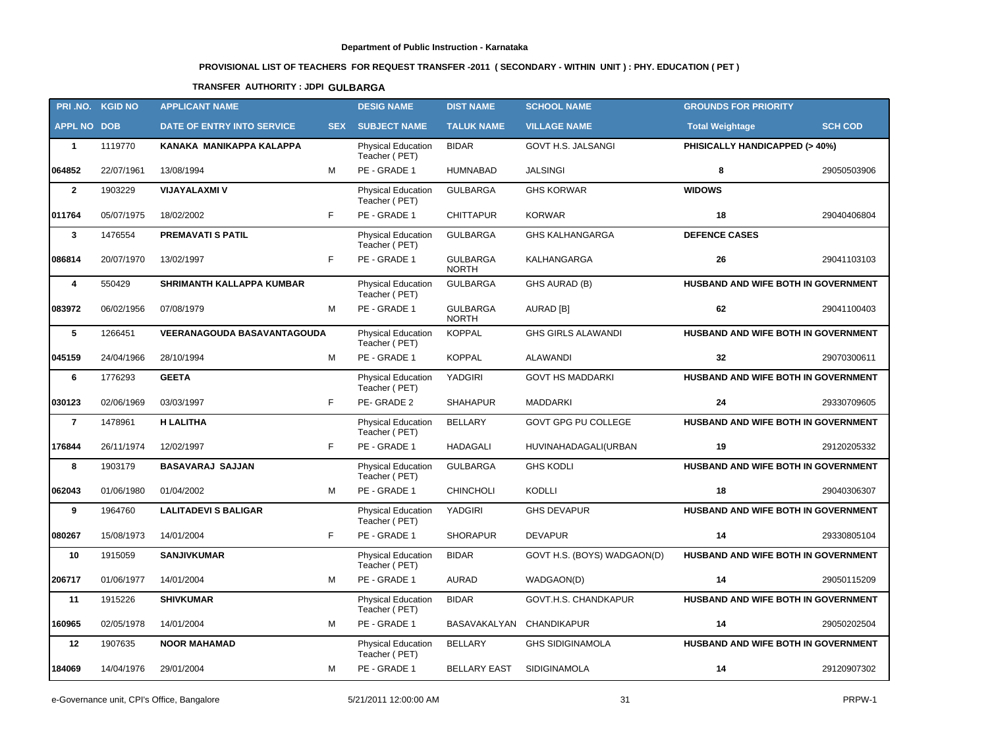# **PROVISIONAL LIST OF TEACHERS FOR REQUEST TRANSFER -2011 ( SECONDARY - WITHIN UNIT ) : PHY. EDUCATION ( PET )**

### **TRANSFER AUTHORITY : JDPI GULBARGA**

|                    | PRI.NO. KGID NO | <b>APPLICANT NAME</b>              |            | <b>DESIG NAME</b>                          | <b>DIST NAME</b>                | <b>SCHOOL NAME</b>          | <b>GROUNDS FOR PRIORITY</b>         |                |
|--------------------|-----------------|------------------------------------|------------|--------------------------------------------|---------------------------------|-----------------------------|-------------------------------------|----------------|
| <b>APPL NO DOB</b> |                 | DATE OF ENTRY INTO SERVICE         | <b>SEX</b> | <b>SUBJECT NAME</b>                        | <b>TALUK NAME</b>               | <b>VILLAGE NAME</b>         | <b>Total Weightage</b>              | <b>SCH COD</b> |
| $\mathbf{1}$       | 1119770         | KANAKA MANIKAPPA KALAPPA           |            | <b>Physical Education</b><br>Teacher (PET) | <b>BIDAR</b>                    | <b>GOVT H.S. JALSANGI</b>   | PHISICALLY HANDICAPPED (> 40%)      |                |
| 064852             | 22/07/1961      | 13/08/1994                         | M          | PE - GRADE 1                               | <b>HUMNABAD</b>                 | <b>JALSINGI</b>             | 8                                   | 29050503906    |
| $\mathbf{2}$       | 1903229         | <b>VIJAYALAXMI V</b>               |            | <b>Physical Education</b><br>Teacher (PET) | <b>GULBARGA</b>                 | <b>GHS KORWAR</b>           | <b>WIDOWS</b>                       |                |
| 011764             | 05/07/1975      | 18/02/2002                         | F.         | PE - GRADE 1                               | <b>CHITTAPUR</b>                | <b>KORWAR</b>               | 18                                  | 29040406804    |
| $\mathbf{3}$       | 1476554         | <b>PREMAVATI S PATIL</b>           |            | Physical Education<br>Teacher (PET)        | <b>GULBARGA</b>                 | <b>GHS KALHANGARGA</b>      | <b>DEFENCE CASES</b>                |                |
| 086814             | 20/07/1970      | 13/02/1997                         | F.         | PE - GRADE 1                               | <b>GULBARGA</b><br><b>NORTH</b> | KALHANGARGA                 | 26                                  | 29041103103    |
| 4                  | 550429          | SHRIMANTH KALLAPPA KUMBAR          |            | Physical Education<br>Teacher (PET)        | <b>GULBARGA</b>                 | GHS AURAD (B)               | HUSBAND AND WIFE BOTH IN GOVERNMENT |                |
| 083972             | 06/02/1956      | 07/08/1979                         | М          | PE - GRADE 1                               | <b>GULBARGA</b><br><b>NORTH</b> | AURAD [B]                   | 62                                  | 29041100403    |
| 5                  | 1266451         | <b>VEERANAGOUDA BASAVANTAGOUDA</b> |            | Physical Education<br>Teacher (PET)        | <b>KOPPAL</b>                   | <b>GHS GIRLS ALAWANDI</b>   | HUSBAND AND WIFE BOTH IN GOVERNMENT |                |
| 045159             | 24/04/1966      | 28/10/1994                         | M          | PE - GRADE 1                               | <b>KOPPAL</b>                   | ALAWANDI                    | 32                                  | 29070300611    |
| 6                  | 1776293         | <b>GEETA</b>                       |            | Physical Education<br>Teacher (PET)        | YADGIRI                         | <b>GOVT HS MADDARKI</b>     | HUSBAND AND WIFE BOTH IN GOVERNMENT |                |
| 030123             | 02/06/1969      | 03/03/1997                         | F.         | PE-GRADE 2                                 | <b>SHAHAPUR</b>                 | <b>MADDARKI</b>             | 24                                  | 29330709605    |
| $\overline{7}$     | 1478961         | <b>H LALITHA</b>                   |            | <b>Physical Education</b><br>Teacher (PET) | <b>BELLARY</b>                  | GOVT GPG PU COLLEGE         | HUSBAND AND WIFE BOTH IN GOVERNMENT |                |
| 176844             | 26/11/1974      | 12/02/1997                         | F.         | PE - GRADE 1                               | HADAGALI                        | HUVINAHADAGALI(URBAN        | 19                                  | 29120205332    |
| 8                  | 1903179         | <b>BASAVARAJ SAJJAN</b>            |            | <b>Physical Education</b><br>Teacher (PET) | <b>GULBARGA</b>                 | <b>GHS KODLI</b>            | HUSBAND AND WIFE BOTH IN GOVERNMENT |                |
| 062043             | 01/06/1980      | 01/04/2002                         | M          | PE - GRADE 1                               | <b>CHINCHOLI</b>                | KODLLI                      | 18                                  | 29040306307    |
| 9                  | 1964760         | <b>LALITADEVI S BALIGAR</b>        |            | Physical Education<br>Teacher (PET)        | YADGIRI                         | <b>GHS DEVAPUR</b>          | HUSBAND AND WIFE BOTH IN GOVERNMENT |                |
| 080267             | 15/08/1973      | 14/01/2004                         | F.         | PE - GRADE 1                               | <b>SHORAPUR</b>                 | <b>DEVAPUR</b>              | 14                                  | 29330805104    |
| 10                 | 1915059         | <b>SANJIVKUMAR</b>                 |            | Physical Education<br>Teacher (PET)        | <b>BIDAR</b>                    | GOVT H.S. (BOYS) WADGAON(D) | HUSBAND AND WIFE BOTH IN GOVERNMENT |                |
| 206717             | 01/06/1977      | 14/01/2004                         | М          | PE - GRADE 1                               | <b>AURAD</b>                    | WADGAON(D)                  | 14                                  | 29050115209    |
| 11                 | 1915226         | <b>SHIVKUMAR</b>                   |            | <b>Physical Education</b><br>Teacher (PET) | <b>BIDAR</b>                    | GOVT.H.S. CHANDKAPUR        | HUSBAND AND WIFE BOTH IN GOVERNMENT |                |
| 160965             | 02/05/1978      | 14/01/2004                         | м          | PE - GRADE 1                               | BASAVAKALYAN CHANDIKAPUR        |                             | 14                                  | 29050202504    |
| 12                 | 1907635         | <b>NOOR MAHAMAD</b>                |            | <b>Physical Education</b><br>Teacher (PET) | <b>BELLARY</b>                  | <b>GHS SIDIGINAMOLA</b>     | HUSBAND AND WIFE BOTH IN GOVERNMENT |                |
| 184069             | 14/04/1976      | 29/01/2004                         | М          | PE - GRADE 1                               | <b>BELLARY EAST</b>             | <b>SIDIGINAMOLA</b>         | 14                                  | 29120907302    |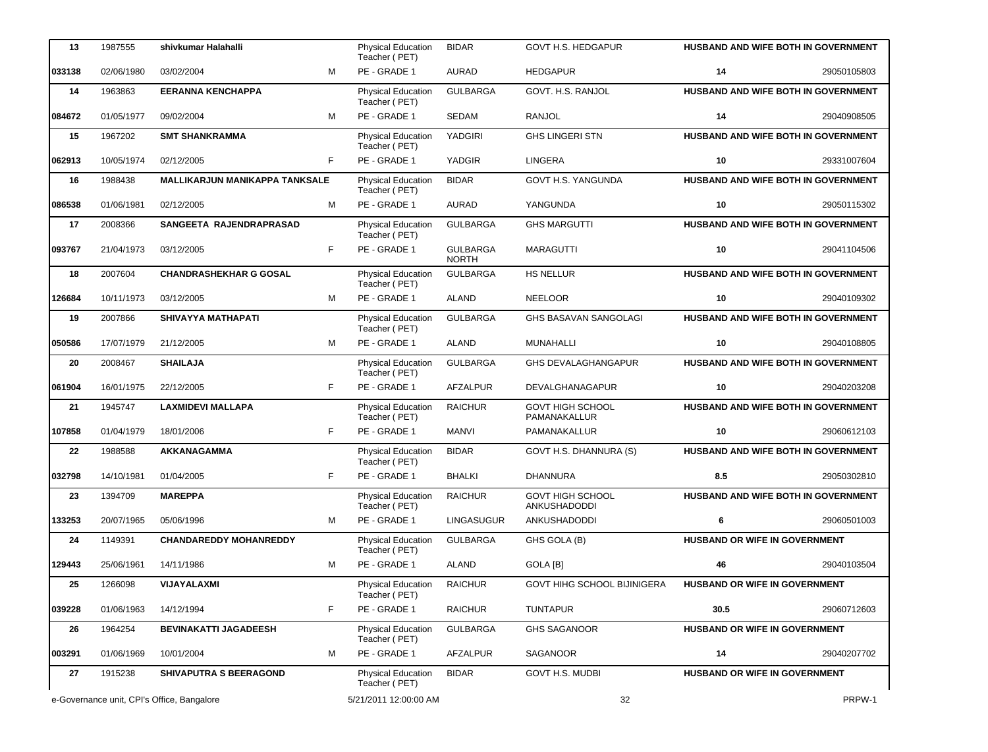| 13     | 1987555    | shivkumar Halahalli                        |    | <b>Physical Education</b><br>Teacher (PET) | <b>BIDAR</b>                    | GOVT H.S. HEDGAPUR                      |                                      | <b>HUSBAND AND WIFE BOTH IN GOVERNMENT</b> |
|--------|------------|--------------------------------------------|----|--------------------------------------------|---------------------------------|-----------------------------------------|--------------------------------------|--------------------------------------------|
| 033138 | 02/06/1980 | 03/02/2004                                 | M  | PE - GRADE 1                               | <b>AURAD</b>                    | <b>HEDGAPUR</b>                         | 14                                   | 29050105803                                |
| 14     | 1963863    | <b>EERANNA KENCHAPPA</b>                   |    | Physical Education<br>Teacher (PET)        | <b>GULBARGA</b>                 | GOVT. H.S. RANJOL                       |                                      | HUSBAND AND WIFE BOTH IN GOVERNMENT        |
| 084672 | 01/05/1977 | 09/02/2004                                 | M  | PE - GRADE 1                               | SEDAM                           | <b>RANJOL</b>                           | 14                                   | 29040908505                                |
| 15     | 1967202    | <b>SMT SHANKRAMMA</b>                      |    | <b>Physical Education</b><br>Teacher (PET) | <b>YADGIRI</b>                  | <b>GHS LINGERI STN</b>                  |                                      | <b>HUSBAND AND WIFE BOTH IN GOVERNMENT</b> |
| 062913 | 10/05/1974 | 02/12/2005                                 | F  | PE - GRADE 1                               | YADGIR                          | <b>LINGERA</b>                          | 10                                   | 29331007604                                |
| 16     | 1988438    | MALLIKARJUN MANIKAPPA TANKSALE             |    | Physical Education<br>Teacher (PET)        | <b>BIDAR</b>                    | <b>GOVT H.S. YANGUNDA</b>               |                                      | HUSBAND AND WIFE BOTH IN GOVERNMENT        |
| 086538 | 01/06/1981 | 02/12/2005                                 | M  | PE - GRADE 1                               | <b>AURAD</b>                    | YANGUNDA                                | 10                                   | 29050115302                                |
| 17     | 2008366    | SANGEETA RAJENDRAPRASAD                    |    | Physical Education<br>Teacher (PET)        | <b>GULBARGA</b>                 | <b>GHS MARGUTTI</b>                     |                                      | <b>HUSBAND AND WIFE BOTH IN GOVERNMENT</b> |
| 093767 | 21/04/1973 | 03/12/2005                                 | F  | PE - GRADE 1                               | <b>GULBARGA</b><br><b>NORTH</b> | <b>MARAGUTTI</b>                        | 10                                   | 29041104506                                |
| 18     | 2007604    | <b>CHANDRASHEKHAR G GOSAL</b>              |    | Physical Education<br>Teacher (PET)        | <b>GULBARGA</b>                 | HS NELLUR                               |                                      | HUSBAND AND WIFE BOTH IN GOVERNMENT        |
| 126684 | 10/11/1973 | 03/12/2005                                 | M  | PE - GRADE 1                               | <b>ALAND</b>                    | <b>NEELOOR</b>                          | 10                                   | 29040109302                                |
| 19     | 2007866    | SHIVAYYA MATHAPATI                         |    | Physical Education<br>Teacher (PET)        | <b>GULBARGA</b>                 | <b>GHS BASAVAN SANGOLAGI</b>            |                                      | HUSBAND AND WIFE BOTH IN GOVERNMENT        |
| 050586 | 17/07/1979 | 21/12/2005                                 | M  | PE - GRADE 1                               | <b>ALAND</b>                    | MUNAHALLI                               | 10                                   | 29040108805                                |
| 20     | 2008467    | <b>SHAILAJA</b>                            |    | <b>Physical Education</b><br>Teacher (PET) | <b>GULBARGA</b>                 | <b>GHS DEVALAGHANGAPUR</b>              |                                      | HUSBAND AND WIFE BOTH IN GOVERNMENT        |
| 061904 | 16/01/1975 | 22/12/2005                                 | F  | PE - GRADE 1                               | <b>AFZALPUR</b>                 | DEVALGHANAGAPUR                         | 10                                   | 29040203208                                |
| 21     | 1945747    | <b>LAXMIDEVI MALLAPA</b>                   |    | Physical Education<br>Teacher (PET)        | <b>RAICHUR</b>                  | <b>GOVT HIGH SCHOOL</b><br>PAMANAKALLUR |                                      | HUSBAND AND WIFE BOTH IN GOVERNMENT        |
| 107858 | 01/04/1979 | 18/01/2006                                 | F. | PE - GRADE 1                               | <b>MANVI</b>                    | PAMANAKALLUR                            | 10                                   | 29060612103                                |
| 22     | 1988588    | AKKANAGAMMA                                |    | Physical Education<br>Teacher (PET)        | <b>BIDAR</b>                    | GOVT H.S. DHANNURA (S)                  |                                      | HUSBAND AND WIFE BOTH IN GOVERNMENT        |
| 032798 | 14/10/1981 | 01/04/2005                                 | F. | PE - GRADE 1                               | <b>BHALKI</b>                   | <b>DHANNURA</b>                         | 8.5                                  | 29050302810                                |
| 23     | 1394709    | <b>MAREPPA</b>                             |    | Physical Education<br>Teacher (PET)        | <b>RAICHUR</b>                  | <b>GOVT HIGH SCHOOL</b><br>ANKUSHADODDI |                                      | HUSBAND AND WIFE BOTH IN GOVERNMENT        |
| 133253 | 20/07/1965 | 05/06/1996                                 | M  | PE - GRADE 1                               | LINGASUGUR                      | ANKUSHADODDI                            | 6                                    | 29060501003                                |
| 24     | 1149391    | <b>CHANDAREDDY MOHANREDDY</b>              |    | Physical Education<br>Teacher (PET)        | <b>GULBARGA</b>                 | GHS GOLA (B)                            | <b>HUSBAND OR WIFE IN GOVERNMENT</b> |                                            |
| 129443 | 25/06/1961 | 14/11/1986                                 | M  | PE - GRADE 1                               | <b>ALAND</b>                    | GOLA [B]                                | 46                                   | 29040103504                                |
| 25     | 1266098    | VIJAYALAXMI                                |    | Physical Education<br>Teacher (PET)        | <b>RAICHUR</b>                  | GOVT HIHG SCHOOL BIJINIGERA             | HUSBAND OR WIFE IN GOVERNMENT        |                                            |
| 039228 | 01/06/1963 | 14/12/1994                                 | F  | PE - GRADE 1                               | <b>RAICHUR</b>                  | <b>TUNTAPUR</b>                         | 30.5                                 | 29060712603                                |
| 26     | 1964254    | <b>BEVINAKATTI JAGADEESH</b>               |    | Physical Education<br>Teacher (PET)        | <b>GULBARGA</b>                 | <b>GHS SAGANOOR</b>                     | HUSBAND OR WIFE IN GOVERNMENT        |                                            |
| 003291 | 01/06/1969 | 10/01/2004                                 | м  | PE - GRADE 1                               | AFZALPUR                        | SAGANOOR                                | 14                                   | 29040207702                                |
| 27     | 1915238    | <b>SHIVAPUTRA S BEERAGOND</b>              |    | Physical Education<br>Teacher (PET)        | <b>BIDAR</b>                    | GOVT H.S. MUDBI                         | HUSBAND OR WIFE IN GOVERNMENT        |                                            |
|        |            | e-Governance unit, CPI's Office, Bangalore |    | 5/21/2011 12:00:00 AM                      |                                 | 32                                      |                                      | PRPW-1                                     |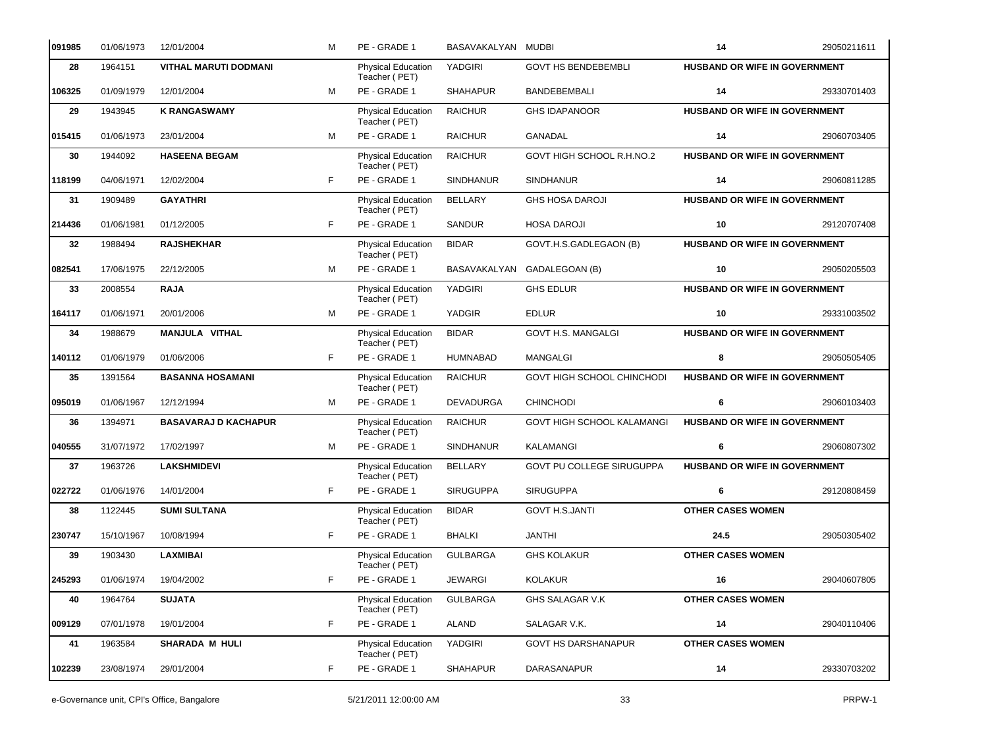| 091985 | 01/06/1973 | 12/01/2004                  | м  | PE - GRADE 1                               | BASAVAKALYAN MUDBI |                             | 14                                   | 29050211611 |
|--------|------------|-----------------------------|----|--------------------------------------------|--------------------|-----------------------------|--------------------------------------|-------------|
| 28     | 1964151    | VITHAL MARUTI DODMANI       |    | <b>Physical Education</b><br>Teacher (PET) | YADGIRI            | <b>GOVT HS BENDEBEMBLI</b>  | <b>HUSBAND OR WIFE IN GOVERNMENT</b> |             |
| 106325 | 01/09/1979 | 12/01/2004                  | M  | PE - GRADE 1                               | <b>SHAHAPUR</b>    | <b>BANDEBEMBALI</b>         | 14                                   | 29330701403 |
| 29     | 1943945    | <b>K RANGASWAMY</b>         |    | Physical Education<br>Teacher (PET)        | <b>RAICHUR</b>     | <b>GHS IDAPANOOR</b>        | HUSBAND OR WIFE IN GOVERNMENT        |             |
| 015415 | 01/06/1973 | 23/01/2004                  | M  | PE - GRADE 1                               | <b>RAICHUR</b>     | <b>GANADAL</b>              | 14                                   | 29060703405 |
| 30     | 1944092    | <b>HASEENA BEGAM</b>        |    | Physical Education<br>Teacher (PET)        | <b>RAICHUR</b>     | GOVT HIGH SCHOOL R.H.NO.2   | <b>HUSBAND OR WIFE IN GOVERNMENT</b> |             |
| 118199 | 04/06/1971 | 12/02/2004                  | F. | PE - GRADE 1                               | <b>SINDHANUR</b>   | <b>SINDHANUR</b>            | 14                                   | 29060811285 |
| 31     | 1909489    | <b>GAYATHRI</b>             |    | Physical Education<br>Teacher (PET)        | <b>BELLARY</b>     | <b>GHS HOSA DAROJI</b>      | HUSBAND OR WIFE IN GOVERNMENT        |             |
| 214436 | 01/06/1981 | 01/12/2005                  | F  | PE - GRADE 1                               | SANDUR             | <b>HOSA DAROJI</b>          | 10                                   | 29120707408 |
| 32     | 1988494    | <b>RAJSHEKHAR</b>           |    | Physical Education<br>Teacher (PET)        | <b>BIDAR</b>       | GOVT.H.S.GADLEGAON (B)      | HUSBAND OR WIFE IN GOVERNMENT        |             |
| 082541 | 17/06/1975 | 22/12/2005                  | м  | PE - GRADE 1                               |                    | BASAVAKALYAN GADALEGOAN (B) | 10                                   | 29050205503 |
| 33     | 2008554    | <b>RAJA</b>                 |    | Physical Education<br>Teacher (PET)        | YADGIRI            | <b>GHS EDLUR</b>            | HUSBAND OR WIFE IN GOVERNMENT        |             |
| 164117 | 01/06/1971 | 20/01/2006                  | M  | PE - GRADE 1                               | YADGIR             | <b>EDLUR</b>                | 10                                   | 29331003502 |
| 34     | 1988679    | MANJULA VITHAL              |    | Physical Education<br>Teacher (PET)        | <b>BIDAR</b>       | <b>GOVT H.S. MANGALGI</b>   | <b>HUSBAND OR WIFE IN GOVERNMENT</b> |             |
| 140112 | 01/06/1979 | 01/06/2006                  | F. | PE - GRADE 1                               | <b>HUMNABAD</b>    | <b>MANGALGI</b>             | 8                                    | 29050505405 |
| 35     | 1391564    | <b>BASANNA HOSAMANI</b>     |    | Physical Education<br>Teacher (PET)        | <b>RAICHUR</b>     | GOVT HIGH SCHOOL CHINCHODI  | HUSBAND OR WIFE IN GOVERNMENT        |             |
| 095019 | 01/06/1967 | 12/12/1994                  | M  | PE - GRADE 1                               | DEVADURGA          | <b>CHINCHODI</b>            | 6                                    | 29060103403 |
| 36     | 1394971    | <b>BASAVARAJ D KACHAPUR</b> |    | Physical Education<br>Teacher (PET)        | <b>RAICHUR</b>     | GOVT HIGH SCHOOL KALAMANGI  | HUSBAND OR WIFE IN GOVERNMENT        |             |
| 040555 | 31/07/1972 | 17/02/1997                  | M  | PE - GRADE 1                               | <b>SINDHANUR</b>   | KALAMANGI                   | 6                                    | 29060807302 |
| 37     | 1963726    | <b>LAKSHMIDEVI</b>          |    | Physical Education<br>Teacher (PET)        | <b>BELLARY</b>     | GOVT PU COLLEGE SIRUGUPPA   | HUSBAND OR WIFE IN GOVERNMENT        |             |
| 022722 | 01/06/1976 | 14/01/2004                  | F. | PE - GRADE 1                               | <b>SIRUGUPPA</b>   | <b>SIRUGUPPA</b>            | 6                                    | 29120808459 |
| 38     | 1122445    | <b>SUMI SULTANA</b>         |    | Physical Education<br>Teacher (PET)        | <b>BIDAR</b>       | <b>GOVT H.S.JANTI</b>       | <b>OTHER CASES WOMEN</b>             |             |
| 230747 | 15/10/1967 | 10/08/1994                  | F. | PE - GRADE 1                               | <b>BHALKI</b>      | <b>JANTHI</b>               | 24.5                                 | 29050305402 |
| 39     | 1903430    | <b>LAXMIBAI</b>             |    | <b>Physical Education</b><br>Teacher (PET) | <b>GULBARGA</b>    | <b>GHS KOLAKUR</b>          | <b>OTHER CASES WOMEN</b>             |             |
| 245293 | 01/06/1974 | 19/04/2002                  | F  | PE - GRADE 1                               | <b>JEWARGI</b>     | <b>KOLAKUR</b>              | 16                                   | 29040607805 |
| 40     | 1964764    | <b>SUJATA</b>               |    | Physical Education<br>Teacher (PET)        | <b>GULBARGA</b>    | GHS SALAGAR V.K             | <b>OTHER CASES WOMEN</b>             |             |
| 009129 | 07/01/1978 | 19/01/2004                  | F  | PE - GRADE 1                               | ALAND              | SALAGAR V.K.                | 14                                   | 29040110406 |
| 41     | 1963584    | <b>SHARADA M HULI</b>       |    | <b>Physical Education</b><br>Teacher (PET) | YADGIRI            | <b>GOVT HS DARSHANAPUR</b>  | <b>OTHER CASES WOMEN</b>             |             |
| 102239 | 23/08/1974 | 29/01/2004                  | F  | PE - GRADE 1                               | <b>SHAHAPUR</b>    | DARASANAPUR                 | 14                                   | 29330703202 |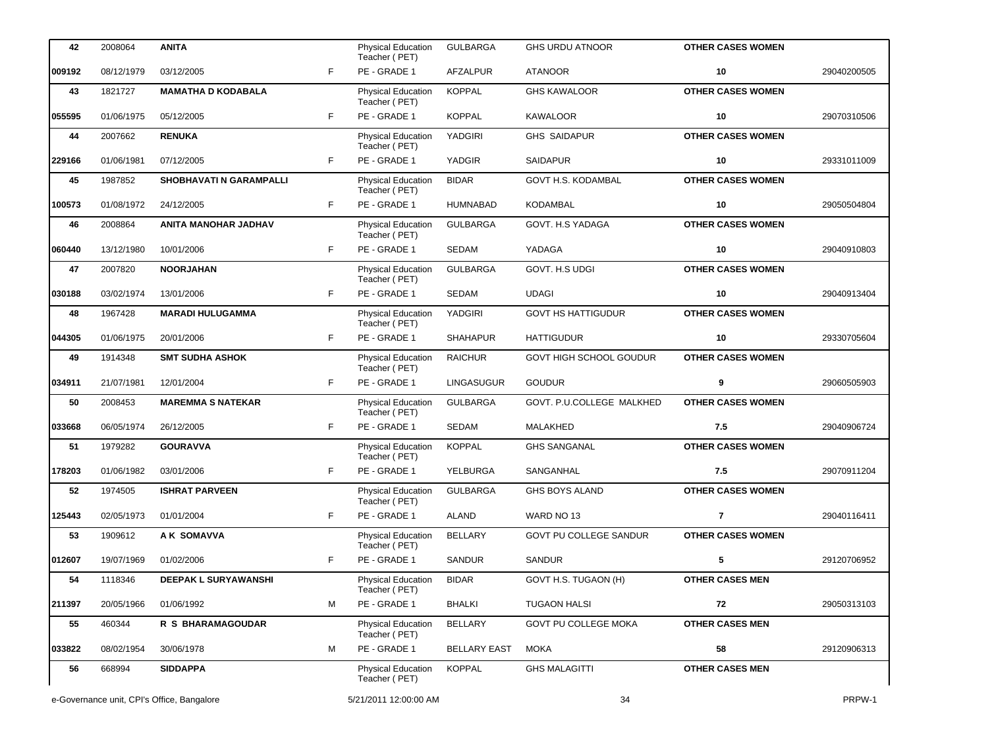| 42     | 2008064                                    | <b>ANITA</b>                   |    | Physical Education<br>Teacher (PET)        | <b>GULBARGA</b>     | <b>GHS URDU ATNOOR</b>      | <b>OTHER CASES WOMEN</b> |             |
|--------|--------------------------------------------|--------------------------------|----|--------------------------------------------|---------------------|-----------------------------|--------------------------|-------------|
| 009192 | 08/12/1979                                 | 03/12/2005                     | F  | PE - GRADE 1                               | AFZALPUR            | <b>ATANOOR</b>              | 10                       | 29040200505 |
| 43     | 1821727                                    | <b>MAMATHA D KODABALA</b>      |    | Physical Education<br>Teacher (PET)        | <b>KOPPAL</b>       | <b>GHS KAWALOOR</b>         | <b>OTHER CASES WOMEN</b> |             |
| 055595 | 01/06/1975                                 | 05/12/2005                     | F. | PE - GRADE 1                               | <b>KOPPAL</b>       | <b>KAWALOOR</b>             | 10                       | 29070310506 |
| 44     | 2007662                                    | <b>RENUKA</b>                  |    | Physical Education<br>Teacher (PET)        | YADGIRI             | <b>GHS SAIDAPUR</b>         | <b>OTHER CASES WOMEN</b> |             |
| 229166 | 01/06/1981                                 | 07/12/2005                     | F. | PE - GRADE 1                               | YADGIR              | <b>SAIDAPUR</b>             | 10                       | 29331011009 |
| 45     | 1987852                                    | <b>SHOBHAVATI N GARAMPALLI</b> |    | <b>Physical Education</b><br>Teacher (PET) | <b>BIDAR</b>        | <b>GOVT H.S. KODAMBAL</b>   | <b>OTHER CASES WOMEN</b> |             |
| 100573 | 01/08/1972                                 | 24/12/2005                     | F. | PE - GRADE 1                               | <b>HUMNABAD</b>     | <b>KODAMBAL</b>             | 10                       | 29050504804 |
| 46     | 2008864                                    | ANITA MANOHAR JADHAV           |    | Physical Education<br>Teacher (PET)        | <b>GULBARGA</b>     | GOVT. H.S YADAGA            | <b>OTHER CASES WOMEN</b> |             |
| 060440 | 13/12/1980                                 | 10/01/2006                     | F. | PE - GRADE 1                               | SEDAM               | YADAGA                      | 10                       | 29040910803 |
| 47     | 2007820                                    | <b>NOORJAHAN</b>               |    | Physical Education<br>Teacher (PET)        | <b>GULBARGA</b>     | GOVT. H.S UDGI              | <b>OTHER CASES WOMEN</b> |             |
| 030188 | 03/02/1974                                 | 13/01/2006                     | F. | PE - GRADE 1                               | SEDAM               | <b>UDAGI</b>                | 10                       | 29040913404 |
| 48     | 1967428                                    | <b>MARADI HULUGAMMA</b>        |    | Physical Education<br>Teacher (PET)        | YADGIRI             | <b>GOVT HS HATTIGUDUR</b>   | <b>OTHER CASES WOMEN</b> |             |
| 044305 | 01/06/1975                                 | 20/01/2006                     | F. | PE - GRADE 1                               | <b>SHAHAPUR</b>     | <b>HATTIGUDUR</b>           | 10                       | 29330705604 |
| 49     | 1914348                                    | <b>SMT SUDHA ASHOK</b>         |    | Physical Education<br>Teacher (PET)        | <b>RAICHUR</b>      | GOVT HIGH SCHOOL GOUDUR     | <b>OTHER CASES WOMEN</b> |             |
| 034911 | 21/07/1981                                 | 12/01/2004                     | F  | PE - GRADE 1                               | <b>LINGASUGUR</b>   | <b>GOUDUR</b>               | 9                        | 29060505903 |
| 50     | 2008453                                    | <b>MAREMMA S NATEKAR</b>       |    | Physical Education<br>Teacher (PET)        | <b>GULBARGA</b>     | GOVT. P.U.COLLEGE MALKHED   | <b>OTHER CASES WOMEN</b> |             |
| 033668 | 06/05/1974                                 | 26/12/2005                     | F. | PE - GRADE 1                               | SEDAM               | MALAKHED                    | 7.5                      | 29040906724 |
| 51     | 1979282                                    | <b>GOURAVVA</b>                |    | Physical Education<br>Teacher (PET)        | <b>KOPPAL</b>       | <b>GHS SANGANAL</b>         | <b>OTHER CASES WOMEN</b> |             |
| 178203 | 01/06/1982                                 | 03/01/2006                     | F. | PE - GRADE 1                               | YELBURGA            | SANGANHAL                   | 7.5                      | 29070911204 |
| 52     | 1974505                                    | <b>ISHRAT PARVEEN</b>          |    | Physical Education<br>Teacher (PET)        | <b>GULBARGA</b>     | <b>GHS BOYS ALAND</b>       | <b>OTHER CASES WOMEN</b> |             |
| 125443 | 02/05/1973                                 | 01/01/2004                     | F  | PE - GRADE 1                               | ALAND               | WARD NO 13                  | $\overline{7}$           | 29040116411 |
| 53     | 1909612                                    | A K SOMAVVA                    |    | <b>Physical Education</b><br>Teacher (PET) | <b>BELLARY</b>      | GOVT PU COLLEGE SANDUR      | <b>OTHER CASES WOMEN</b> |             |
| 012607 | 19/07/1969                                 | 01/02/2006                     | F  | PE - GRADE 1                               | <b>SANDUR</b>       | SANDUR                      | 5                        | 29120706952 |
| 54     | 1118346                                    | <b>DEEPAK L SURYAWANSHI</b>    |    | <b>Physical Education</b><br>Teacher (PET) | <b>BIDAR</b>        | GOVT H.S. TUGAON (H)        | <b>OTHER CASES MEN</b>   |             |
| 211397 | 20/05/1966                                 | 01/06/1992                     | м  | PE - GRADE 1                               | <b>BHALKI</b>       | <b>TUGAON HALSI</b>         | 72                       | 29050313103 |
| 55     | 460344                                     | R S BHARAMAGOUDAR              |    | <b>Physical Education</b><br>Teacher (PET) | <b>BELLARY</b>      | <b>GOVT PU COLLEGE MOKA</b> | <b>OTHER CASES MEN</b>   |             |
| 033822 | 08/02/1954                                 | 30/06/1978                     | м  | PE - GRADE 1                               | <b>BELLARY EAST</b> | <b>MOKA</b>                 | 58                       | 29120906313 |
| 56     | 668994                                     | <b>SIDDAPPA</b>                |    | <b>Physical Education</b><br>Teacher (PET) | <b>KOPPAL</b>       | <b>GHS MALAGITTI</b>        | <b>OTHER CASES MEN</b>   |             |
|        | e-Governance unit, CPI's Office, Bangalore |                                |    | 5/21/2011 12:00:00 AM                      |                     | 34                          |                          | PRPW-1      |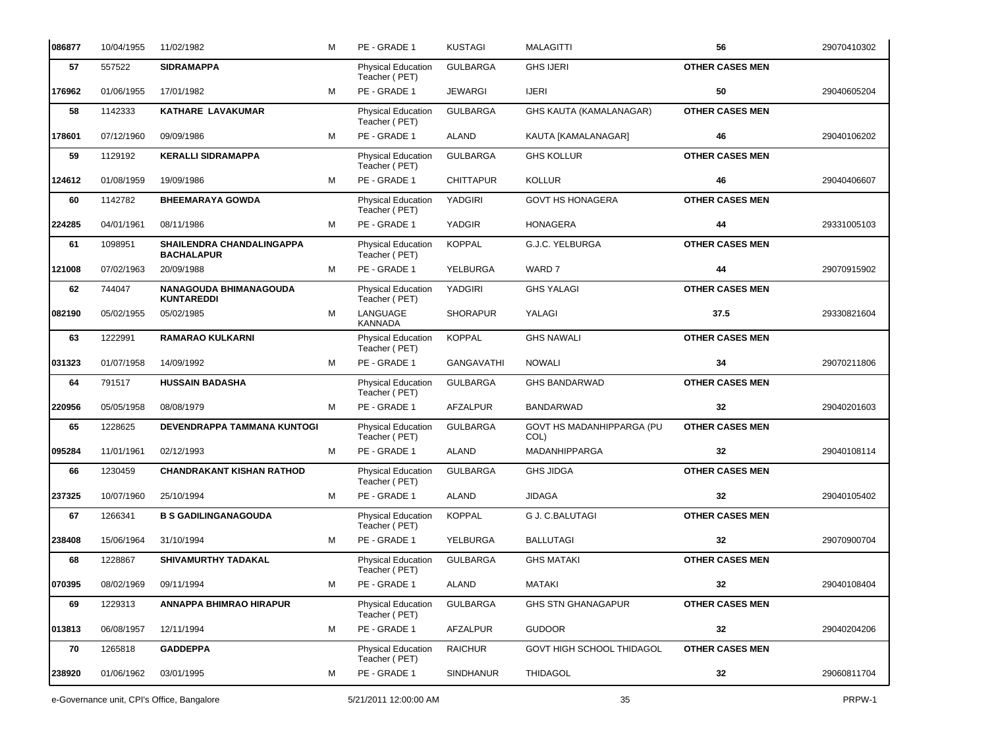| 086877 | 10/04/1955 | 11/02/1982                                            | М | PE - GRADE 1                               | <b>KUSTAGI</b>    | <b>MALAGITTI</b>                  | 56                     | 29070410302 |
|--------|------------|-------------------------------------------------------|---|--------------------------------------------|-------------------|-----------------------------------|------------------------|-------------|
| 57     | 557522     | <b>SIDRAMAPPA</b>                                     |   | Physical Education<br>Teacher (PET)        | <b>GULBARGA</b>   | <b>GHS IJERI</b>                  | <b>OTHER CASES MEN</b> |             |
| 176962 | 01/06/1955 | 17/01/1982                                            | м | PE - GRADE 1                               | <b>JEWARGI</b>    | <b>IJERI</b>                      | 50                     | 29040605204 |
| 58     | 1142333    | KATHARE LAVAKUMAR                                     |   | Physical Education<br>Teacher (PET)        | <b>GULBARGA</b>   | GHS KAUTA (KAMALANAGAR)           | <b>OTHER CASES MEN</b> |             |
| 178601 | 07/12/1960 | 09/09/1986                                            | м | PE - GRADE 1                               | <b>ALAND</b>      | KAUTA [KAMALANAGAR]               | 46                     | 29040106202 |
| 59     | 1129192    | <b>KERALLI SIDRAMAPPA</b>                             |   | Physical Education<br>Teacher (PET)        | <b>GULBARGA</b>   | <b>GHS KOLLUR</b>                 | <b>OTHER CASES MEN</b> |             |
| 124612 | 01/08/1959 | 19/09/1986                                            | м | PE - GRADE 1                               | <b>CHITTAPUR</b>  | <b>KOLLUR</b>                     | 46                     | 29040406607 |
| 60     | 1142782    | <b>BHEEMARAYA GOWDA</b>                               |   | Physical Education<br>Teacher (PET)        | <b>YADGIRI</b>    | <b>GOVT HS HONAGERA</b>           | <b>OTHER CASES MEN</b> |             |
| 224285 | 04/01/1961 | 08/11/1986                                            | M | PE - GRADE 1                               | YADGIR            | <b>HONAGERA</b>                   | 44                     | 29331005103 |
| 61     | 1098951    | <b>SHAILENDRA CHANDALINGAPPA</b><br><b>BACHALAPUR</b> |   | <b>Physical Education</b><br>Teacher (PET) | <b>KOPPAL</b>     | G.J.C. YELBURGA                   | <b>OTHER CASES MEN</b> |             |
| 121008 | 07/02/1963 | 20/09/1988                                            | м | PE - GRADE 1                               | YELBURGA          | WARD 7                            | 44                     | 29070915902 |
| 62     | 744047     | <b>NANAGOUDA BHIMANAGOUDA</b><br><b>KUNTAREDDI</b>    |   | Physical Education<br>Teacher (PET)        | YADGIRI           | <b>GHS YALAGI</b>                 | <b>OTHER CASES MEN</b> |             |
| 082190 | 05/02/1955 | 05/02/1985                                            | м | LANGUAGE<br><b>KANNADA</b>                 | <b>SHORAPUR</b>   | YALAGI                            | 37.5                   | 29330821604 |
| 63     | 1222991    | <b>RAMARAO KULKARNI</b>                               |   | <b>Physical Education</b><br>Teacher (PET) | <b>KOPPAL</b>     | <b>GHS NAWALI</b>                 | <b>OTHER CASES MEN</b> |             |
| 031323 | 01/07/1958 | 14/09/1992                                            | м | PE - GRADE 1                               | <b>GANGAVATHI</b> | <b>NOWALI</b>                     | 34                     | 29070211806 |
| 64     | 791517     | <b>HUSSAIN BADASHA</b>                                |   | <b>Physical Education</b><br>Teacher (PET) | <b>GULBARGA</b>   | <b>GHS BANDARWAD</b>              | <b>OTHER CASES MEN</b> |             |
| 220956 | 05/05/1958 | 08/08/1979                                            | M | PE - GRADE 1                               | <b>AFZALPUR</b>   | <b>BANDARWAD</b>                  | 32                     | 29040201603 |
| 65     | 1228625    | DEVENDRAPPA TAMMANA KUNTOGI                           |   | Physical Education<br>Teacher (PET)        | <b>GULBARGA</b>   | GOVT HS MADANHIPPARGA (PU<br>COL) | <b>OTHER CASES MEN</b> |             |
| 095284 | 11/01/1961 | 02/12/1993                                            | м | PE - GRADE 1                               | <b>ALAND</b>      | MADANHIPPARGA                     | 32                     | 29040108114 |
| 66     | 1230459    | <b>CHANDRAKANT KISHAN RATHOD</b>                      |   | Physical Education<br>Teacher (PET)        | <b>GULBARGA</b>   | <b>GHS JIDGA</b>                  | <b>OTHER CASES MEN</b> |             |
| 237325 | 10/07/1960 | 25/10/1994                                            | м | PE - GRADE 1                               | ALAND             | <b>JIDAGA</b>                     | 32                     | 29040105402 |
| 67     | 1266341    | <b>B S GADILINGANAGOUDA</b>                           |   | Physical Education<br>Teacher (PET)        | <b>KOPPAL</b>     | <b>G J. C.BALUTAGI</b>            | <b>OTHER CASES MEN</b> |             |
| 238408 | 15/06/1964 | 31/10/1994                                            | М | PE - GRADE 1                               | YELBURGA          | <b>BALLUTAGI</b>                  | 32                     | 29070900704 |
| 68     | 1228867    | SHIVAMURTHY TADAKAL                                   |   | <b>Physical Education</b><br>Teacher (PET) | <b>GULBARGA</b>   | <b>GHS MATAKI</b>                 | <b>OTHER CASES MEN</b> |             |
| 070395 | 08/02/1969 | 09/11/1994                                            | М | PE - GRADE 1                               | ALAND             | MATAKI                            | 32                     | 29040108404 |
| 69     | 1229313    | <b>ANNAPPA BHIMRAO HIRAPUR</b>                        |   | Physical Education<br>Teacher (PET)        | <b>GULBARGA</b>   | <b>GHS STN GHANAGAPUR</b>         | <b>OTHER CASES MEN</b> |             |
| 013813 | 06/08/1957 | 12/11/1994                                            | м | PE - GRADE 1                               | AFZALPUR          | <b>GUDOOR</b>                     | 32                     | 29040204206 |
| 70     | 1265818    | <b>GADDEPPA</b>                                       |   | <b>Physical Education</b><br>Teacher (PET) | <b>RAICHUR</b>    | GOVT HIGH SCHOOL THIDAGOL         | <b>OTHER CASES MEN</b> |             |
| 238920 | 01/06/1962 | 03/01/1995                                            | М | PE - GRADE 1                               | <b>SINDHANUR</b>  | <b>THIDAGOL</b>                   | 32                     | 29060811704 |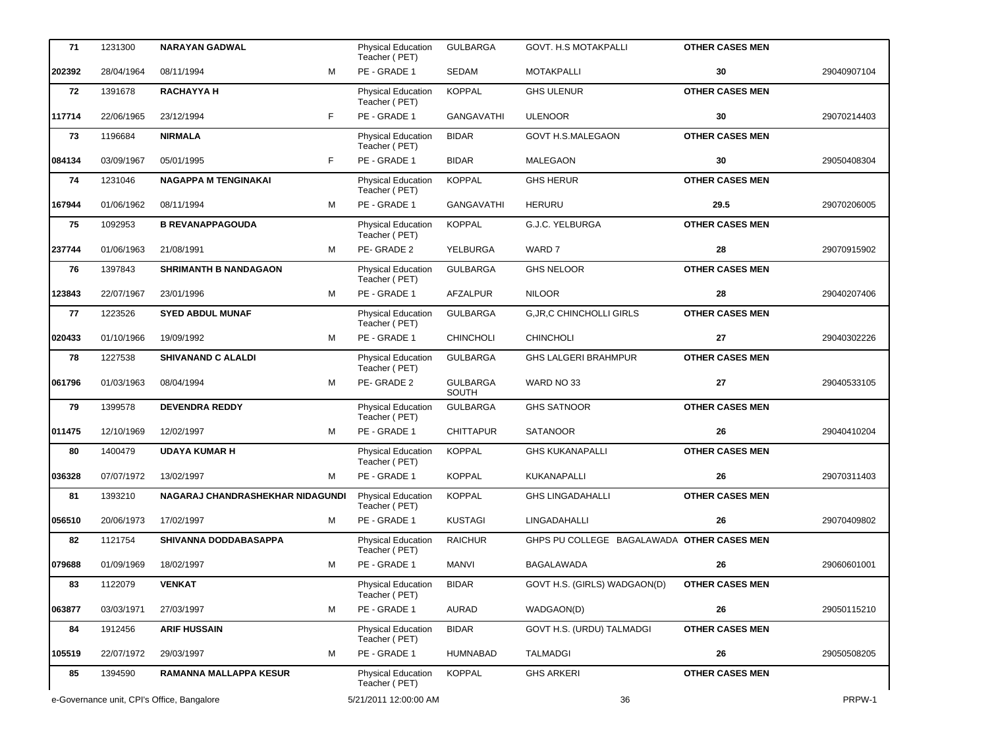| 71     | 1231300    | <b>NARAYAN GADWAL</b>                      |    | Physical Education<br>Teacher (PET)        | <b>GULBARGA</b>          | <b>GOVT. H.S MOTAKPALLI</b>                | <b>OTHER CASES MEN</b> |             |
|--------|------------|--------------------------------------------|----|--------------------------------------------|--------------------------|--------------------------------------------|------------------------|-------------|
| 202392 | 28/04/1964 | 08/11/1994                                 | M  | PE - GRADE 1                               | SEDAM                    | <b>MOTAKPALLI</b>                          | 30                     | 29040907104 |
| 72     | 1391678    | <b>RACHAYYA H</b>                          |    | Physical Education<br>Teacher (PET)        | <b>KOPPAL</b>            | <b>GHS ULENUR</b>                          | <b>OTHER CASES MEN</b> |             |
| 117714 | 22/06/1965 | 23/12/1994                                 | F. | PE - GRADE 1                               | GANGAVATHI               | <b>ULENOOR</b>                             | 30                     | 29070214403 |
| 73     | 1196684    | <b>NIRMALA</b>                             |    | Physical Education<br>Teacher (PET)        | <b>BIDAR</b>             | <b>GOVT H.S.MALEGAON</b>                   | <b>OTHER CASES MEN</b> |             |
| 084134 | 03/09/1967 | 05/01/1995                                 | F. | PE - GRADE 1                               | <b>BIDAR</b>             | <b>MALEGAON</b>                            | 30                     | 29050408304 |
| 74     | 1231046    | <b>NAGAPPA M TENGINAKAI</b>                |    | Physical Education<br>Teacher (PET)        | <b>KOPPAL</b>            | <b>GHS HERUR</b>                           | <b>OTHER CASES MEN</b> |             |
| 167944 | 01/06/1962 | 08/11/1994                                 | м  | PE - GRADE 1                               | <b>GANGAVATHI</b>        | <b>HERURU</b>                              | 29.5                   | 29070206005 |
| 75     | 1092953    | <b>B REVANAPPAGOUDA</b>                    |    | Physical Education<br>Teacher (PET)        | <b>KOPPAL</b>            | G.J.C. YELBURGA                            | <b>OTHER CASES MEN</b> |             |
| 237744 | 01/06/1963 | 21/08/1991                                 | M  | PE-GRADE 2                                 | YELBURGA                 | WARD 7                                     | 28                     | 29070915902 |
| 76     | 1397843    | <b>SHRIMANTH B NANDAGAON</b>               |    | Physical Education<br>Teacher (PET)        | <b>GULBARGA</b>          | <b>GHS NELOOR</b>                          | <b>OTHER CASES MEN</b> |             |
| 123843 | 22/07/1967 | 23/01/1996                                 | M  | PE - GRADE 1                               | AFZALPUR                 | <b>NILOOR</b>                              | 28                     | 29040207406 |
| 77     | 1223526    | <b>SYED ABDUL MUNAF</b>                    |    | Physical Education<br>Teacher (PET)        | <b>GULBARGA</b>          | <b>G, JR, C CHINCHOLLI GIRLS</b>           | <b>OTHER CASES MEN</b> |             |
| 020433 | 01/10/1966 | 19/09/1992                                 | M  | PE - GRADE 1                               | <b>CHINCHOLI</b>         | <b>CHINCHOLI</b>                           | 27                     | 29040302226 |
| 78     | 1227538    | <b>SHIVANAND C ALALDI</b>                  |    | Physical Education<br>Teacher (PET)        | <b>GULBARGA</b>          | <b>GHS LALGERI BRAHMPUR</b>                | <b>OTHER CASES MEN</b> |             |
| 061796 | 01/03/1963 | 08/04/1994                                 | M  | PE-GRADE 2                                 | <b>GULBARGA</b><br>SOUTH | WARD NO 33                                 | 27                     | 29040533105 |
| 79     | 1399578    | <b>DEVENDRA REDDY</b>                      |    | Physical Education<br>Teacher (PET)        | <b>GULBARGA</b>          | <b>GHS SATNOOR</b>                         | <b>OTHER CASES MEN</b> |             |
| 011475 | 12/10/1969 | 12/02/1997                                 | M  | PE - GRADE 1                               | <b>CHITTAPUR</b>         | <b>SATANOOR</b>                            | 26                     | 29040410204 |
| 80     | 1400479    | <b>UDAYA KUMAR H</b>                       |    | <b>Physical Education</b><br>Teacher (PET) | <b>KOPPAL</b>            | <b>GHS KUKANAPALLI</b>                     | <b>OTHER CASES MEN</b> |             |
| 036328 | 07/07/1972 | 13/02/1997                                 | м  | PE - GRADE 1                               | <b>KOPPAL</b>            | KUKANAPALLI                                | 26                     | 29070311403 |
| 81     | 1393210    | NAGARAJ CHANDRASHEKHAR NIDAGUNDI           |    | Physical Education<br>Teacher (PET)        | <b>KOPPAL</b>            | <b>GHS LINGADAHALLI</b>                    | <b>OTHER CASES MEN</b> |             |
| 056510 | 20/06/1973 | 17/02/1997                                 | M  | PE - GRADE 1                               | <b>KUSTAGI</b>           | LINGADAHALLI                               | 26                     | 29070409802 |
| 82     | 1121754    | <b>SHIVANNA DODDABASAPPA</b>               |    | <b>Physical Education</b><br>Teacher (PET) | <b>RAICHUR</b>           | GHPS PU COLLEGE BAGALAWADA OTHER CASES MEN |                        |             |
| 079688 | 01/09/1969 | 18/02/1997                                 | м  | PE - GRADE 1                               | <b>MANVI</b>             | BAGALAWADA                                 | 26                     | 29060601001 |
| 83     | 1122079    | <b>VENKAT</b>                              |    | Physical Education<br>Teacher (PET)        | <b>BIDAR</b>             | GOVT H.S. (GIRLS) WADGAON(D)               | <b>OTHER CASES MEN</b> |             |
| 063877 | 03/03/1971 | 27/03/1997                                 | м  | PE - GRADE 1                               | AURAD                    | WADGAON(D)                                 | 26                     | 29050115210 |
| 84     | 1912456    | <b>ARIF HUSSAIN</b>                        |    | <b>Physical Education</b><br>Teacher (PET) | <b>BIDAR</b>             | GOVT H.S. (URDU) TALMADGI                  | <b>OTHER CASES MEN</b> |             |
| 105519 | 22/07/1972 | 29/03/1997                                 | м  | PE - GRADE 1                               | HUMNABAD                 | <b>TALMADGI</b>                            | 26                     | 29050508205 |
| 85     | 1394590    | <b>RAMANNA MALLAPPA KESUR</b>              |    | <b>Physical Education</b><br>Teacher (PET) | <b>KOPPAL</b>            | <b>GHS ARKERI</b>                          | <b>OTHER CASES MEN</b> |             |
|        |            | e-Governance unit, CPI's Office, Bangalore |    | 5/21/2011 12:00:00 AM                      |                          | 36                                         |                        | PRPW-1      |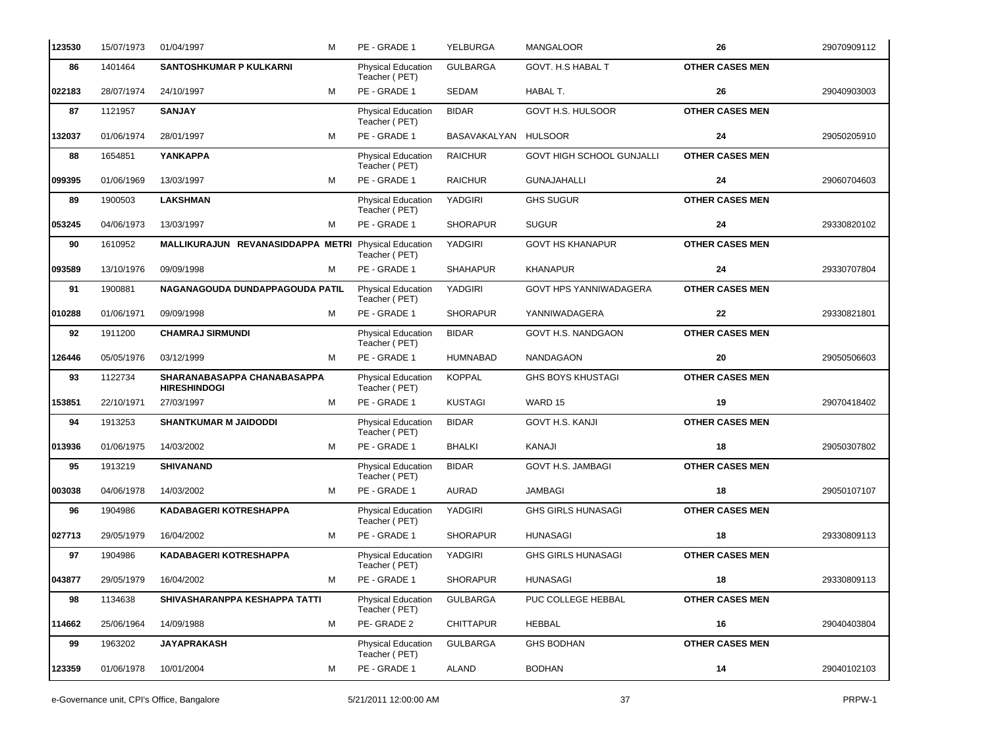| 123530 | 15/07/1973 | 01/04/1997                                           | м | PE - GRADE 1                               | YELBURGA             | <b>MANGALOOR</b>                 | 26                     | 29070909112 |
|--------|------------|------------------------------------------------------|---|--------------------------------------------|----------------------|----------------------------------|------------------------|-------------|
| 86     | 1401464    | <b>SANTOSHKUMAR P KULKARNI</b>                       |   | Physical Education<br>Teacher (PET)        | <b>GULBARGA</b>      | GOVT. H.S HABAL T                | <b>OTHER CASES MEN</b> |             |
| 022183 | 28/07/1974 | 24/10/1997                                           | M | PE - GRADE 1                               | <b>SEDAM</b>         | HABAL T.                         | 26                     | 29040903003 |
| 87     | 1121957    | <b>SANJAY</b>                                        |   | Physical Education<br>Teacher (PET)        | <b>BIDAR</b>         | GOVT H.S. HULSOOR                | <b>OTHER CASES MEN</b> |             |
| 132037 | 01/06/1974 | 28/01/1997                                           | м | PE - GRADE 1                               | BASAVAKALYAN HULSOOR |                                  | 24                     | 29050205910 |
| 88     | 1654851    | <b>YANKAPPA</b>                                      |   | Physical Education<br>Teacher (PET)        | <b>RAICHUR</b>       | <b>GOVT HIGH SCHOOL GUNJALLI</b> | <b>OTHER CASES MEN</b> |             |
| 099395 | 01/06/1969 | 13/03/1997                                           | M | PE - GRADE 1                               | <b>RAICHUR</b>       | <b>GUNAJAHALLI</b>               | 24                     | 29060704603 |
| 89     | 1900503    | <b>LAKSHMAN</b>                                      |   | Physical Education<br>Teacher (PET)        | YADGIRI              | <b>GHS SUGUR</b>                 | <b>OTHER CASES MEN</b> |             |
| 053245 | 04/06/1973 | 13/03/1997                                           | м | PE - GRADE 1                               | <b>SHORAPUR</b>      | <b>SUGUR</b>                     | 24                     | 29330820102 |
| 90     | 1610952    | MALLIKURAJUN REVANASIDDAPPA METRI Physical Education |   | Teacher (PET)                              | YADGIRI              | <b>GOVT HS KHANAPUR</b>          | <b>OTHER CASES MEN</b> |             |
| 093589 | 13/10/1976 | 09/09/1998                                           | м | PE - GRADE 1                               | <b>SHAHAPUR</b>      | <b>KHANAPUR</b>                  | 24                     | 29330707804 |
| 91     | 1900881    | NAGANAGOUDA DUNDAPPAGOUDA PATIL                      |   | <b>Physical Education</b><br>Teacher (PET) | YADGIRI              | GOVT HPS YANNIWADAGERA           | <b>OTHER CASES MEN</b> |             |
| 010288 | 01/06/1971 | 09/09/1998                                           | M | PE - GRADE 1                               | <b>SHORAPUR</b>      | YANNIWADAGERA                    | 22                     | 29330821801 |
| 92     | 1911200    | <b>CHAMRAJ SIRMUNDI</b>                              |   | Physical Education<br>Teacher (PET)        | <b>BIDAR</b>         | GOVT H.S. NANDGAON               | <b>OTHER CASES MEN</b> |             |
| 126446 | 05/05/1976 | 03/12/1999                                           | м | PE - GRADE 1                               | <b>HUMNABAD</b>      | <b>NANDAGAON</b>                 | 20                     | 29050506603 |
| 93     | 1122734    | SHARANABASAPPA CHANABASAPPA<br><b>HIRESHINDOGI</b>   |   | Physical Education<br>Teacher (PET)        | <b>KOPPAL</b>        | <b>GHS BOYS KHUSTAGI</b>         | <b>OTHER CASES MEN</b> |             |
| 153851 | 22/10/1971 | 27/03/1997                                           | M | PE - GRADE 1                               | <b>KUSTAGI</b>       | WARD 15                          | 19                     | 29070418402 |
| 94     | 1913253    | <b>SHANTKUMAR M JAIDODDI</b>                         |   | <b>Physical Education</b><br>Teacher (PET) | <b>BIDAR</b>         | <b>GOVT H.S. KANJI</b>           | <b>OTHER CASES MEN</b> |             |
| 013936 | 01/06/1975 | 14/03/2002                                           | M | PE - GRADE 1                               | <b>BHALKI</b>        | KANAJI                           | 18                     | 29050307802 |
| 95     | 1913219    | <b>SHIVANAND</b>                                     |   | Physical Education<br>Teacher (PET)        | <b>BIDAR</b>         | GOVT H.S. JAMBAGI                | <b>OTHER CASES MEN</b> |             |
| 003038 | 04/06/1978 | 14/03/2002                                           | м | PE - GRADE 1                               | <b>AURAD</b>         | <b>JAMBAGI</b>                   | 18                     | 29050107107 |
| 96     | 1904986    | <b>KADABAGERI KOTRESHAPPA</b>                        |   | Physical Education<br>Teacher (PET)        | YADGIRI              | <b>GHS GIRLS HUNASAGI</b>        | <b>OTHER CASES MEN</b> |             |
| 027713 | 29/05/1979 | 16/04/2002                                           | м | PE - GRADE 1                               | <b>SHORAPUR</b>      | <b>HUNASAGI</b>                  | 18                     | 29330809113 |
| 97     | 1904986    | <b>KADABAGERI KOTRESHAPPA</b>                        |   | <b>Physical Education</b><br>Teacher (PET) | YADGIRI              | <b>GHS GIRLS HUNASAGI</b>        | <b>OTHER CASES MEN</b> |             |
| 043877 | 29/05/1979 | 16/04/2002                                           | M | PE - GRADE 1                               | <b>SHORAPUR</b>      | <b>HUNASAGI</b>                  | 18                     | 29330809113 |
| 98     | 1134638    | SHIVASHARANPPA KESHAPPA TATTI                        |   | <b>Physical Education</b><br>Teacher (PET) | <b>GULBARGA</b>      | PUC COLLEGE HEBBAL               | <b>OTHER CASES MEN</b> |             |
| 114662 | 25/06/1964 | 14/09/1988                                           | м | PE-GRADE 2                                 | <b>CHITTAPUR</b>     | HEBBAL                           | 16                     | 29040403804 |
| 99     | 1963202    | <b>JAYAPRAKASH</b>                                   |   | Physical Education<br>Teacher (PET)        | <b>GULBARGA</b>      | <b>GHS BODHAN</b>                | <b>OTHER CASES MEN</b> |             |
| 123359 | 01/06/1978 | 10/01/2004                                           | м | PE - GRADE 1                               | ALAND                | <b>BODHAN</b>                    | 14                     | 29040102103 |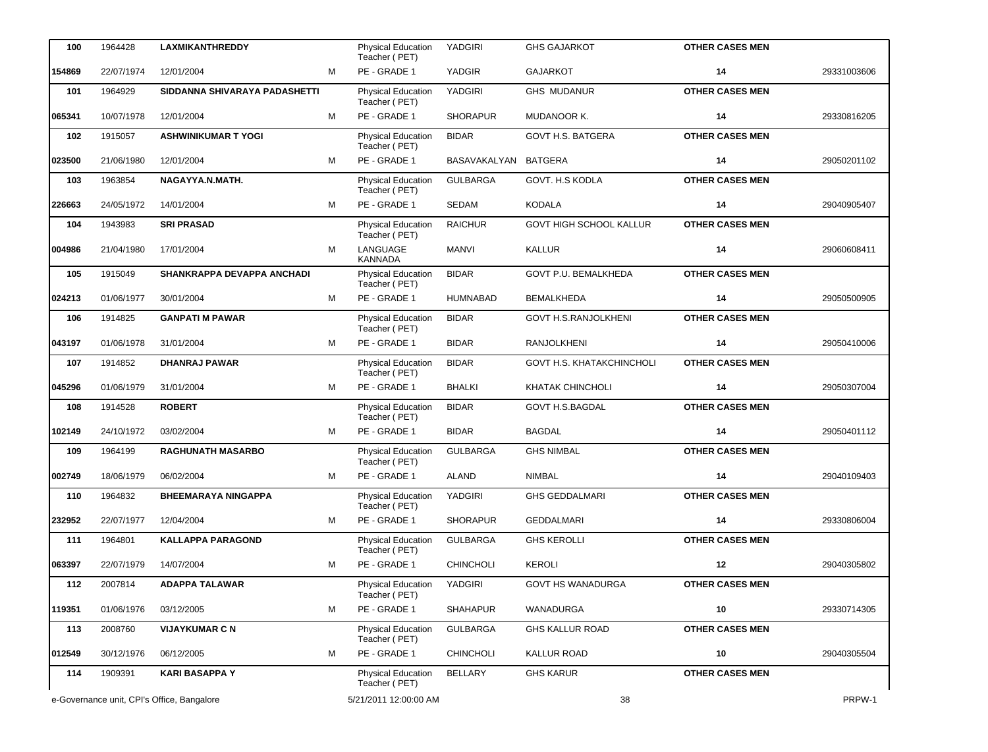| 100                                        | 1964428    | <b>LAXMIKANTHREDDY</b>        |                       | <b>Physical Education</b><br>Teacher (PET) | YADGIRI          | <b>GHS GAJARKOT</b>         | <b>OTHER CASES MEN</b> |             |
|--------------------------------------------|------------|-------------------------------|-----------------------|--------------------------------------------|------------------|-----------------------------|------------------------|-------------|
| 154869                                     | 22/07/1974 | 12/01/2004                    | M                     | PE - GRADE 1                               | YADGIR           | <b>GAJARKOT</b>             | 14                     | 29331003606 |
| 101                                        | 1964929    | SIDDANNA SHIVARAYA PADASHETTI |                       | Physical Education<br>Teacher (PET)        | YADGIRI          | <b>GHS MUDANUR</b>          | <b>OTHER CASES MEN</b> |             |
| 065341                                     | 10/07/1978 | 12/01/2004                    | м                     | PE - GRADE 1                               | <b>SHORAPUR</b>  | MUDANOOR K.                 | 14                     | 29330816205 |
| 102                                        | 1915057    | <b>ASHWINIKUMAR T YOGI</b>    |                       | Physical Education<br>Teacher (PET)        | <b>BIDAR</b>     | <b>GOVT H.S. BATGERA</b>    | <b>OTHER CASES MEN</b> |             |
| 023500                                     | 21/06/1980 | 12/01/2004                    | м                     | PE - GRADE 1                               | BASAVAKALYAN     | <b>BATGERA</b>              | 14                     | 29050201102 |
| 103                                        | 1963854    | NAGAYYA.N.MATH.               |                       | <b>Physical Education</b><br>Teacher (PET) | <b>GULBARGA</b>  | GOVT. H.S KODLA             | <b>OTHER CASES MEN</b> |             |
| 226663                                     | 24/05/1972 | 14/01/2004                    | м                     | PE - GRADE 1                               | <b>SEDAM</b>     | <b>KODALA</b>               | 14                     | 29040905407 |
| 104                                        | 1943983    | <b>SRI PRASAD</b>             |                       | Physical Education<br>Teacher (PET)        | <b>RAICHUR</b>   | GOVT HIGH SCHOOL KALLUR     | <b>OTHER CASES MEN</b> |             |
| 004986                                     | 21/04/1980 | 17/01/2004                    | M                     | LANGUAGE<br><b>KANNADA</b>                 | <b>MANVI</b>     | <b>KALLUR</b>               | 14                     | 29060608411 |
| 105                                        | 1915049    | SHANKRAPPA DEVAPPA ANCHADI    |                       | <b>Physical Education</b><br>Teacher (PET) | <b>BIDAR</b>     | GOVT P.U. BEMALKHEDA        | <b>OTHER CASES MEN</b> |             |
| 024213                                     | 01/06/1977 | 30/01/2004                    | м                     | PE - GRADE 1                               | HUMNABAD         | <b>BEMALKHEDA</b>           | 14                     | 29050500905 |
| 106                                        | 1914825    | <b>GANPATI M PAWAR</b>        |                       | Physical Education<br>Teacher (PET)        | <b>BIDAR</b>     | <b>GOVT H.S.RANJOLKHENI</b> | <b>OTHER CASES MEN</b> |             |
| 043197                                     | 01/06/1978 | 31/01/2004                    | м                     | PE - GRADE 1                               | <b>BIDAR</b>     | <b>RANJOLKHENI</b>          | 14                     | 29050410006 |
| 107                                        | 1914852    | <b>DHANRAJ PAWAR</b>          |                       | Physical Education<br>Teacher (PET)        | <b>BIDAR</b>     | GOVT H.S. KHATAKCHINCHOLI   | <b>OTHER CASES MEN</b> |             |
| 045296                                     | 01/06/1979 | 31/01/2004                    | м                     | PE - GRADE 1                               | <b>BHALKI</b>    | KHATAK CHINCHOLI            | 14                     | 29050307004 |
| 108                                        | 1914528    | <b>ROBERT</b>                 |                       | Physical Education<br>Teacher (PET)        | <b>BIDAR</b>     | <b>GOVT H.S.BAGDAL</b>      | <b>OTHER CASES MEN</b> |             |
| 102149                                     | 24/10/1972 | 03/02/2004                    | м                     | PE - GRADE 1                               | <b>BIDAR</b>     | <b>BAGDAL</b>               | 14                     | 29050401112 |
| 109                                        | 1964199    | <b>RAGHUNATH MASARBO</b>      |                       | Physical Education<br>Teacher (PET)        | <b>GULBARGA</b>  | <b>GHS NIMBAL</b>           | <b>OTHER CASES MEN</b> |             |
| 002749                                     | 18/06/1979 | 06/02/2004                    | м                     | PE - GRADE 1                               | ALAND            | <b>NIMBAL</b>               | 14                     | 29040109403 |
| 110                                        | 1964832    | <b>BHEEMARAYA NINGAPPA</b>    |                       | Physical Education<br>Teacher (PET)        | YADGIRI          | <b>GHS GEDDALMARI</b>       | <b>OTHER CASES MEN</b> |             |
| 232952                                     | 22/07/1977 | 12/04/2004                    | м                     | PE - GRADE 1                               | <b>SHORAPUR</b>  | <b>GEDDALMARI</b>           | 14                     | 29330806004 |
| 111                                        | 1964801    | <b>KALLAPPA PARAGOND</b>      |                       | <b>Physical Education</b><br>Teacher (PET) | <b>GULBARGA</b>  | <b>GHS KEROLLI</b>          | <b>OTHER CASES MEN</b> |             |
| 063397                                     | 22/07/1979 | 14/07/2004                    | М                     | PE - GRADE 1                               | <b>CHINCHOLI</b> | <b>KEROLI</b>               | 12                     | 29040305802 |
| 112                                        | 2007814    | <b>ADAPPA TALAWAR</b>         |                       | Physical Education<br>Teacher (PET)        | YADGIRI          | <b>GOVT HS WANADURGA</b>    | <b>OTHER CASES MEN</b> |             |
| 119351                                     | 01/06/1976 | 03/12/2005                    | М                     | PE - GRADE 1                               | <b>SHAHAPUR</b>  | WANADURGA                   | 10                     | 29330714305 |
| 113                                        | 2008760    | <b>VIJAYKUMAR C N</b>         |                       | Physical Education<br>Teacher (PET)        | <b>GULBARGA</b>  | GHS KALLUR ROAD             | <b>OTHER CASES MEN</b> |             |
| 012549                                     | 30/12/1976 | 06/12/2005                    | м                     | PE - GRADE 1                               | <b>CHINCHOLI</b> | <b>KALLUR ROAD</b>          | 10                     | 29040305504 |
| 114                                        | 1909391    | <b>KARI BASAPPA Y</b>         |                       | <b>Physical Education</b><br>Teacher (PET) | <b>BELLARY</b>   | <b>GHS KARUR</b>            | <b>OTHER CASES MEN</b> |             |
| e-Governance unit, CPI's Office, Bangalore |            |                               | 5/21/2011 12:00:00 AM |                                            |                  | 38                          |                        | PRPW-1      |